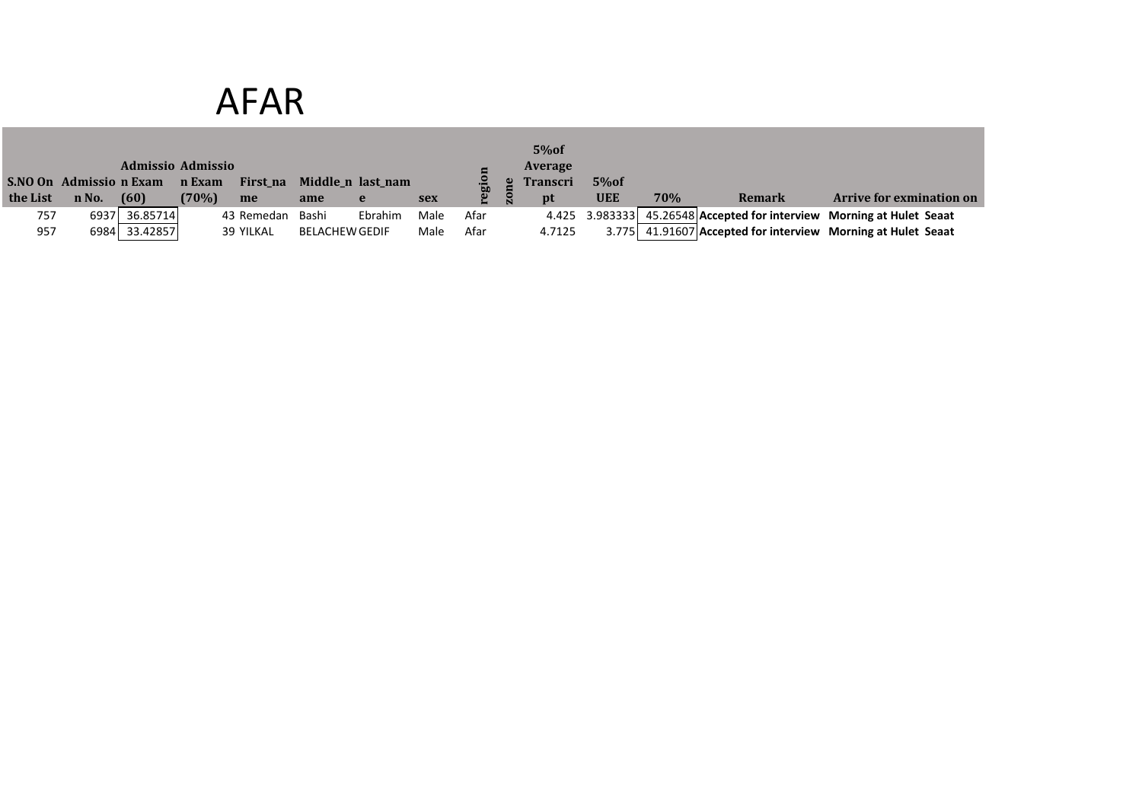# AFAR

|          |                        | <b>Admissio Admissio</b> |        |            |                       |                   |      |            |    | 5%of<br><b>Average</b> |            |     |               |                                                                       |
|----------|------------------------|--------------------------|--------|------------|-----------------------|-------------------|------|------------|----|------------------------|------------|-----|---------------|-----------------------------------------------------------------------|
|          | S.NO On Admission Exam |                          | n Exam | First_na   |                       | Middle_n last_nam |      | <b>TEL</b> |    | <b>Transcri</b>        | 5%of       |     |               |                                                                       |
| the List | n No.                  | (60)                     | (70%)  | me         | ame                   | e                 | sex  |            | P. | pt                     | <b>UEE</b> | 70% | <b>Remark</b> | <b>Arrive for exmination on</b>                                       |
| 757      | 69371                  | 36.85714                 |        | 43 Remedan | Bashi                 | Ebrahim           | Male | Afar       |    |                        |            |     |               | 4.425 3.983333 45.26548 Accepted for interview Morning at Hulet Seaat |
| 957      |                        | 6984 33.42857            |        | 39 YILKAL  | <b>BELACHEW GEDIF</b> |                   | Male | Afar       |    | 4.7125                 |            |     |               | 3.775 41.91607 Accepted for interview Morning at Hulet Seaat          |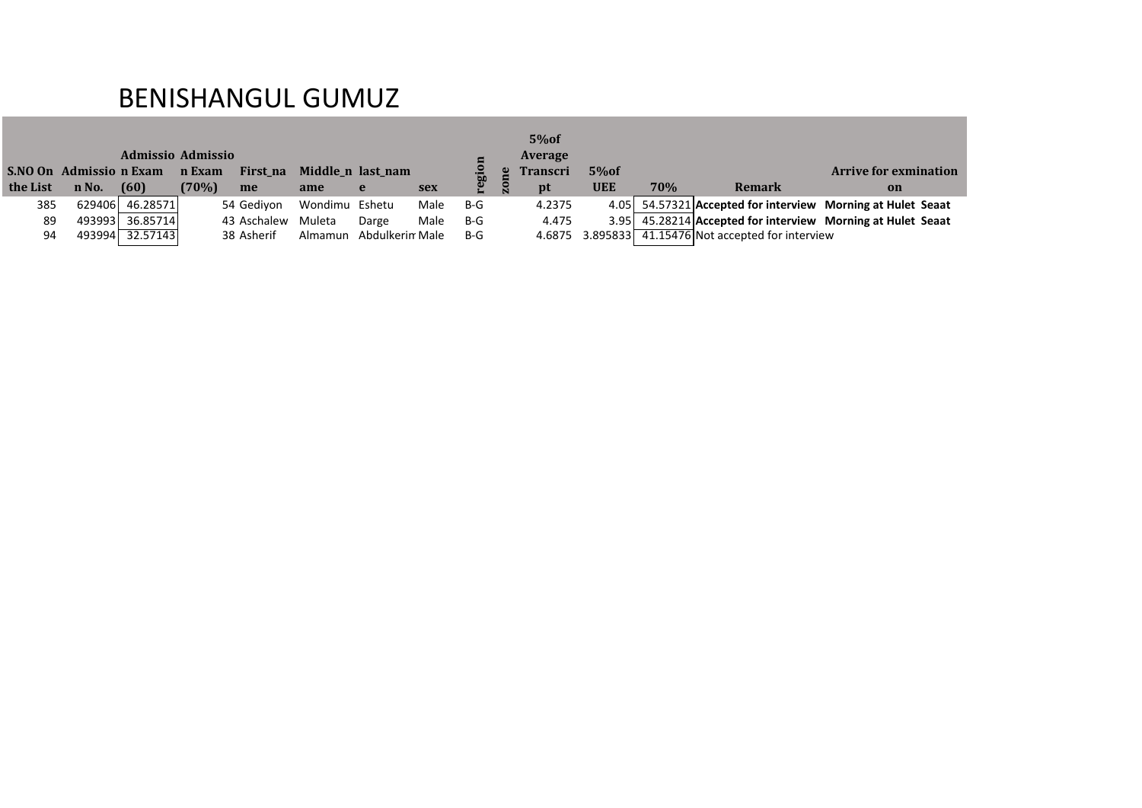### BENISHANGUL GUMUZ

|          |                        | Admissio Admissio |        |             |                   |                 |      |                |           | 5%of<br>Average |            |     |                                                     |                                                               |
|----------|------------------------|-------------------|--------|-------------|-------------------|-----------------|------|----------------|-----------|-----------------|------------|-----|-----------------------------------------------------|---------------------------------------------------------------|
|          | S.NO On Admission Exam |                   | n Exam | First_na    | Middle_n last_nam |                 |      | $\overline{5}$ | $\bullet$ | <b>Transcri</b> | 5%of       |     |                                                     | <b>Arrive for exmination</b>                                  |
| the List | n No.                  | (60)              | (70%)  | me          | ame               | e               | sex  | ဥ              | <u>a</u>  | pt              | <b>UEE</b> | 70% | Remark                                              | on                                                            |
| 385      |                        | 629406 46.28571   |        | 54 Gedivon  | Wondimu Eshetu    |                 | Male | $B-G$          |           | 4.2375          |            |     |                                                     | 4.05   54.57321 Accepted for interview Morning at Hulet Seaat |
| 89       | 493993                 | 36.85714          |        | 43 Aschalew | Muleta            | Darge           | Male | $B-G$          |           | 4.475           |            |     |                                                     | 3.95 45.28214 Accepted for interview Morning at Hulet Seaat   |
| 94       |                        | 493994 32.57143   |        | 38 Asherif  | Almamun           | Abdulkerin Male |      | $B-G$          |           |                 |            |     | 4.6875 3.895833 41.15476 Not accepted for interview |                                                               |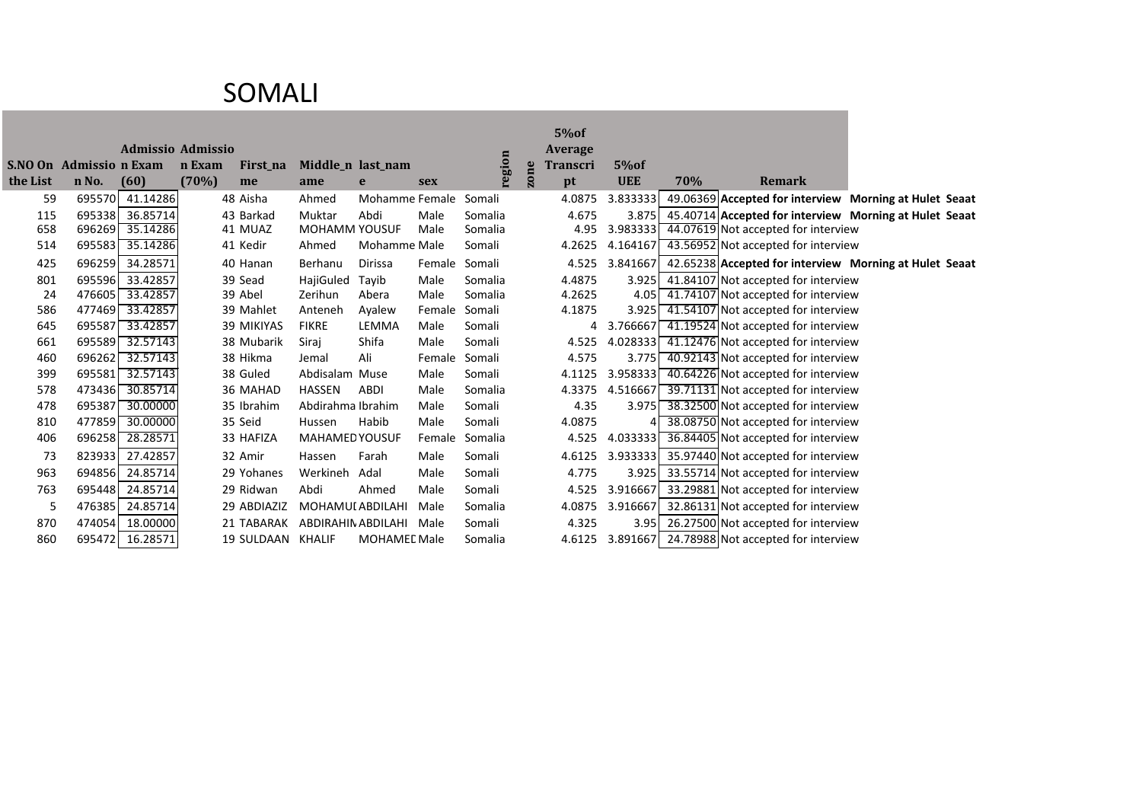#### SOMALI

|            |                        |                          |        |                   |                                |                     |            |         |                         | 5% of                      |                   |     |                                                        |  |
|------------|------------------------|--------------------------|--------|-------------------|--------------------------------|---------------------|------------|---------|-------------------------|----------------------------|-------------------|-----|--------------------------------------------------------|--|
|            | S.NO On Admission Exam | <b>Admissio Admissio</b> | n Exam |                   |                                |                     |            | region  |                         | Average<br><b>Transcri</b> | 5% of             |     |                                                        |  |
| the List   | n No.                  | (60)                     | (70%)  | First_na<br>me    | ame                            | Middle_n last_nam   |            |         | ne                      |                            | <b>UEE</b>        | 70% | <b>Remark</b>                                          |  |
|            |                        |                          |        |                   |                                | e                   | <b>sex</b> |         | $\overline{\mathbf{z}}$ | pt                         |                   |     |                                                        |  |
| 59         | 695570                 | 41.14286                 |        | 48 Aisha          | Ahmed                          | Mohamme Female      |            | Somali  |                         | 4.0875                     | 3.833333          |     | 49.06369 Accepted for interview Morning at Hulet Seaat |  |
| 115<br>658 | 695338<br>696269       | 36.85714<br>35.14286     |        | 43 Barkad         | Muktar<br><b>MOHAMM YOUSUF</b> | Abdi                | Male       | Somalia |                         | 4.675<br>4.95              | 3.875<br>3.983333 |     | 45.40714 Accepted for interview Morning at Hulet Seaat |  |
|            |                        | 35.14286                 |        | 41 MUAZ           |                                | Mohamme Male        | Male       | Somalia |                         |                            | 4.164167          |     | 44.07619 Not accepted for interview                    |  |
| 514        | 695583                 |                          |        | 41 Kedir          | Ahmed                          |                     |            | Somali  |                         | 4.2625                     |                   |     | 43.56952 Not accepted for interview                    |  |
| 425        | 696259                 | 34.28571                 |        | 40 Hanan          | Berhanu                        | Dirissa             | Female     | Somali  |                         | 4.525                      | 3.841667          |     | 42.65238 Accepted for interview Morning at Hulet Seaat |  |
| 801        | 695596                 | 33.42857                 |        | 39 Sead           | HajiGuled                      | Tayib               | Male       | Somalia |                         | 4.4875                     | 3.925             |     | 41.84107 Not accepted for interview                    |  |
| 24         | 476605                 | 33.42857                 |        | 39 Abel           | Zerihun                        | Abera               | Male       | Somalia |                         | 4.2625                     | 4.05              |     | 41.74107 Not accepted for interview                    |  |
| 586        | 477469                 | 33.42857                 |        | 39 Mahlet         | Anteneh                        | Ayalew              | Female     | Somali  |                         | 4.1875                     | 3.925             |     | 41.54107 Not accepted for interview                    |  |
| 645        | 695587                 | 33.42857                 |        | <b>39 MIKIYAS</b> | <b>FIKRE</b>                   | LEMMA               | Male       | Somali  |                         | 4                          | 3.766667          |     | 41.19524 Not accepted for interview                    |  |
| 661        | 695589                 | 32.57143                 |        | 38 Mubarik        | Siraj                          | Shifa               | Male       | Somali  |                         | 4.525                      | 4.028333          |     | 41.12476 Not accepted for interview                    |  |
| 460        | 696262                 | 32.57143                 |        | 38 Hikma          | Jemal                          | Ali                 | Female     | Somali  |                         | 4.575                      | 3.775             |     | 40.92143 Not accepted for interview                    |  |
| 399        | 695581                 | 32.57143                 |        | 38 Guled          | Abdisalam Muse                 |                     | Male       | Somali  |                         | 4.1125                     | 3.958333          |     | 40.64226 Not accepted for interview                    |  |
| 578        | 473436                 | 30.85714                 |        | 36 MAHAD          | <b>HASSEN</b>                  | <b>ABDI</b>         | Male       | Somalia |                         | 4.3375                     | 4.516667          |     | 39.71131 Not accepted for interview                    |  |
| 478        | 695387                 | 30.00000                 |        | 35 Ibrahim        | Abdirahma Ibrahim              |                     | Male       | Somali  |                         | 4.35                       | 3.975             |     | 38.32500 Not accepted for interview                    |  |
| 810        | 477859                 | 30.00000                 |        | 35 Seid           | Hussen                         | Habib               | Male       | Somali  |                         | 4.0875                     |                   |     | 38.08750 Not accepted for interview                    |  |
| 406        | 696258                 | 28.28571                 |        | 33 HAFIZA         | <b>MAHAMED YOUSUF</b>          |                     | Female     | Somalia |                         | 4.525                      | 4.033333          |     | 36.84405 Not accepted for interview                    |  |
| 73         | 823933                 | 27.42857                 |        | 32 Amir           | Hassen                         | Farah               | Male       | Somali  |                         | 4.6125                     | 3.933333          |     | 35.97440 Not accepted for interview                    |  |
| 963        | 694856                 | 24.85714                 |        | 29 Yohanes        | Werkineh                       | Adal                | Male       | Somali  |                         | 4.775                      | 3.925             |     | 33.55714 Not accepted for interview                    |  |
| 763        | 695448                 | 24.85714                 |        | 29 Ridwan         | Abdi                           | Ahmed               | Male       | Somali  |                         | 4.525                      | 3.916667          |     | 33.29881 Not accepted for interview                    |  |
| 5          | 476385                 | 24.85714                 |        | 29 ABDIAZIZ       | <b>MOHAMUI ABDILAHI</b>        |                     | Male       | Somalia |                         | 4.0875                     | 3.916667          |     | 32.86131 Not accepted for interview                    |  |
| 870        | 474054                 | 18.00000                 |        | 21 TABARAK        | ABDIRAHIN ABDILAHI             |                     | Male       | Somali  |                         | 4.325                      | 3.95              |     | 26.27500 Not accepted for interview                    |  |
| 860        | 695472                 | 16.28571                 |        | 19 SULDAAN KHALIF |                                | <b>MOHAMEL Male</b> |            | Somalia |                         | 4.6125                     |                   |     | 3.891667 24.78988 Not accepted for interview           |  |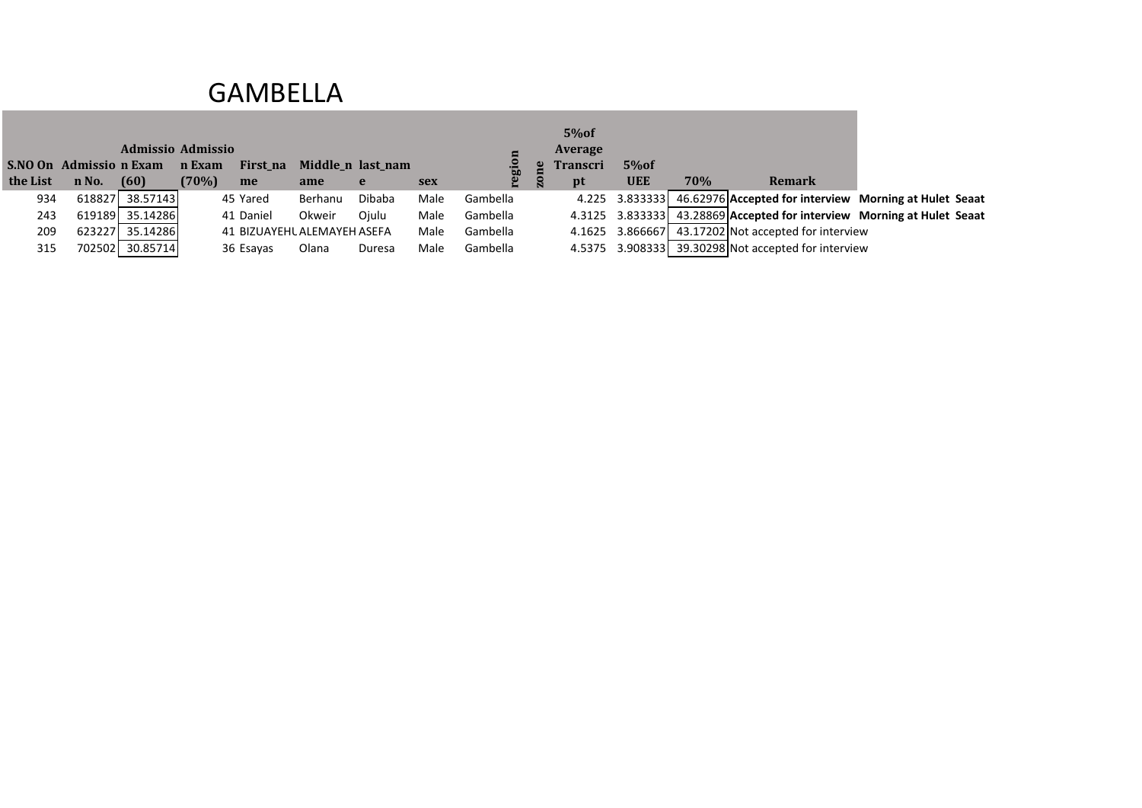#### GAMBELLA

|          |                        |                   |        |                             |         |                   |            |          |   | 5%of            |            |     |                                                                        |  |
|----------|------------------------|-------------------|--------|-----------------------------|---------|-------------------|------------|----------|---|-----------------|------------|-----|------------------------------------------------------------------------|--|
|          |                        | Admissio Admissio |        |                             |         |                   |            |          |   | Average         |            |     |                                                                        |  |
|          | S.NO On Admission Exam |                   | n Exam | First_na                    |         | Middle_n last_nam |            | ТĎ.      |   | <b>Transcri</b> | $5\%$ of   |     |                                                                        |  |
| the List | n No.                  | (60)              | (70%)  | me                          | ame     | e                 | <b>sex</b> | ë.       | ន | pt              | <b>UEE</b> | 70% | <b>Remark</b>                                                          |  |
| 934      |                        | 618827 38.57143   |        | 45 Yared                    | Berhanu | Dibaba            | Male       | Gambella |   |                 |            |     | 4.225 3.833333 46.62976 Accepted for interview Morning at Hulet Seaat  |  |
| 243      |                        | 619189 35.14286   |        | 41 Daniel                   | Okweir  | Ojulu             | Male       | Gambella |   |                 |            |     | 4.3125 3.833333 43.28869 Accepted for interview Morning at Hulet Seaat |  |
| 209      |                        | 623227 35.14286   |        | 41 BIZUAYEHL ALEMAYEH ASEFA |         |                   | Male       | Gambella |   |                 |            |     | 4.1625 3.866667 43.17202 Not accepted for interview                    |  |
| 315      |                        | 702502 30.85714   |        | 36 Esayas                   | Olana   | Duresa            | Male       | Gambella |   |                 |            |     | 4.5375 3.908333 39.30298 Not accepted for interview                    |  |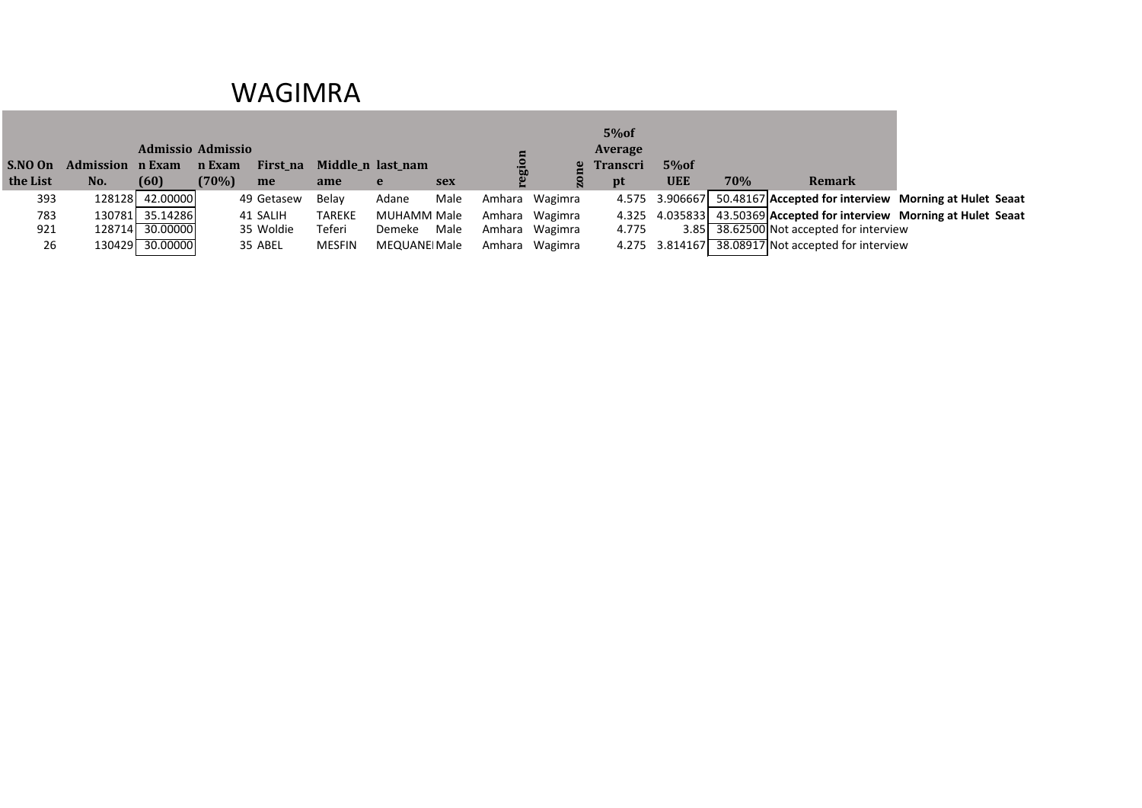#### WAGIMRA

|          |                         |                          |        |            |                   |               |            |        |         | 5%of            |            |     |                                                    |                                                                       |
|----------|-------------------------|--------------------------|--------|------------|-------------------|---------------|------------|--------|---------|-----------------|------------|-----|----------------------------------------------------|-----------------------------------------------------------------------|
|          |                         | <b>Admissio Admissio</b> |        |            |                   |               |            |        |         | Average         |            |     |                                                    |                                                                       |
| S.NO On  | <b>Admission n Exam</b> |                          | n Exam | First_na   | Middle_n last_nam |               |            |        |         | <b>Transcri</b> | $5\%$ of   |     |                                                    |                                                                       |
| the List | No.                     | (60)                     | (70%)  | me         | ame               | e             | <b>sex</b> |        |         | pt              | <b>UEE</b> | 70% | Remark                                             |                                                                       |
| 393      |                         | 128128 42.00000          |        | 49 Getasew | Belav             | Adane         | Male       | Amhara | Wagimra |                 |            |     |                                                    | 4.575 3.906667 50.48167 Accepted for interview Morning at Hulet Seaat |
| 783      | 130781                  | 35.14286                 |        | 41 SALIH   | <b>TAREKE</b>     | MUHAMM Male   |            | Amhara | Wagimra |                 |            |     |                                                    | 4.325 4.035833 43.50369 Accepted for interview Morning at Hulet Seaat |
| 921      |                         | 128714 30.00000          |        | 35 Woldie  | Teferi            | Demeke        | Male       | Amhara | Wagimra | 4.775           |            |     | 3.85 38.62500 Not accepted for interview           |                                                                       |
| 26       |                         | 130429 30.00000          |        | 35 ABEL    | <b>MESFIN</b>     | MEQUANEI Male |            | Amhara | Wagimra |                 |            |     | 4.275 3.814167 38.08917 Not accepted for interview |                                                                       |
|          |                         |                          |        |            |                   |               |            |        |         |                 |            |     |                                                    |                                                                       |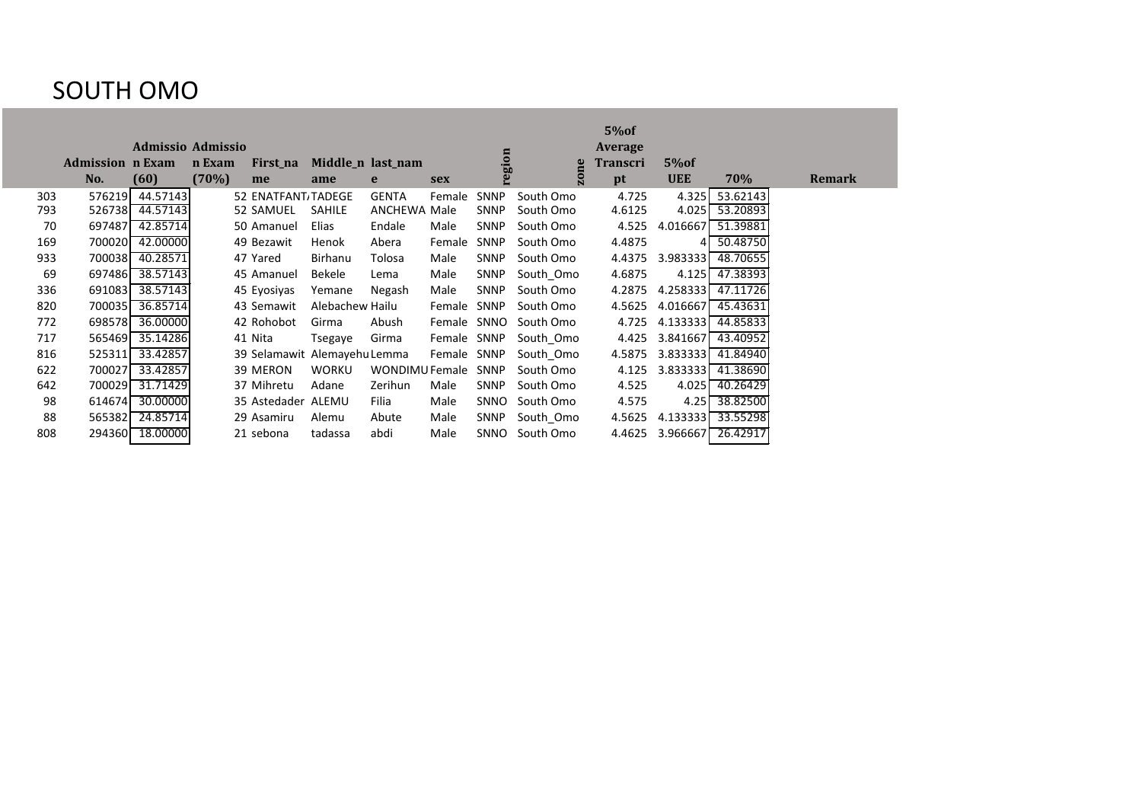#### SOUTH OMO

|     |                         | <b>Admissio Admissio</b> |        |                              |                   |                |             |             |           | 5% of<br>Average |            |          |               |
|-----|-------------------------|--------------------------|--------|------------------------------|-------------------|----------------|-------------|-------------|-----------|------------------|------------|----------|---------------|
|     | <b>Admission n Exam</b> |                          | n Exam | First_na                     | Middle_n last_nam |                |             | region      |           | Transcri         | 5% of      |          |               |
|     | No.                     | (60)                     | (70%)  | me                           | ame               | e              | <b>sex</b>  |             | zone      | pt               | <b>UEE</b> | 70%      | <b>Remark</b> |
| 303 | 576219                  | 44.57143                 |        | 52 ENATFANT, TADEGE          |                   | <b>GENTA</b>   | Female      | <b>SNNP</b> | South Omo | 4.725            | 4.325      | 53.62143 |               |
| 793 | 526738                  | 44.57143                 |        | 52 SAMUEL                    | <b>SAHILE</b>     | ANCHEWA Male   |             | <b>SNNP</b> | South Omo | 4.6125           | 4.025      | 53.20893 |               |
| 70  | 697487                  | 42.85714                 |        | 50 Amanuel                   | Elias             | Endale         | Male        | SNNP        | South Omo | 4.525            | 4.016667   | 51.39881 |               |
| 169 | 700020                  | 42.00000                 |        | 49 Bezawit                   | Henok             | Abera          | Female      | <b>SNNP</b> | South Omo | 4.4875           |            | 50.48750 |               |
| 933 | 700038                  | 40.28571                 |        | 47 Yared                     | Birhanu           | Tolosa         | Male        | <b>SNNP</b> | South Omo | 4.4375           | 3.983333   | 48.70655 |               |
| 69  | 697486                  | 38.57143                 |        | 45 Amanuel                   | <b>Bekele</b>     | Lema           | Male        | <b>SNNP</b> | South Omo | 4.6875           | 4.125      | 47.38393 |               |
| 336 | 691083                  | 38.57143                 |        | 45 Eyosiyas                  | Yemane            | Negash         | Male        | SNNP        | South Omo | 4.2875           | 4.258333   | 47.11726 |               |
| 820 | 700035                  | 36.85714                 |        | 43 Semawit                   | Alebachew Hailu   |                | Female      | SNNP        | South Omo | 4.5625           | 4.016667   | 45.43631 |               |
| 772 | 698578                  | 36.00000                 |        | 42 Rohobot                   | Girma             | Abush          | Female SNNO |             | South Omo | 4.725            | 4.133333   | 44.85833 |               |
| 717 | 565469                  | 35.14286                 |        | 41 Nita                      | Tsegaye           | Girma          | Female      | SNNP        | South_Omo | 4.425            | 3.841667   | 43.40952 |               |
| 816 | 525311                  | 33.42857                 |        | 39 Selamawit Alemayehu Lemma |                   |                | Female      | SNNP        | South_Omo | 4.5875           | 3.833333   | 41.84940 |               |
| 622 | 700027                  | 33.42857                 |        | 39 MERON                     | <b>WORKU</b>      | WONDIMU Female |             | SNNP        | South Omo | 4.125            | 3.833333   | 41.38690 |               |
| 642 | 700029                  | 31.71429                 |        | 37 Mihretu                   | Adane             | Zerihun        | Male        | SNNP        | South Omo | 4.525            | 4.025      | 40.26429 |               |
| 98  | 614674                  | 30.00000                 |        | 35 Astedader ALEMU           |                   | Filia          | Male        | SNNO        | South Omo | 4.575            | 4.25       | 38.82500 |               |
| 88  | 565382                  | 24.85714                 |        | 29 Asamiru                   | Alemu             | Abute          | Male        | <b>SNNP</b> | South Omo | 4.5625           | 4.133333   | 33.55298 |               |
| 808 | 294360                  | 18.00000                 |        | 21 sebona                    | tadassa           | abdi           | Male        | SNNO        | South Omo | 4.4625           | 3.966667   | 26.42917 |               |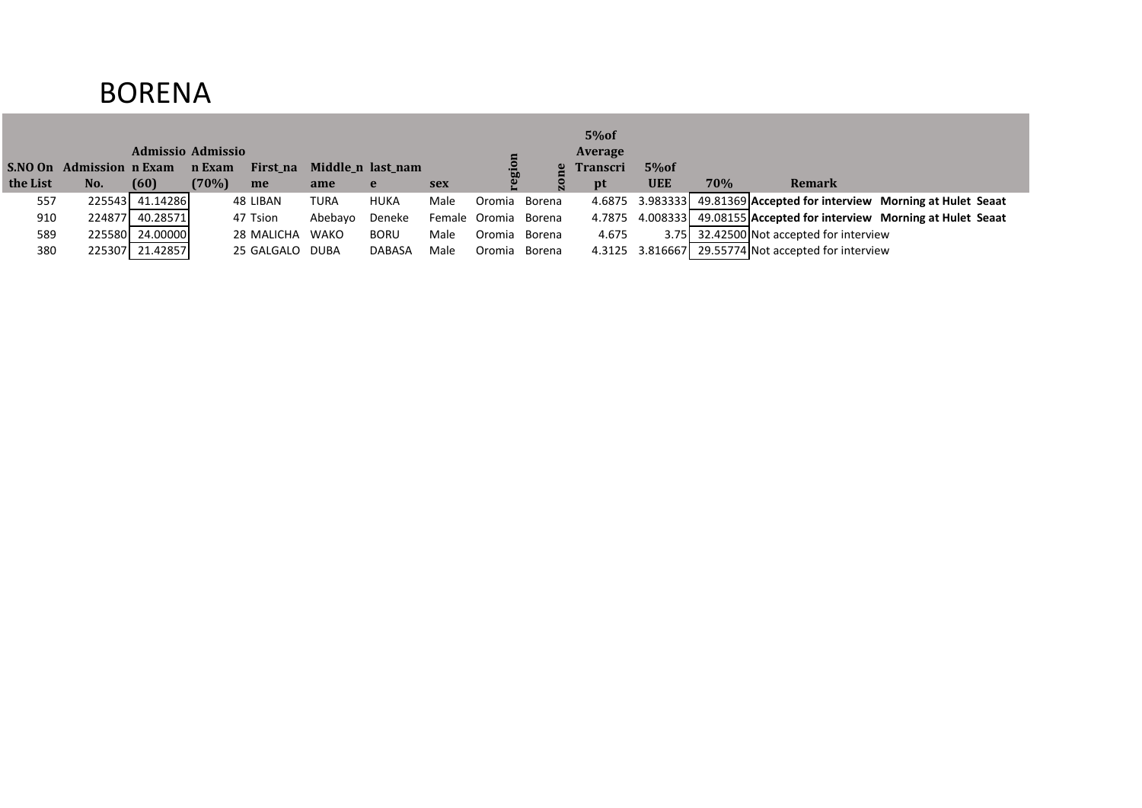## BORENA

|          |                          |                   |          |                 |         |                   |            |                      |        | 5%of     |            |     |                                                                        |                                                                 |
|----------|--------------------------|-------------------|----------|-----------------|---------|-------------------|------------|----------------------|--------|----------|------------|-----|------------------------------------------------------------------------|-----------------------------------------------------------------|
|          |                          | Admissio Admissio |          |                 |         |                   |            |                      |        | Average  |            |     |                                                                        |                                                                 |
|          | S.NO On Admission n Exam |                   | n Exam   | First_na        |         | Middle_n last_nam |            |                      |        | Transcri | 5%of       |     |                                                                        |                                                                 |
| the List | No.                      | (60)              | $(70\%)$ | me              | ame     | e                 | <b>sex</b> |                      |        | pt       | <b>UEE</b> | 70% | <b>Remark</b>                                                          |                                                                 |
| 557      |                          | 225543 41.14286   |          | 48 LIBAN        | TURA    | <b>HUKA</b>       | Male       | Oromia               | Borena |          |            |     | 4.6875 3.983333 49.81369 Accepted for interview Morning at Hulet Seaat |                                                                 |
| 910      |                          | 224877 40.28571   |          | 47 Tsion        | Abebayo | Deneke            |            | Female Oromia Borena |        | 4.7875   |            |     |                                                                        | 4.008333 49.08155 Accepted for interview Morning at Hulet Seaat |
| 589      |                          | 225580 24.00000   |          | 28 MALICHA      | WAKO    | <b>BORU</b>       | Male       | Oromia               | Borena | 4.675    | 3.75L      |     | 32.42500 Not accepted for interview                                    |                                                                 |
| 380      |                          | 225307 21.42857   |          | 25 GALGALO DUBA |         | <b>DABASA</b>     | Male       | Oromia               | Borena |          |            |     | 4.3125 3.816667 29.55774 Not accepted for interview                    |                                                                 |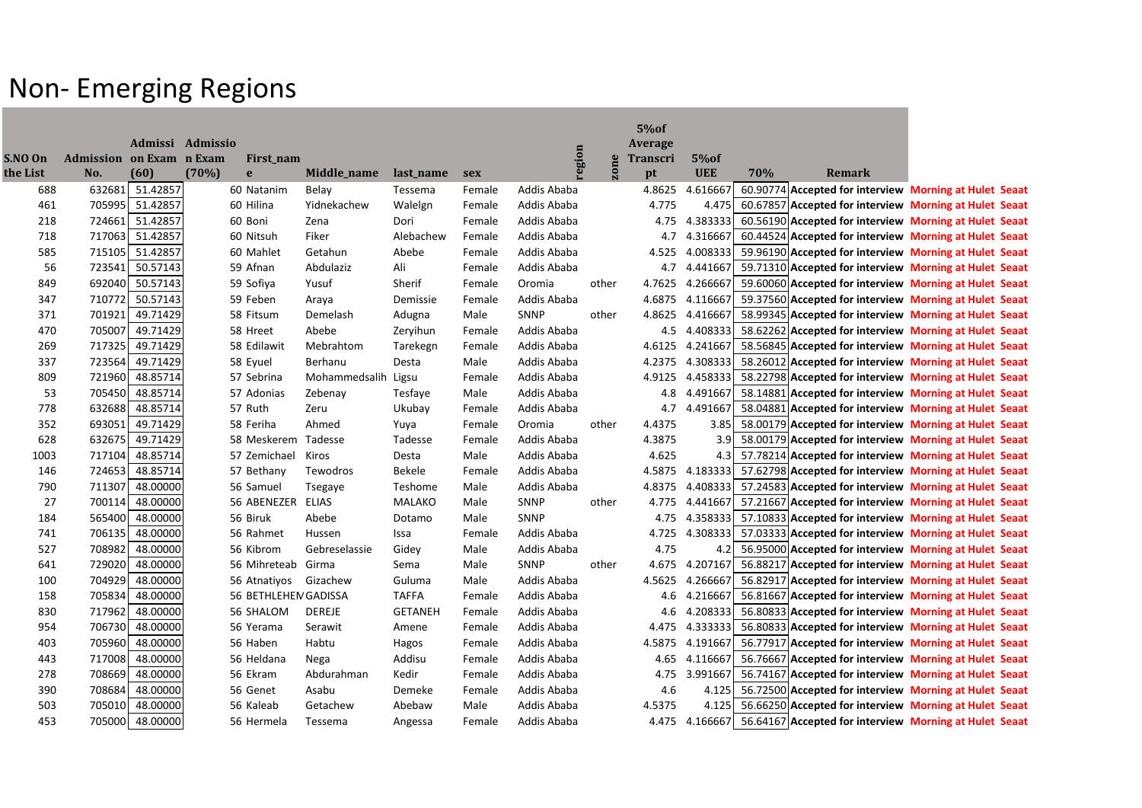## Non- Emerging Regions

|          |                                 |                  |       |                       |               |                |            |                            |       | 5% of           |                |     |        |                                                                        |
|----------|---------------------------------|------------------|-------|-----------------------|---------------|----------------|------------|----------------------------|-------|-----------------|----------------|-----|--------|------------------------------------------------------------------------|
|          |                                 | Admissi Admissio |       |                       |               |                |            |                            |       | Average         |                |     |        |                                                                        |
| S.NO On  | <b>Admission on Exam n Exam</b> |                  |       | First_nam             |               |                |            | region                     | zone  | <b>Transcri</b> | $5\%$ of       |     |        |                                                                        |
| the List | No.                             | (60)             | (70%) | e                     | Middle_name   | last_name      | <b>sex</b> |                            |       | pt              | <b>UEE</b>     | 70% | Remark |                                                                        |
| 688      | 632681                          | 51.42857         |       | 60 Natanim            | Belay         | Tessema        | Female     | Addis Ababa                |       | 4.8625          | 4.616667       |     |        | 60.90774 Accepted for interview Morning at Hulet Seaat                 |
| 461      | 705995                          | 51.42857         |       | 60 Hilina             | Yidnekachew   | Walelgn        | Female     | Addis Ababa                |       | 4.775           | 4.475          |     |        | 60.67857 Accepted for interview Morning at Hulet Seaat                 |
| 218      | 724661                          | 51.42857         |       | 60 Boni<br>60 Nitsuh  | Zena          | Dori           | Female     | Addis Ababa<br>Addis Ababa |       | 4.75            | 4.383333       |     |        | 60.56190 Accepted for interview Morning at Hulet Seaat                 |
| 718      |                                 | 717063 51.42857  |       |                       | Fiker         | Alebachew      | Female     |                            |       | 4.7             | 4.316667       |     |        | 60.44524 Accepted for interview Morning at Hulet Seaat                 |
| 585      | 715105                          | 51.42857         |       | 60 Mahlet             | Getahun       | Abebe          | Female     | Addis Ababa                |       | 4.525           |                |     |        | 4.008333 59.96190 Accepted for interview Morning at Hulet Seaat        |
| 56       | 723541                          | 50.57143         |       | 59 Afnan              | Abdulaziz     | Ali            | Female     | Addis Ababa                |       | 4.7             | 4.441667       |     |        | 59.71310 Accepted for interview Morning at Hulet Seaat                 |
| 849      | 692040                          | 50.57143         |       | 59 Sofiya             | Yusuf         | Sherif         | Female     | Oromia                     | other | 4.7625          | 4.266667       |     |        | 59.60060 Accepted for interview Morning at Hulet Seaat                 |
| 347      | 710772                          | 50.57143         |       | 59 Feben              | Araya         | Demissie       | Female     | Addis Ababa                |       | 4.6875          | 4.116667       |     |        | 59.37560 Accepted for interview Morning at Hulet Seaat                 |
| 371      | 701921                          | 49.71429         |       | 58 Fitsum             | Demelash      | Adugna         | Male       | SNNP                       | other | 4.8625          |                |     |        | 4.416667 58.99345 Accepted for interview Morning at Hulet Seaat        |
| 470      | 705007                          | 49.71429         |       | 58 Hreet              | Abebe         | Zeryihun       | Female     | Addis Ababa                |       |                 |                |     |        | 4.5 4.408333 58.62262 Accepted for interview Morning at Hulet Seaat    |
| 269      | 717325                          | 49.71429         |       | 58 Edilawit           | Mebrahtom     | Tarekegn       | Female     | Addis Ababa                |       | 4.6125          | 4.241667       |     |        | 58.56845 Accepted for interview Morning at Hulet Seaat                 |
| 337      | 723564                          | 49.71429         |       | 58 Eyuel              | Berhanu       | Desta          | Male       | Addis Ababa                |       | 4.2375          |                |     |        | 4.308333 58.26012 Accepted for interview Morning at Hulet Seaat        |
| 809      | 721960                          | 48.85714         |       | 57 Sebrina            | Mohammedsalih | Ligsu          | Female     | Addis Ababa                |       |                 |                |     |        | 4.9125 4.458333 58.22798 Accepted for interview Morning at Hulet Seaat |
| 53       | 705450                          | 48.85714         |       | 57 Adonias            | Zebenay       | Tesfaye        | Male       | Addis Ababa                |       | 4.8             | 4.491667       |     |        | 58.14881 Accepted for interview Morning at Hulet Seaat                 |
| 778      | 632688                          | 48.85714         |       | 57 Ruth               | Zeru          | Ukubay         | Female     | Addis Ababa                |       |                 | 4.7 4.491667   |     |        | 58.04881 Accepted for interview Morning at Hulet Seaat                 |
| 352      | 693051                          | 49.71429         |       | 58 Feriha             | Ahmed         | Yuya           | Female     | Oromia                     | other | 4.4375          |                |     |        | 3.85 58.00179 Accepted for interview Morning at Hulet Seaat            |
| 628      | 632675                          | 49.71429         |       | 58 Meskerem Tadesse   |               | Tadesse        | Female     | Addis Ababa                |       | 4.3875          |                |     |        | 3.9 58.00179 Accepted for interview Morning at Hulet Seaat             |
| 1003     | 717104                          | 48.85714         |       | 57 Zemichael          | Kiros         | Desta          | Male       | Addis Ababa                |       | 4.625           |                |     |        | 4.3 57.78214 Accepted for interview Morning at Hulet Seaat             |
| 146      | 724653                          | 48.85714         |       | 57 Bethany            | Tewodros      | Bekele         | Female     | Addis Ababa                |       | 4.5875          |                |     |        | 4.183333 57.62798 Accepted for interview Morning at Hulet Seaat        |
| 790      | 711307                          | 48.00000         |       | 56 Samuel             | Tsegaye       | Teshome        | Male       | Addis Ababa                |       | 4.8375          |                |     |        | 4.408333 57.24583 Accepted for interview Morning at Hulet Seaat        |
| 27       | 700114                          | 48.00000         |       | 56 ABENEZER ELIAS     |               | <b>MALAKO</b>  | Male       | SNNP                       | other | 4.775           | 4.441667       |     |        | 57.21667 Accepted for interview Morning at Hulet Seaat                 |
| 184      | 565400                          | 48.00000         |       | 56 Biruk              | Abebe         | Dotamo         | Male       | SNNP                       |       | 4.75            |                |     |        | 4.358333 57.10833 Accepted for interview Morning at Hulet Seaat        |
| 741      | 706135                          | 48.00000         |       | 56 Rahmet             | Hussen        | Issa           | Female     | Addis Ababa                |       | 4.725           |                |     |        | 4.308333 57.03333 Accepted for interview Morning at Hulet Seaat        |
| 527      | 708982                          | 48.00000         |       | 56 Kibrom             | Gebreselassie | Gidey          | Male       | Addis Ababa                |       | 4.75            |                |     |        | 4.2 56.95000 Accepted for interview Morning at Hulet Seaat             |
| 641      | 729020                          | 48.00000         |       | 56 Mihreteab Girma    |               | Sema           | Male       | SNNP                       | other |                 | 4.675 4.207167 |     |        | 56.88217 Accepted for interview Morning at Hulet Seaat                 |
| 100      | 704929                          | 48.00000         |       | 56 Atnatiyos Gizachew |               | Guluma         | Male       | Addis Ababa                |       | 4.5625          | 4.266667       |     |        | 56.82917 Accepted for interview Morning at Hulet Seaat                 |
| 158      | 705834                          | 48.00000         |       | 56 BETHLEHEN GADISSA  |               | <b>TAFFA</b>   | Female     | Addis Ababa                |       |                 |                |     |        | 4.6 4.216667 56.81667 Accepted for interview Morning at Hulet Seaat    |
| 830      | 717962                          | 48.00000         |       | 56 SHALOM             | DEREJE        | <b>GETANEH</b> | Female     | Addis Ababa                |       |                 |                |     |        | 4.6 4.208333 56.80833 Accepted for interview Morning at Hulet Seaat    |
| 954      | 706730                          | 48.00000         |       | 56 Yerama             | Serawit       | Amene          | Female     | Addis Ababa                |       |                 |                |     |        | 4.475 4.333333 56.80833 Accepted for interview Morning at Hulet Seaat  |
| 403      | 705960                          | 48.00000         |       | 56 Haben              | Habtu         | Hagos          | Female     | Addis Ababa                |       |                 |                |     |        | 4.5875 4.191667 56.77917 Accepted for interview Morning at Hulet Seaat |
| 443      | 717008                          | 48.00000         |       | 56 Heldana            | Nega          | Addisu         | Female     | Addis Ababa                |       |                 | 4.65 4.116667  |     |        | 56.76667 Accepted for interview Morning at Hulet Seaat                 |
| 278      | 708669                          | 48.00000         |       | 56 Ekram              | Abdurahman    | Kedir          | Female     | Addis Ababa                |       | 4.75            |                |     |        | 3.991667 56.74167 Accepted for interview Morning at Hulet Seaat        |
| 390      | 708684                          | 48.00000         |       | 56 Genet              | Asabu         | Demeke         | Female     | Addis Ababa                |       | 4.6             |                |     |        | 4.125   56.72500 Accepted for interview Morning at Hulet Seaat         |
| 503      |                                 | 705010 48.00000  |       | 56 Kaleab             | Getachew      | Abebaw         | Male       | Addis Ababa                |       | 4.5375          |                |     |        | 4.125 56.66250 Accepted for interview Morning at Hulet Seaat           |
| 453      |                                 | 705000 48.00000  |       | 56 Hermela            | Tessema       | Angessa        | Female     | Addis Ababa                |       |                 |                |     |        | 4.475 4.166667 56.64167 Accepted for interview Morning at Hulet Seaat  |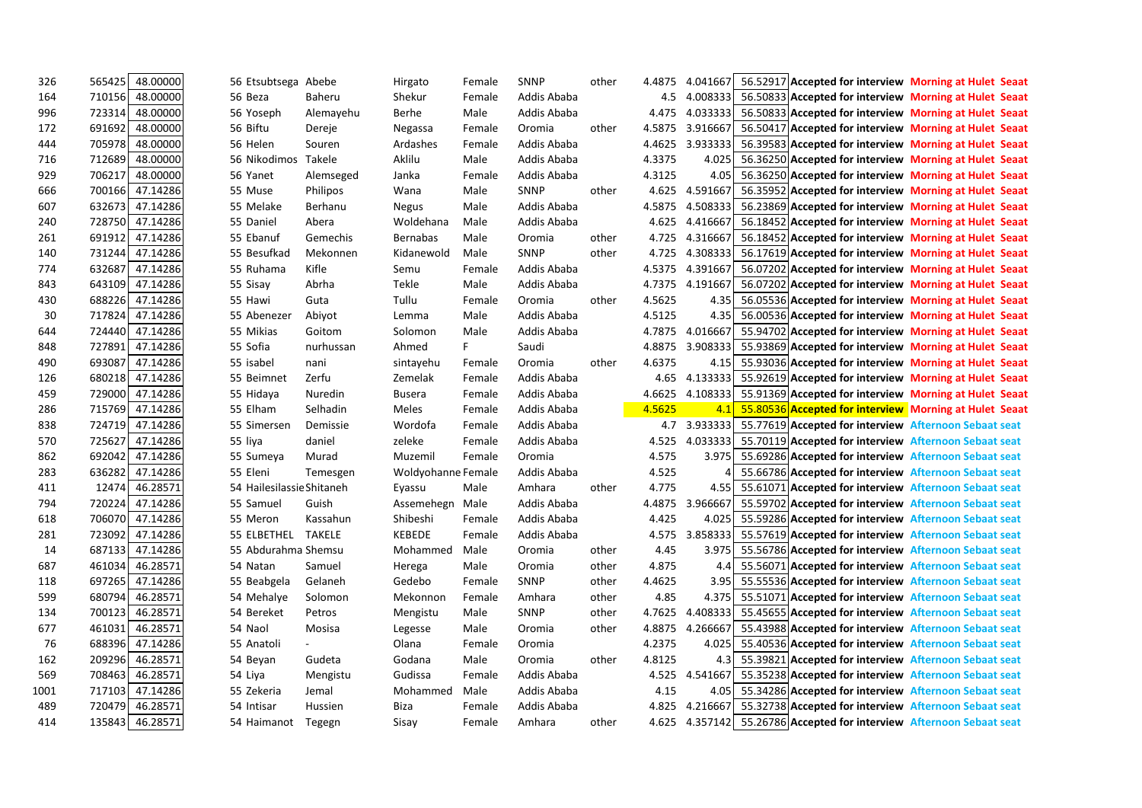| 326  | 565425 | 48.00000        | 56 Etsubtsega Abebe |                           | Hirgato            | Female | <b>SNNP</b> | other | 4.4875 | 4.041667       |                                                                      | 56.52917 Accepted for interview Morning at Hulet Seaat          |
|------|--------|-----------------|---------------------|---------------------------|--------------------|--------|-------------|-------|--------|----------------|----------------------------------------------------------------------|-----------------------------------------------------------------|
| 164  | 710156 | 48.00000        | 56 Beza             | <b>Baheru</b>             | Shekur             | Female | Addis Ababa |       | 4.5    | 4.008333       |                                                                      | 56.50833 Accepted for interview Morning at Hulet Seaat          |
| 996  | 723314 | 48.00000        | 56 Yoseph           | Alemayehu                 | <b>Berhe</b>       | Male   | Addis Ababa |       | 4.475  | 4.033333       |                                                                      | 56.50833 Accepted for interview Morning at Hulet Seaat          |
| 172  | 691692 | 48.00000        | 56 Biftu            | Dereje                    | Negassa            | Female | Oromia      | other | 4.5875 | 3.916667       |                                                                      | 56.50417 Accepted for interview Morning at Hulet Seaat          |
| 444  | 705978 | 48.00000        | 56 Helen            | Souren                    | Ardashes           | Female | Addis Ababa |       | 4.4625 | 3.933333       |                                                                      | 56.39583 Accepted for interview Morning at Hulet Seaat          |
| 716  | 712689 | 48.00000        | 56 Nikodimos        | Takele                    | Aklilu             | Male   | Addis Ababa |       | 4.3375 | 4.025          |                                                                      | 56.36250 Accepted for interview Morning at Hulet Seaat          |
| 929  | 706217 | 48.00000        | 56 Yanet            | Alemseged                 | Janka              | Female | Addis Ababa |       | 4.3125 | 4.05           |                                                                      | 56.36250 Accepted for interview Morning at Hulet Seaat          |
| 666  | 700166 | 47.14286        | 55 Muse             | <b>Philipos</b>           | Wana               | Male   | SNNP        | other | 4.625  | 4.591667       |                                                                      | 56.35952 Accepted for interview Morning at Hulet Seaat          |
| 607  | 632673 | 47.14286        | 55 Melake           | Berhanu                   | Negus              | Male   | Addis Ababa |       | 4.5875 | 4.508333       |                                                                      | 56.23869 Accepted for interview Morning at Hulet Seaat          |
| 240  | 728750 | 47.14286        | 55 Daniel           | Abera                     | Woldehana          | Male   | Addis Ababa |       | 4.625  | 4.416667       |                                                                      | 56.18452 Accepted for interview Morning at Hulet Seaat          |
| 261  | 691912 | 47.14286        | 55 Ebanuf           | Gemechis                  | <b>Bernabas</b>    | Male   | Oromia      | other | 4.725  | 4.316667       |                                                                      | 56.18452 Accepted for interview Morning at Hulet Seaat          |
| 140  | 731244 | 47.14286        | 55 Besufkad         | Mekonnen                  | Kidanewold         | Male   | <b>SNNP</b> | other | 4.725  | 4.308333       |                                                                      | 56.17619 Accepted for interview Morning at Hulet Seaat          |
| 774  | 632687 | 47.14286        | 55 Ruhama           | Kifle                     | Semu               | Female | Addis Ababa |       | 4.5375 | 4.391667       |                                                                      | 56.07202 Accepted for interview Morning at Hulet Seaat          |
| 843  | 643109 | 47.14286        | 55 Sisay            | Abrha                     | Tekle              | Male   | Addis Ababa |       | 4.7375 | 4.191667       |                                                                      | 56.07202 Accepted for interview Morning at Hulet Seaat          |
| 430  | 688226 | 47.14286        | 55 Hawi             | Guta                      | Tullu              | Female | Oromia      | other | 4.5625 | 4.35I          |                                                                      | 56.05536 Accepted for interview Morning at Hulet Seaat          |
| 30   | 717824 | 47.14286        | 55 Abenezer         | Abiyot                    | Lemma              | Male   | Addis Ababa |       | 4.5125 | 4.35           |                                                                      | 56.00536 Accepted for interview Morning at Hulet Seaat          |
| 644  | 724440 | 47.14286        | 55 Mikias           | Goitom                    | Solomon            | Male   | Addis Ababa |       | 4.7875 | 4.016667       |                                                                      | 55.94702 Accepted for interview Morning at Hulet Seaat          |
| 848  | 727891 | 47.14286        | 55 Sofia            | nurhussan                 | Ahmed              | F.     | Saudi       |       | 4.8875 | 3.908333       |                                                                      | 55.93869 Accepted for interview Morning at Hulet Seaat          |
| 490  | 693087 | 47.14286        | 55 isabel           | nani                      | sintayehu          | Female | Oromia      | other | 4.6375 | 4.15           |                                                                      | 55.93036 Accepted for interview Morning at Hulet Seaat          |
| 126  | 680218 | 47.14286        | 55 Beimnet          | Zerfu                     | Zemelak            | Female | Addis Ababa |       | 4.65   |                |                                                                      | 4.133333 55.92619 Accepted for interview Morning at Hulet Seaat |
| 459  | 729000 | 47.14286        | 55 Hidaya           | Nuredin                   | <b>Busera</b>      | Female | Addis Ababa |       | 4.6625 | 4.108333       |                                                                      | 55.91369 Accepted for interview Morning at Hulet Seaat          |
| 286  | 715769 | 47.14286        | 55 Elham            | <b>Selhadin</b>           | Meles              | Female | Addis Ababa |       | 4.5625 | 4.1            |                                                                      | 55.80536 Accepted for interview Morning at Hulet Seaat          |
| 838  | 724719 | 47.14286        | 55 Simersen         | Demissie                  | Wordofa            | Female | Addis Ababa |       | 4.7    | 3.933333       | 55.77619 Accepted for interview Afternoon Sebaat seat                |                                                                 |
| 570  | 725627 | 47.14286        | 55 liya             | daniel                    | zeleke             | Female | Addis Ababa |       | 4.525  | 4.033333       | 55.70119 Accepted for interview Afternoon Sebaat seat                |                                                                 |
| 862  | 692042 | 47.14286        | 55 Sumeya           | Murad                     | Muzemil            | Female | Oromia      |       | 4.575  |                | 3.975 55.69286 Accepted for interview Afternoon Sebaat seat          |                                                                 |
| 283  | 636282 | 47.14286        | 55 Eleni            | Temesgen                  | Woldyohanne Female |        | Addis Ababa |       | 4.525  |                | 55.66786 Accepted for interview Afternoon Sebaat seat                |                                                                 |
| 411  | 12474  | 46.28571        |                     | 54 Hailesilassie Shitaneh | Eyassu             | Male   | Amhara      | other | 4.775  | 4.55 l         | 55.61071 Accepted for interview Afternoon Sebaat seat                |                                                                 |
| 794  | 720224 | 47.14286        | 55 Samuel           | Guish                     | Assemehegn Male    |        | Addis Ababa |       | 4.4875 | 3.966667       | 55.59702 Accepted for interview Afternoon Sebaat seat                |                                                                 |
| 618  | 706070 | 47.14286        | 55 Meron            | Kassahun                  | Shibeshi           | Female | Addis Ababa |       | 4.425  | 4.025          | 55.59286 Accepted for interview Afternoon Sebaat seat                |                                                                 |
| 281  | 723092 | 47.14286        | 55 ELBETHEL         | <b>TAKELE</b>             | <b>KEBEDE</b>      | Female | Addis Ababa |       | 4.575  |                | 3.858333 55.57619 Accepted for interview Afternoon Sebaat seat       |                                                                 |
| 14   |        | 687133 47.14286 |                     | 55 Abdurahma Shemsu       | Mohammed           | Male   | Oromia      | other | 4.45   |                | 3.975 55.56786 Accepted for interview Afternoon Sebaat seat          |                                                                 |
| 687  | 461034 | 46.28571        | 54 Natan            | Samuel                    | Herega             | Male   | Oromia      | other | 4.875  | 4.4I           | 55.56071 Accepted for interview Afternoon Sebaat seat                |                                                                 |
| 118  | 697265 | 47.14286        | 55 Beabgela         | Gelaneh                   | Gedebo             | Female | SNNP        | other | 4.4625 |                | 3.95 55.55536 Accepted for interview Afternoon Sebaat seat           |                                                                 |
| 599  | 680794 | 46.28571        | 54 Mehalye          | Solomon                   | Mekonnon           | Female | Amhara      | other | 4.85   |                | 4.375 55.51071 Accepted for interview Afternoon Sebaat seat          |                                                                 |
| 134  | 700123 | 46.28571        | 54 Bereket          | Petros                    | Mengistu           | Male   | SNNP        | other | 4.7625 |                | 4.408333 55.45655 Accepted for interview Afternoon Sebaat seat       |                                                                 |
| 677  | 461031 | 46.28571        | 54 Naol             | Mosisa                    | Legesse            | Male   | Oromia      | other | 4.8875 | 4.266667       | 55.43988 Accepted for interview Afternoon Sebaat seat                |                                                                 |
| 76   | 688396 | 47.14286        | 55 Anatoli          |                           | Olana              | Female | Oromia      |       | 4.2375 |                | 4.025 55.40536 Accepted for interview Afternoon Sebaat seat          |                                                                 |
| 162  | 209296 | 46.28571        | 54 Beyan            | Gudeta                    | Godana             | Male   | Oromia      | other | 4.8125 |                | 4.3 55.39821 Accepted for interview Afternoon Sebaat seat            |                                                                 |
| 569  | 708463 | 46.28571        | 54 Liya             | Mengistu                  | Gudissa            | Female | Addis Ababa |       |        | 4.525 4.541667 | 55.35238 Accepted for interview Afternoon Sebaat seat                |                                                                 |
| 1001 | 717103 | 47.14286        | 55 Zekeria          | Jemal                     | Mohammed           | Male   | Addis Ababa |       | 4.15   |                | 4.05 55.34286 Accepted for interview Afternoon Sebaat seat           |                                                                 |
| 489  | 720479 | 46.28571        | 54 Intisar          | Hussien                   | Biza               | Female | Addis Ababa |       | 4.825  | 4.216667       | 55.32738 Accepted for interview Afternoon Sebaat seat                |                                                                 |
| 414  | 135843 | 46.28571        |                     | 54 Haimanot Tegegn        | Sisay              | Female | Amhara      | other |        |                | 4.625 4.357142 55.26786 Accepted for interview Afternoon Sebaat seat |                                                                 |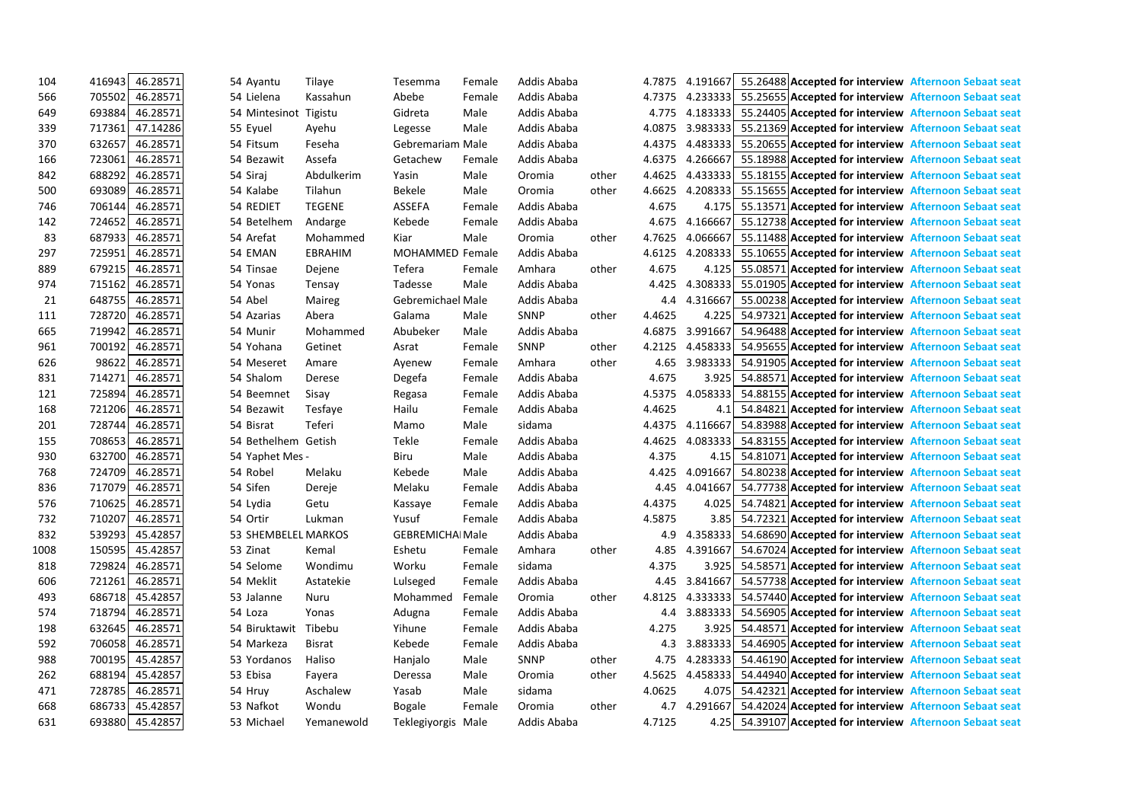| 104  | 46.28571<br>416943 | 54 Ayantu           | Tilaye         | Tesemma                 | Female | Addis Ababa |       | 4.7875 | 4.191667 | 55.26488 Accepted for interview Afternoon Sebaat seat               |  |
|------|--------------------|---------------------|----------------|-------------------------|--------|-------------|-------|--------|----------|---------------------------------------------------------------------|--|
| 566  | 705502<br>46.28571 | 54 Lielena          | Kassahun       | Abebe                   | Female | Addis Ababa |       | 4.7375 |          | 4.233333 55.25655 Accepted for interview Afternoon Sebaat seat      |  |
| 649  | 693884<br>46.28571 | 54 Mintesinot       | Tigistu        | Gidreta                 | Male   | Addis Ababa |       | 4.775  |          | 4.183333 55.24405 Accepted for interview Afternoon Sebaat seat      |  |
| 339  | 47.14286<br>717361 | 55 Eyuel            | Ayehu          | Legesse                 | Male   | Addis Ababa |       | 4.0875 |          | 3.983333 55.21369 Accepted for interview Afternoon Sebaat seat      |  |
| 370  | 46.28571<br>632657 | 54 Fitsum           | Feseha         | Gebremariam Male        |        | Addis Ababa |       | 4.4375 | 4.483333 | 55.20655 Accepted for interview Afternoon Sebaat seat               |  |
| 166  | 46.28571<br>723061 | 54 Bezawit          | Assefa         | Getachew                | Female | Addis Ababa |       | 4.6375 | 4.266667 | 55.18988 Accepted for interview Afternoon Sebaat seat               |  |
| 842  | 688292<br>46.28571 | 54 Siraj            | Abdulkerim     | Yasin                   | Male   | Oromia      | other | 4.4625 |          | 4.433333 55.18155 Accepted for interview Afternoon Sebaat seat      |  |
| 500  | 693089<br>46.28571 | 54 Kalabe           | Tilahun        | <b>Bekele</b>           | Male   | Oromia      | other | 4.6625 |          | 4.208333 55.15655 Accepted for interview Afternoon Sebaat seat      |  |
| 746  | 46.28571<br>706144 | 54 REDIET           | <b>TEGENE</b>  | <b>ASSEFA</b>           | Female | Addis Ababa |       | 4.675  | 4.175    | 55.13571 Accepted for interview Afternoon Sebaat seat               |  |
| 142  | 46.28571<br>724652 | 54 Betelhem         | Andarge        | Kebede                  | Female | Addis Ababa |       | 4.675  | 4.166667 | 55.12738 Accepted for interview Afternoon Sebaat seat               |  |
| 83   | 687933<br>46.28571 | 54 Arefat           | Mohammed       | Kiar                    | Male   | Oromia      | other | 4.7625 | 4.066667 | 55.11488 Accepted for interview Afternoon Sebaat seat               |  |
| 297  | 725951<br>46.28571 | 54 EMAN             | <b>EBRAHIM</b> | MOHAMMED Female         |        | Addis Ababa |       | 4.6125 | 4.208333 | 55.10655 Accepted for interview Afternoon Sebaat seat               |  |
| 889  | 46.28571<br>679215 | 54 Tinsae           | Dejene         | Tefera                  | Female | Amhara      | other | 4.675  | 4.125    | 55.08571 Accepted for interview Afternoon Sebaat seat               |  |
| 974  | 46.28571<br>715162 | 54 Yonas            | Tensay         | Tadesse                 | Male   | Addis Ababa |       | 4.425  | 4.308333 | 55.01905 Accepted for interview Afternoon Sebaat seat               |  |
| 21   | 46.28571<br>648755 | 54 Abel             | Maireg         | Gebremichael Male       |        | Addis Ababa |       | 4.4    | 4.316667 | 55.00238 Accepted for interview Afternoon Sebaat seat               |  |
| 111  | 728720<br>46.28571 | 54 Azarias          | Abera          | Galama                  | Male   | SNNP        | other | 4.4625 | 4.225    | 54.97321 Accepted for interview Afternoon Sebaat seat               |  |
| 665  | 719942<br>46.28571 | 54 Munir            | Mohammed       | Abubeker                | Male   | Addis Ababa |       | 4.6875 | 3.991667 | 54.96488 Accepted for interview Afternoon Sebaat seat               |  |
| 961  | 700192<br>46.28571 | 54 Yohana           | Getinet        | Asrat                   | Female | <b>SNNP</b> | other | 4.2125 |          | 4.458333 54.95655 Accepted for interview Afternoon Sebaat seat      |  |
| 626  | 98622<br>46.28571  | 54 Meseret          | Amare          | Ayenew                  | Female | Amhara      | other | 4.65   | 3.983333 | 54.91905 Accepted for interview Afternoon Sebaat seat               |  |
| 831  | 46.28571<br>714271 | 54 Shalom           | Derese         | Degefa                  | Female | Addis Ababa |       | 4.675  | 3.925    | 54.88571 Accepted for interview Afternoon Sebaat seat               |  |
| 121  | 46.28571<br>725894 | 54 Beemnet          | Sisay          | Regasa                  | Female | Addis Ababa |       | 4.5375 | 4.058333 | 54.88155 Accepted for interview Afternoon Sebaat seat               |  |
| 168  | 721206<br>46.28571 | 54 Bezawit          | Tesfaye        | Hailu                   | Female | Addis Ababa |       | 4.4625 | 4.1      | 54.84821 Accepted for interview Afternoon Sebaat seat               |  |
| 201  | 728744<br>46.28571 | 54 Bisrat           | Teferi         | Mamo                    | Male   | sidama      |       | 4.4375 | 4.116667 | 54.83988 Accepted for interview Afternoon Sebaat seat               |  |
| 155  | 46.28571<br>708653 | 54 Bethelhem Getish |                | Tekle                   | Female | Addis Ababa |       | 4.4625 | 4.083333 | 54.83155 Accepted for interview Afternoon Sebaat seat               |  |
| 930  | 46.28571<br>632700 | 54 Yaphet Mes -     |                | Biru                    | Male   | Addis Ababa |       | 4.375  | 4.15     | 54.81071 Accepted for interview Afternoon Sebaat seat               |  |
| 768  | 724709<br>46.28571 | 54 Robel            | Melaku         | Kebede                  | Male   | Addis Ababa |       | 4.425  | 4.091667 | 54.80238 Accepted for interview Afternoon Sebaat seat               |  |
| 836  | 717079<br>46.28571 | 54 Sifen            | Dereje         | Melaku                  | Female | Addis Ababa |       | 4.45   | 4.041667 | 54.77738 Accepted for interview Afternoon Sebaat seat               |  |
| 576  | 710625<br>46.28571 | 54 Lydia            | Getu           | Kassaye                 | Female | Addis Ababa |       | 4.4375 | 4.025    | 54.74821 Accepted for interview Afternoon Sebaat seat               |  |
| 732  | 46.28571<br>710207 | 54 Ortir            | Lukman         | Yusuf                   | Female | Addis Ababa |       | 4.5875 | 3.85     | 54.72321 Accepted for interview Afternoon Sebaat seat               |  |
| 832  | 45.42857<br>539293 | 53 SHEMBELEL MARKOS |                | <b>GEBREMICHAI Male</b> |        | Addis Ababa |       | 4.9    | 4.358333 | 54.68690 Accepted for interview Afternoon Sebaat seat               |  |
| 1008 | 45.42857<br>150595 | 53 Zinat            | Kemal          | Eshetu                  | Female | Amhara      | other | 4.85   |          | 4.391667 54.67024 Accepted for interview Afternoon Sebaat seat      |  |
| 818  | 46.28571<br>729824 | 54 Selome           | Wondimu        | Worku                   | Female | sidama      |       | 4.375  |          | 3.925 54.58571 Accepted for interview Afternoon Sebaat seat         |  |
| 606  | 721261<br>46.28571 | 54 Meklit           | Astatekie      | Lulseged                | Female | Addis Ababa |       |        |          | 4.45 3.841667 54.57738 Accepted for interview Afternoon Sebaat seat |  |
| 493  | 45.42857<br>686718 | 53 Jalanne          | Nuru           | Mohammed                | Female | Oromia      | other | 4.8125 |          | 4.333333 54.57440 Accepted for interview Afternoon Sebaat seat      |  |
| 574  | 46.28571<br>718794 | 54 Loza             | Yonas          | Adugna                  | Female | Addis Ababa |       | 4.4    |          | 3.883333 54.56905 Accepted for interview Afternoon Sebaat seat      |  |
| 198  | 46.28571<br>632645 | 54 Biruktawit       | Tibebu         | Yihune                  | Female | Addis Ababa |       | 4.275  |          | 3.925 54.48571 Accepted for interview Afternoon Sebaat seat         |  |
| 592  | 46.28571<br>706058 | 54 Markeza          | <b>Bisrat</b>  | Kebede                  | Female | Addis Ababa |       | 4.3    |          | 3.883333 54.46905 Accepted for interview Afternoon Sebaat seat      |  |
| 988  | 700195<br>45.42857 | 53 Yordanos         | Haliso         | Hanjalo                 | Male   | SNNP        | other | 4.75   |          | 4.283333 54.46190 Accepted for interview Afternoon Sebaat seat      |  |
| 262  | 45.42857<br>688194 | 53 Ebisa            | Fayera         | Deressa                 | Male   | Oromia      | other | 4.5625 |          | 4.458333 54.44940 Accepted for interview Afternoon Sebaat seat      |  |
| 471  | 46.28571<br>728785 | 54 Hruy             | Aschalew       | Yasab                   | Male   | sidama      |       | 4.0625 |          | 4.075 54.42321 Accepted for interview Afternoon Sebaat seat         |  |
| 668  | 686733<br>45.42857 | 53 Nafkot           | Wondu          | <b>Bogale</b>           | Female | Oromia      | other |        |          | 4.7 4.291667 54.42024 Accepted for interview Afternoon Sebaat seat  |  |
| 631  | 693880 45.42857    | 53 Michael          | Yemanewold     | Teklegiyorgis Male      |        | Addis Ababa |       | 4.7125 |          | 4.25 54.39107 Accepted for interview Afternoon Sebaat seat          |  |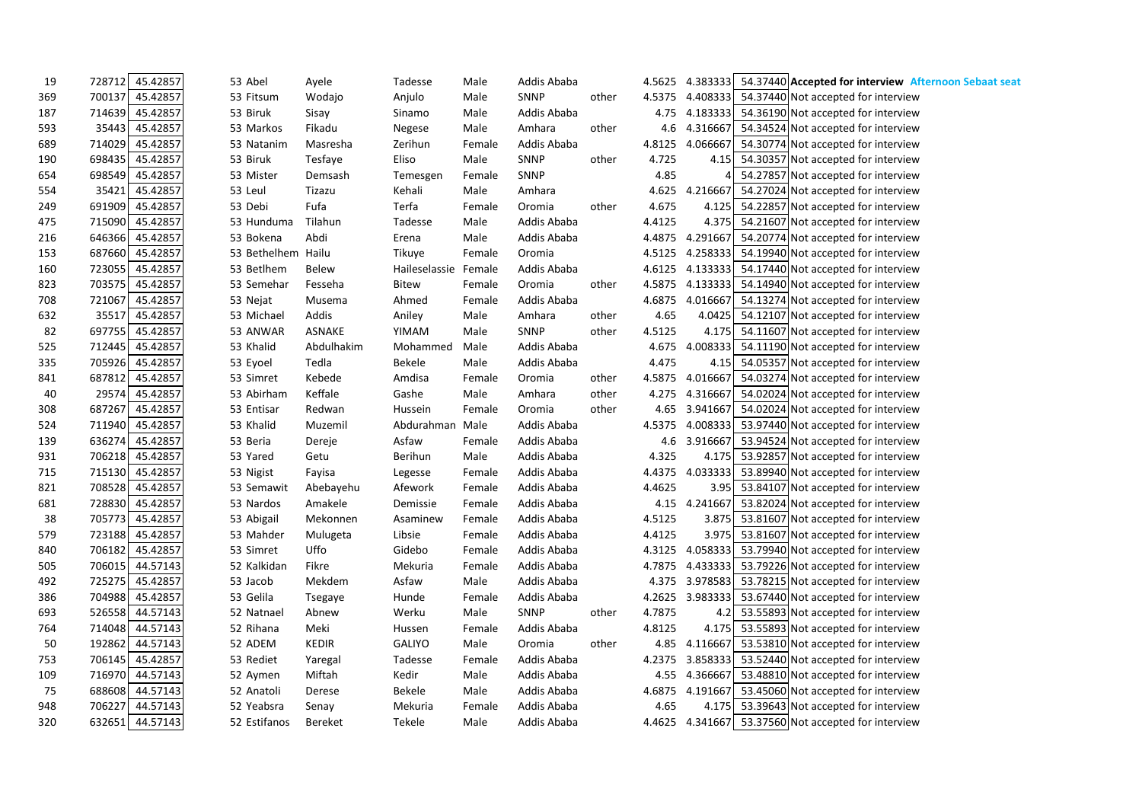| 19  | 728712 | 45.42857        | 53 Abel      | Ayele        | Tadesse       | Male   | Addis Ababa |       | 4.5625 |          | 4.383333 54.37440 Accepted for interview Afternoon Sebaat seat |
|-----|--------|-----------------|--------------|--------------|---------------|--------|-------------|-------|--------|----------|----------------------------------------------------------------|
| 369 | 700137 | 45.42857        | 53 Fitsum    | Wodajo       | Anjulo        | Male   | SNNP        | other | 4.5375 |          | 4.408333 54.37440 Not accepted for interview                   |
| 187 | 714639 | 45.42857        | 53 Biruk     | Sisay        | Sinamo        | Male   | Addis Ababa |       | 4.75   |          | 4.183333 54.36190 Not accepted for interview                   |
| 593 | 35443  | 45.42857        | 53 Markos    | Fikadu       | Negese        | Male   | Amhara      | other | 4.6    | 4.316667 | 54.34524 Not accepted for interview                            |
| 689 | 714029 | 45.42857        | 53 Natanim   | Masresha     | Zerihun       | Female | Addis Ababa |       | 4.8125 | 4.066667 | 54.30774 Not accepted for interview                            |
| 190 | 698435 | 45.42857        | 53 Biruk     | Tesfaye      | Eliso         | Male   | SNNP        | other | 4.725  |          | 4.15 54.30357 Not accepted for interview                       |
| 654 | 698549 | 45.42857        | 53 Mister    | Demsash      | Temesgen      | Female | <b>SNNP</b> |       | 4.85   | 4        | 54.27857 Not accepted for interview                            |
| 554 | 35421  | 45.42857        | 53 Leul      | Tizazu       | Kehali        | Male   | Amhara      |       | 4.625  | 4.216667 | 54.27024 Not accepted for interview                            |
| 249 | 691909 | 45.42857        | 53 Debi      | Fufa         | Terfa         | Female | Oromia      | other | 4.675  |          | 4.125 54.22857 Not accepted for interview                      |
| 475 | 715090 | 45.42857        | 53 Hunduma   | Tilahun      | Tadesse       | Male   | Addis Ababa |       | 4.4125 | 4.375    | 54.21607 Not accepted for interview                            |
| 216 | 646366 | 45.42857        | 53 Bokena    | Abdi         | Erena         | Male   | Addis Ababa |       | 4.4875 | 4.291667 | 54.20774 Not accepted for interview                            |
| 153 | 687660 | 45.42857        | 53 Bethelhem | Hailu        | Tikuye        | Female | Oromia      |       | 4.5125 |          | 4.258333 54.19940 Not accepted for interview                   |
| 160 | 723055 | 45.42857        | 53 Betlhem   | <b>Belew</b> | Haileselassie | Female | Addis Ababa |       | 4.6125 |          | 4.133333 54.17440 Not accepted for interview                   |
| 823 | 703575 | 45.42857        | 53 Semehar   | Fesseha      | <b>Bitew</b>  | Female | Oromia      | other | 4.5875 |          | 4.133333 54.14940 Not accepted for interview                   |
| 708 | 721067 | 45.42857        | 53 Nejat     | Musema       | Ahmed         | Female | Addis Ababa |       | 4.6875 | 4.016667 | 54.13274 Not accepted for interview                            |
| 632 | 35517  | 45.42857        | 53 Michael   | Addis        | Aniley        | Male   | Amhara      | other | 4.65   | 4.0425   | 54.12107 Not accepted for interview                            |
| 82  | 697755 | 45.42857        | 53 ANWAR     | ASNAKE       | YIMAM         | Male   | SNNP        | other | 4.5125 |          | 4.175 54.11607 Not accepted for interview                      |
| 525 | 712445 | 45.42857        | 53 Khalid    | Abdulhakim   | Mohammed      | Male   | Addis Ababa |       | 4.675  |          | 4.008333 54.11190 Not accepted for interview                   |
| 335 | 705926 | 45.42857        | 53 Eyoel     | Tedla        | <b>Bekele</b> | Male   | Addis Ababa |       | 4.475  | 4.15     | 54.05357 Not accepted for interview                            |
| 841 | 687812 | 45.42857        | 53 Simret    | Kebede       | Amdisa        | Female | Oromia      | other | 4.5875 | 4.016667 | 54.03274 Not accepted for interview                            |
| 40  | 29574  | 45.42857        | 53 Abirham   | Keffale      | Gashe         | Male   | Amhara      | other | 4.275  | 4.316667 | 54.02024 Not accepted for interview                            |
| 308 | 687267 | 45.42857        | 53 Entisar   | Redwan       | Hussein       | Female | Oromia      | other | 4.65   |          | 3.941667 54.02024 Not accepted for interview                   |
| 524 | 711940 | 45.42857        | 53 Khalid    | Muzemil      | Abdurahman    | Male   | Addis Ababa |       | 4.5375 |          | 4.008333 53.97440 Not accepted for interview                   |
| 139 | 636274 | 45.42857        | 53 Beria     | Dereje       | Asfaw         | Female | Addis Ababa |       | 4.6    | 3.916667 | 53.94524 Not accepted for interview                            |
| 931 | 706218 | 45.42857        | 53 Yared     | Getu         | Berihun       | Male   | Addis Ababa |       | 4.325  | 4.175    | 53.92857 Not accepted for interview                            |
| 715 |        | 715130 45.42857 | 53 Nigist    | Fayisa       | Legesse       | Female | Addis Ababa |       | 4.4375 | 4.033333 | 53.89940 Not accepted for interview                            |
| 821 | 708528 | 45.42857        | 53 Semawit   | Abebayehu    | Afework       | Female | Addis Ababa |       | 4.4625 | 3.95     | 53.84107 Not accepted for interview                            |
| 681 | 728830 | 45.42857        | 53 Nardos    | Amakele      | Demissie      | Female | Addis Ababa |       | 4.15   | 4.241667 | 53.82024 Not accepted for interview                            |
| 38  | 705773 | 45.42857        | 53 Abigail   | Mekonnen     | Asaminew      | Female | Addis Ababa |       | 4.5125 | 3.875    | 53.81607 Not accepted for interview                            |
| 579 | 723188 | 45.42857        | 53 Mahder    | Mulugeta     | Libsie        | Female | Addis Ababa |       | 4.4125 | 3.975    | 53.81607 Not accepted for interview                            |
| 840 |        | 706182 45.42857 | 53 Simret    | Uffo         | Gidebo        | Female | Addis Ababa |       | 4.3125 |          | 4.058333 53.79940 Not accepted for interview                   |
| 505 |        | 706015 44.57143 | 52 Kalkidan  | Fikre        | Mekuria       | Female | Addis Ababa |       | 4.7875 |          | 4.433333 53.79226 Not accepted for interview                   |
| 492 | 725275 | 45.42857        | 53 Jacob     | Mekdem       | Asfaw         | Male   | Addis Ababa |       |        |          | 4.375 3.978583 53.78215 Not accepted for interview             |
| 386 |        | 704988 45.42857 | 53 Gelila    | Tsegaye      | Hunde         | Female | Addis Ababa |       |        |          | 4.2625 3.983333 53.67440 Not accepted for interview            |
| 693 |        | 526558 44.57143 | 52 Natnael   | Abnew        | Werku         | Male   | SNNP        | other | 4.7875 |          | 4.2 53.55893 Not accepted for interview                        |
| 764 |        | 714048 44.57143 | 52 Rihana    | Meki         | Hussen        | Female | Addis Ababa |       | 4.8125 |          | 4.175 53.55893 Not accepted for interview                      |
| 50  |        | 192862 44.57143 | 52 ADEM      | <b>KEDIR</b> | <b>GALIYO</b> | Male   | Oromia      | other | 4.85   |          | 4.116667 53.53810 Not accepted for interview                   |
| 753 |        | 706145 45.42857 | 53 Rediet    | Yaregal      | Tadesse       | Female | Addis Ababa |       | 4.2375 |          | 3.858333 53.52440 Not accepted for interview                   |
| 109 |        | 716970 44.57143 | 52 Aymen     | Miftah       | Kedir         | Male   | Addis Ababa |       |        |          | 4.55 4.366667 53.48810 Not accepted for interview              |
| 75  |        | 688608 44.57143 | 52 Anatoli   | Derese       | Bekele        | Male   | Addis Ababa |       | 4.6875 |          | 4.191667 53.45060 Not accepted for interview                   |
| 948 |        | 706227 44.57143 | 52 Yeabsra   | Senay        | Mekuria       | Female | Addis Ababa |       | 4.65   |          | 4.175 53.39643 Not accepted for interview                      |
| 320 |        | 632651 44.57143 | 52 Estifanos | Bereket      | Tekele        | Male   | Addis Ababa |       |        |          | 4.4625 4.341667 53.37560 Not accepted for interview            |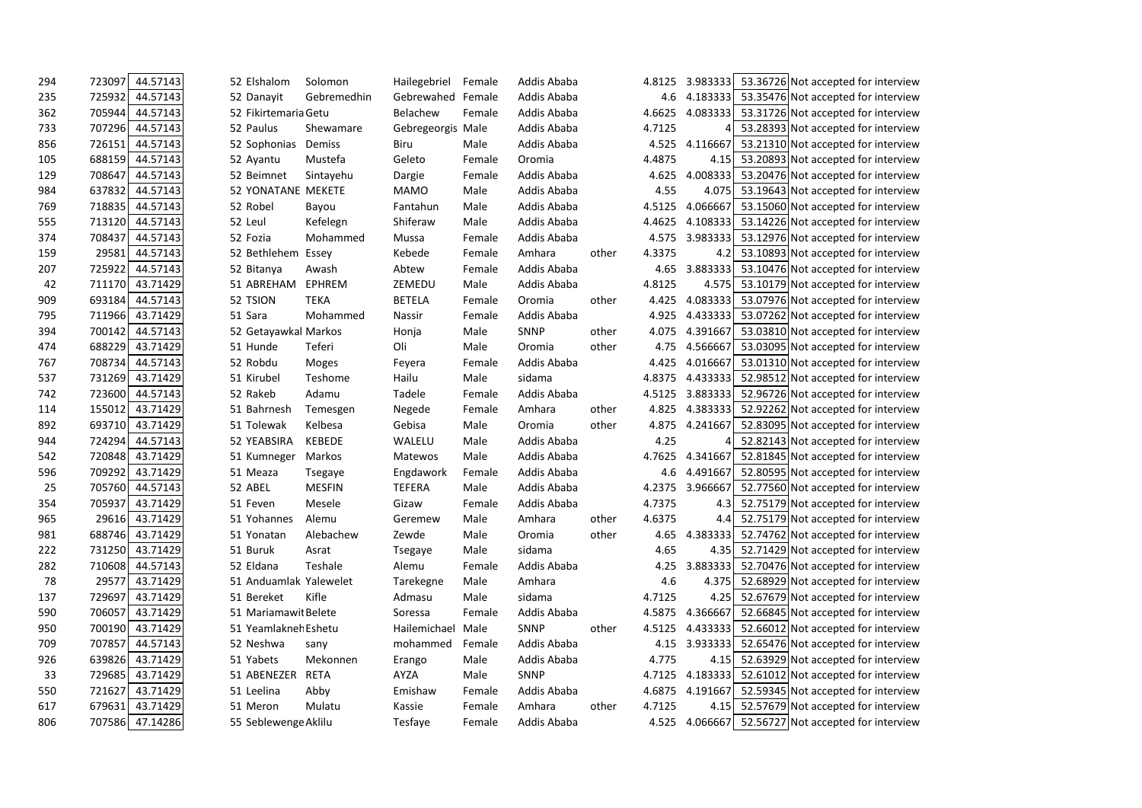| 294 | 723097 | 44.57143 | 52 Elshalom            | Solomon       | Hailegebriel      | Female | Addis Ababa |       | 4.8125 | 3.983333         | 53.36726 Not accepted for interview                |
|-----|--------|----------|------------------------|---------------|-------------------|--------|-------------|-------|--------|------------------|----------------------------------------------------|
| 235 | 725932 | 44.57143 | 52 Danayit             | Gebremedhin   | Gebrewahed        | Female | Addis Ababa |       | 4.6    | 4.183333         | 53.35476 Not accepted for interview                |
| 362 | 705944 | 44.57143 | 52 Fikirtemaria Getu   |               | <b>Belachew</b>   | Female | Addis Ababa |       | 4.6625 | 4.083333         | 53.31726 Not accepted for interview                |
| 733 | 707296 | 44.57143 | 52 Paulus              | Shewamare     | Gebregeorgis Male |        | Addis Ababa |       | 4.7125 |                  | 53.28393 Not accepted for interview                |
| 856 | 726151 | 44.57143 | 52 Sophonias           | Demiss        | Biru              | Male   | Addis Ababa |       | 4.525  | 4.116667         | 53.21310 Not accepted for interview                |
| 105 | 688159 | 44.57143 | 52 Ayantu              | Mustefa       | Geleto            | Female | Oromia      |       | 4.4875 | 4.15             | 53.20893 Not accepted for interview                |
| 129 | 708647 | 44.57143 | 52 Beimnet             | Sintayehu     | Dargie            | Female | Addis Ababa |       | 4.625  | 4.008333         | 53.20476 Not accepted for interview                |
| 984 | 637832 | 44.57143 | 52 YONATANE MEKETE     |               | <b>MAMO</b>       | Male   | Addis Ababa |       | 4.55   | 4.075            | 53.19643 Not accepted for interview                |
| 769 | 718835 | 44.57143 | 52 Robel               | Bayou         | Fantahun          | Male   | Addis Ababa |       | 4.5125 | 4.066667         | 53.15060 Not accepted for interview                |
| 555 | 713120 | 44.57143 | 52 Leul                | Kefelegn      | Shiferaw          | Male   | Addis Ababa |       | 4.4625 | 4.108333         | 53.14226 Not accepted for interview                |
| 374 | 708437 | 44.57143 | 52 Fozia               | Mohammed      | Mussa             | Female | Addis Ababa |       | 4.575  | 3.983333         | 53.12976 Not accepted for interview                |
| 159 | 29581  | 44.57143 | 52 Bethlehem Essey     |               | Kebede            | Female | Amhara      | other | 4.3375 | 4.2 <sub>l</sub> | 53.10893 Not accepted for interview                |
| 207 | 725922 | 44.57143 | 52 Bitanya             | Awash         | Abtew             | Female | Addis Ababa |       | 4.65   | 3.883333         | 53.10476 Not accepted for interview                |
| 42  | 711170 | 43.71429 | 51 ABREHAM             | <b>EPHREM</b> | ZEMEDU            | Male   | Addis Ababa |       | 4.8125 | 4.575            | 53.10179 Not accepted for interview                |
| 909 | 693184 | 44.57143 | 52 TSION               | <b>TEKA</b>   | <b>BETELA</b>     | Female | Oromia      | other | 4.425  | 4.083333         | 53.07976 Not accepted for interview                |
| 795 | 711966 | 43.71429 | 51 Sara                | Mohammed      | Nassir            | Female | Addis Ababa |       | 4.925  | 4.433333         | 53.07262 Not accepted for interview                |
| 394 | 700142 | 44.57143 | 52 Getayawkal Markos   |               | Honja             | Male   | <b>SNNP</b> | other | 4.075  | 4.391667         | 53.03810 Not accepted for interview                |
| 474 | 688229 | 43.71429 | 51 Hunde               | Teferi        | Oli               | Male   | Oromia      | other | 4.75   | 4.566667         | 53.03095 Not accepted for interview                |
| 767 | 708734 | 44.57143 | 52 Robdu               | Moges         | Feyera            | Female | Addis Ababa |       | 4.425  | 4.016667         | 53.01310 Not accepted for interview                |
| 537 | 731269 | 43.71429 | 51 Kirubel             | Teshome       | Hailu             | Male   | sidama      |       | 4.8375 | 4.433333         | 52.98512 Not accepted for interview                |
| 742 | 723600 | 44.57143 | 52 Rakeb               | Adamu         | Tadele            | Female | Addis Ababa |       | 4.5125 | 3.883333         | 52.96726 Not accepted for interview                |
| 114 | 155012 | 43.71429 | 51 Bahrnesh            | Temesgen      | Negede            | Female | Amhara      | other | 4.825  | 4.383333         | 52.92262 Not accepted for interview                |
| 892 | 693710 | 43.71429 | 51 Tolewak             | Kelbesa       | Gebisa            | Male   | Oromia      | other | 4.875  | 4.241667         | 52.83095 Not accepted for interview                |
| 944 | 724294 | 44.57143 | 52 YEABSIRA            | <b>KEBEDE</b> | WALELU            | Male   | Addis Ababa |       | 4.25   |                  | 52.82143 Not accepted for interview                |
| 542 | 720848 | 43.71429 | 51 Kumneger            | Markos        | Matewos           | Male   | Addis Ababa |       | 4.7625 | 4.341667         | 52.81845 Not accepted for interview                |
| 596 | 709292 | 43.71429 | 51 Meaza               | Tsegaye       | Engdawork         | Female | Addis Ababa |       | 4.6    | 4.491667         | 52.80595 Not accepted for interview                |
| 25  | 705760 | 44.57143 | 52 ABEL                | <b>MESFIN</b> | <b>TEFERA</b>     | Male   | Addis Ababa |       | 4.2375 | 3.966667         | 52.77560 Not accepted for interview                |
| 354 | 705937 | 43.71429 | 51 Feven               | Mesele        | Gizaw             | Female | Addis Ababa |       | 4.7375 | 4.3              | 52.75179 Not accepted for interview                |
| 965 | 29616  | 43.71429 | 51 Yohannes            | Alemu         | Geremew           | Male   | Amhara      | other | 4.6375 | 4.4              | 52.75179 Not accepted for interview                |
| 981 | 688746 | 43.71429 | 51 Yonatan             | Alebachew     | Zewde             | Male   | Oromia      | other | 4.65   | 4.383333         | 52.74762 Not accepted for interview                |
| 222 | 731250 | 43.71429 | 51 Buruk               | Asrat         | Tsegaye           | Male   | sidama      |       | 4.65   |                  | 4.35 52.71429 Not accepted for interview           |
| 282 | 710608 | 44.57143 | 52 Eldana              | Teshale       | Alemu             | Female | Addis Ababa |       | 4.25   |                  | 3.883333 52.70476 Not accepted for interview       |
| 78  | 29577  | 43.71429 | 51 Anduamlak Yalewelet |               | Tarekegne         | Male   | Amhara      |       | 4.6    |                  | 4.375   52.68929 Not accepted for interview        |
| 137 | 729697 | 43.71429 | 51 Bereket             | Kifle         | Admasu            | Male   | sidama      |       | 4.7125 | 4.25             | 52.67679 Not accepted for interview                |
| 590 | 706057 | 43.71429 | 51 Mariamawit Belete   |               | Soressa           | Female | Addis Ababa |       | 4.5875 | 4.366667         | 52.66845 Not accepted for interview                |
| 950 | 700190 | 43.71429 | 51 Yeamlakner Eshetu   |               | Hailemichael Male |        | SNNP        | other | 4.5125 |                  | 4.433333 52.66012 Not accepted for interview       |
| 709 | 707857 | 44.57143 | 52 Neshwa              | sany          | mohammed          | Female | Addis Ababa |       | 4.15   |                  | 3.933333 52.65476 Not accepted for interview       |
| 926 | 639826 | 43.71429 | 51 Yabets              | Mekonnen      | Erango            | Male   | Addis Ababa |       | 4.775  |                  | 4.15 52.63929 Not accepted for interview           |
| 33  | 729685 | 43.71429 | 51 ABENEZER            | <b>RETA</b>   | AYZA              | Male   | SNNP        |       | 4.7125 | 4.183333         | 52.61012 Not accepted for interview                |
| 550 | 721627 | 43.71429 | 51 Leelina             | Abby          | Emishaw           | Female | Addis Ababa |       | 4.6875 |                  | 4.191667 52.59345 Not accepted for interview       |
| 617 | 679631 | 43.71429 | 51 Meron               | Mulatu        | Kassie            | Female | Amhara      | other | 4.7125 |                  | 4.15 52.57679 Not accepted for interview           |
| 806 | 707586 | 47.14286 | 55 Seblewenge Aklilu   |               | Tesfaye           | Female | Addis Ababa |       |        |                  | 4.525 4.066667 52.56727 Not accepted for interview |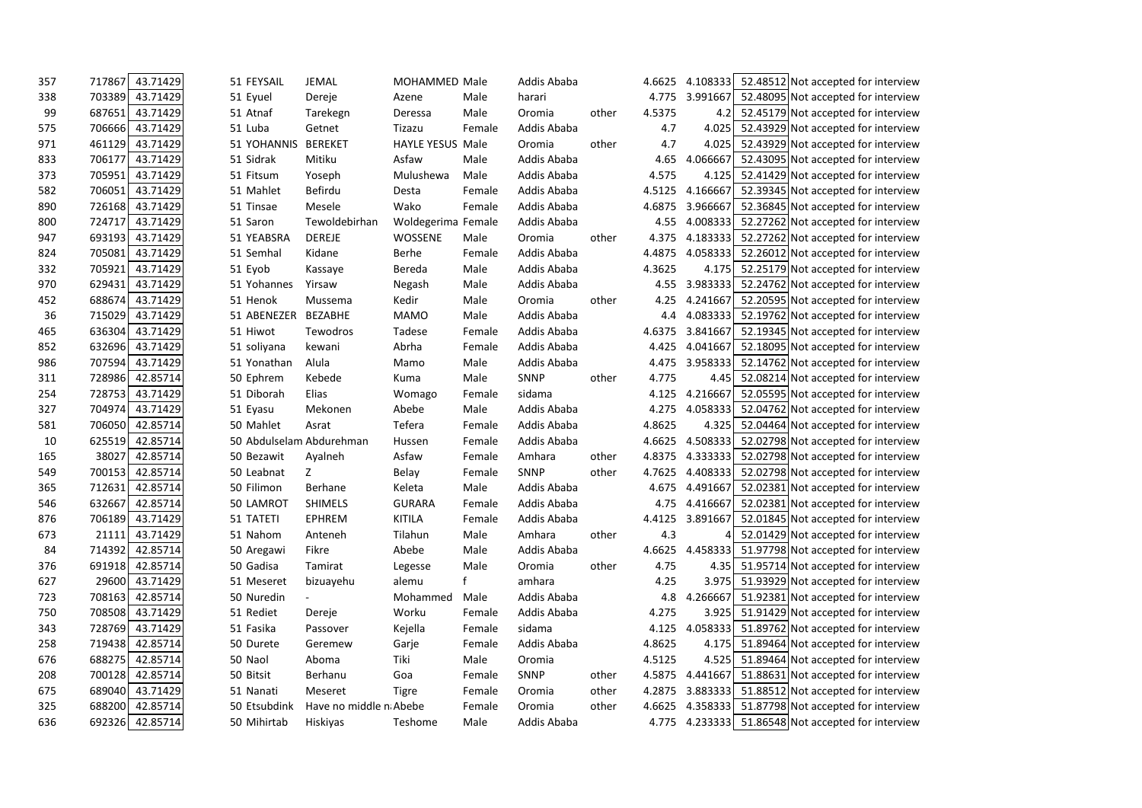| 357 | 43.71429<br>717867 | 51 FEYSAIL               | <b>JEMAL</b>           | <b>MOHAMMED Male</b>    |        | Addis Ababa |       | 4.6625 | 4.108333 | 52.48512 Not accepted for interview                |
|-----|--------------------|--------------------------|------------------------|-------------------------|--------|-------------|-------|--------|----------|----------------------------------------------------|
| 338 | 703389<br>43.71429 | 51 Eyuel                 | Dereje                 | Azene                   | Male   | harari      |       | 4.775  | 3.991667 | 52.48095 Not accepted for interview                |
| 99  | 43.71429<br>687651 | 51 Atnaf                 | Tarekegn               | Deressa                 | Male   | Oromia      | other | 4.5375 | 4.2      | 52.45179 Not accepted for interview                |
| 575 | 43.71429<br>706666 | 51 Luba                  | Getnet                 | Tizazu                  | Female | Addis Ababa |       | 4.7    | 4.025    | 52.43929 Not accepted for interview                |
| 971 | 43.71429<br>461129 | 51 YOHANNIS              | <b>BEREKET</b>         | <b>HAYLE YESUS Male</b> |        | Oromia      | other | 4.7    | 4.025    | 52.43929 Not accepted for interview                |
| 833 | 706177<br>43.71429 | 51 Sidrak                | Mitiku                 | Asfaw                   | Male   | Addis Ababa |       | 4.65   | 4.066667 | 52.43095 Not accepted for interview                |
| 373 | 43.71429<br>705951 | 51 Fitsum                | Yoseph                 | Mulushewa               | Male   | Addis Ababa |       | 4.575  | 4.125    | 52.41429 Not accepted for interview                |
| 582 | 43.71429<br>706051 | 51 Mahlet                | Befirdu                | Desta                   | Female | Addis Ababa |       | 4.5125 | 4.166667 | 52.39345 Not accepted for interview                |
| 890 | 43.71429<br>726168 | 51 Tinsae                | Mesele                 | Wako                    | Female | Addis Ababa |       | 4.6875 | 3.966667 | 52.36845 Not accepted for interview                |
| 800 | 43.71429<br>724717 | 51 Saron                 | Tewoldebirhan          | Woldegerima Female      |        | Addis Ababa |       | 4.55   |          | 4.008333 52.27262 Not accepted for interview       |
| 947 | 693193<br>43.71429 | 51 YEABSRA               | <b>DEREJE</b>          | WOSSENE                 | Male   | Oromia      | other | 4.375  |          | 4.183333 52.27262 Not accepted for interview       |
| 824 | 705081<br>43.71429 | 51 Semhal                | Kidane                 | Berhe                   | Female | Addis Ababa |       | 4.4875 | 4.058333 | 52.26012 Not accepted for interview                |
| 332 | 43.71429<br>705921 | 51 Eyob                  | Kassaye                | Bereda                  | Male   | Addis Ababa |       | 4.3625 | 4.175    | 52.25179 Not accepted for interview                |
| 970 | 43.71429<br>629431 | 51 Yohannes              | Yirsaw                 | Negash                  | Male   | Addis Ababa |       | 4.55   | 3.983333 | 52.24762 Not accepted for interview                |
| 452 | 43.71429<br>688674 | 51 Henok                 | Mussema                | Kedir                   | Male   | Oromia      | other | 4.25   | 4.241667 | 52.20595 Not accepted for interview                |
| 36  | 715029<br>43.71429 | 51 ABENEZER              | <b>BEZABHE</b>         | <b>MAMO</b>             | Male   | Addis Ababa |       | 4.4    | 4.083333 | 52.19762 Not accepted for interview                |
| 465 | 636304<br>43.71429 | 51 Hiwot                 | Tewodros               | Tadese                  | Female | Addis Ababa |       | 4.6375 | 3.841667 | 52.19345 Not accepted for interview                |
| 852 | 43.71429<br>632696 | 51 soliyana              | kewani                 | Abrha                   | Female | Addis Ababa |       | 4.425  | 4.041667 | 52.18095 Not accepted for interview                |
| 986 | 707594<br>43.71429 | 51 Yonathan              | Alula                  | Mamo                    | Male   | Addis Ababa |       | 4.475  | 3.958333 | 52.14762 Not accepted for interview                |
| 311 | 42.85714<br>728986 | 50 Ephrem                | Kebede                 | Kuma                    | Male   | SNNP        | other | 4.775  |          | 4.45 52.08214 Not accepted for interview           |
| 254 | 43.71429<br>728753 | 51 Diborah               | Elias                  | Womago                  | Female | sidama      |       | 4.125  | 4.216667 | 52.05595 Not accepted for interview                |
| 327 | 704974<br>43.71429 | 51 Eyasu                 | Mekonen                | Abebe                   | Male   | Addis Ababa |       | 4.275  | 4.058333 | 52.04762 Not accepted for interview                |
| 581 | 42.85714<br>706050 | 50 Mahlet                | Asrat                  | Tefera                  | Female | Addis Ababa |       | 4.8625 | 4.325    | 52.04464 Not accepted for interview                |
| 10  | 42.85714<br>625519 | 50 Abdulselam Abdurehman |                        | Hussen                  | Female | Addis Ababa |       | 4.6625 | 4.508333 | 52.02798 Not accepted for interview                |
| 165 | 38027<br>42.85714  | 50 Bezawit               | Ayalneh                | Asfaw                   | Female | Amhara      | other | 4.8375 |          | 4.333333 52.02798 Not accepted for interview       |
| 549 | 700153<br>42.85714 | 50 Leabnat               | Z.                     | Belay                   | Female | SNNP        | other | 4.7625 |          | 4.408333 52.02798 Not accepted for interview       |
| 365 | 42.85714<br>712631 | 50 Filimon               | Berhane                | Keleta                  | Male   | Addis Ababa |       | 4.675  | 4.491667 | 52.02381 Not accepted for interview                |
| 546 | 42.85714<br>632667 | 50 LAMROT                | <b>SHIMELS</b>         | <b>GURARA</b>           | Female | Addis Ababa |       | 4.75   | 4.416667 | 52.02381 Not accepted for interview                |
| 876 | 43.71429<br>706189 | 51 TATETI                | <b>EPHREM</b>          | <b>KITILA</b>           | Female | Addis Ababa |       | 4.4125 | 3.891667 | 52.01845 Not accepted for interview                |
| 673 | 43.71429<br>21111  | 51 Nahom                 | Anteneh                | Tilahun                 | Male   | Amhara      | other | 4.3    |          | 52.01429 Not accepted for interview                |
| 84  | 714392<br>42.85714 | 50 Aregawi               | Fikre                  | Abebe                   | Male   | Addis Ababa |       | 4.6625 |          | 4.458333 51.97798 Not accepted for interview       |
| 376 | 691918<br>42.85714 | 50 Gadisa                | Tamirat                | Legesse                 | Male   | Oromia      | other | 4.75   |          | 4.35 51.95714 Not accepted for interview           |
| 627 | 29600<br>43.71429  | 51 Meseret               | bizuayehu              | alemu                   |        | amhara      |       | 4.25   |          | 3.975 51.93929 Not accepted for interview          |
| 723 | 708163<br>42.85714 | 50 Nuredin               |                        | Mohammed                | Male   | Addis Ababa |       | 4.8    |          | 4.266667 51.92381 Not accepted for interview       |
| 750 | 708508<br>43.71429 | 51 Rediet                | Dereje                 | Worku                   | Female | Addis Ababa |       | 4.275  |          | 3.925   51.91429 Not accepted for interview        |
| 343 | 728769<br>43.71429 | 51 Fasika                | Passover               | Kejella                 | Female | sidama      |       | 4.125  |          | 4.058333 51.89762 Not accepted for interview       |
| 258 | 42.85714<br>719438 | 50 Durete                | Geremew                | Garje                   | Female | Addis Ababa |       | 4.8625 |          | 4.175 51.89464 Not accepted for interview          |
| 676 | 688275<br>42.85714 | 50 Naol                  | Aboma                  | Tiki                    | Male   | Oromia      |       | 4.5125 |          | 4.525   51.89464 Not accepted for interview        |
| 208 | 42.85714<br>700128 | 50 Bitsit                | Berhanu                | Goa                     | Female | <b>SNNP</b> | other | 4.5875 |          | 4.441667 51.88631 Not accepted for interview       |
| 675 | 43.71429<br>689040 | 51 Nanati                | Meseret                | <b>Tigre</b>            | Female | Oromia      | other | 4.2875 |          | 3.883333 51.88512 Not accepted for interview       |
| 325 | 688200<br>42.85714 | 50 Etsubdink             | Have no middle n Abebe |                         | Female | Oromia      | other | 4.6625 |          | 4.358333 51.87798 Not accepted for interview       |
| 636 | 692326<br>42.85714 | 50 Mihirtab              | Hiskiyas               | Teshome                 | Male   | Addis Ababa |       |        |          | 4.775 4.233333 51.86548 Not accepted for interview |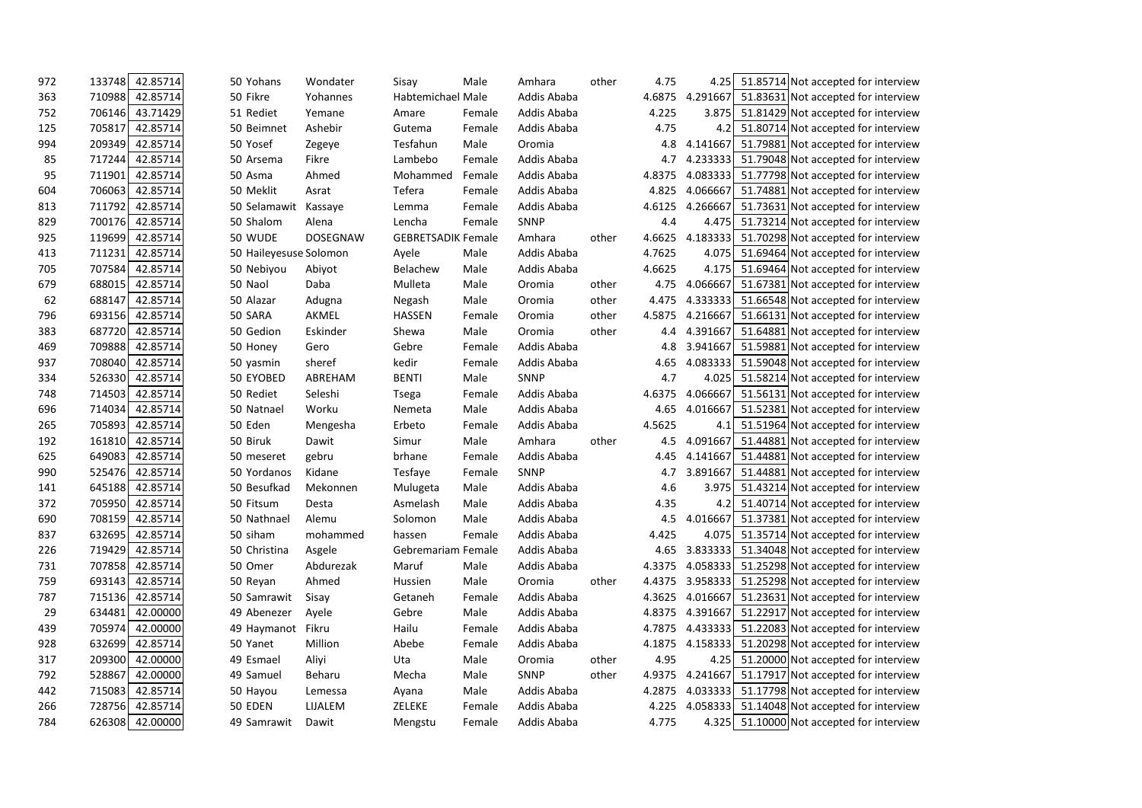| 972 | 42.85714<br>133748 | 50 Yohans              | Wondater        | Sisay                     | Male   | Amhara      | other | 4.75   | 4.25     | 51.85714 Not accepted for interview          |
|-----|--------------------|------------------------|-----------------|---------------------------|--------|-------------|-------|--------|----------|----------------------------------------------|
| 363 | 710988<br>42.85714 | 50 Fikre               | Yohannes        | Habtemichael Male         |        | Addis Ababa |       | 4.6875 | 4.291667 | 51.83631 Not accepted for interview          |
| 752 | 706146<br>43.71429 | 51 Rediet              | Yemane          | Amare                     | Female | Addis Ababa |       | 4.225  | 3.875    | 51.81429 Not accepted for interview          |
| 125 | 705817<br>42.85714 | 50 Beimnet             | Ashebir         | Gutema                    | Female | Addis Ababa |       | 4.75   | 4.2      | 51.80714 Not accepted for interview          |
| 994 | 209349<br>42.85714 | 50 Yosef               | Zegeye          | Tesfahun                  | Male   | Oromia      |       | 4.8    | 4.141667 | 51.79881 Not accepted for interview          |
| 85  | 42.85714<br>717244 | 50 Arsema              | Fikre           | Lambebo                   | Female | Addis Ababa |       | 4.7    |          | 4.233333 51.79048 Not accepted for interview |
| 95  | 42.85714<br>711901 | 50 Asma                | Ahmed           | Mohammed                  | Female | Addis Ababa |       | 4.8375 |          | 4.083333 51.77798 Not accepted for interview |
| 604 | 706063<br>42.85714 | 50 Meklit              | Asrat           | Tefera                    | Female | Addis Ababa |       | 4.825  |          | 4.066667 51.74881 Not accepted for interview |
| 813 | 711792<br>42.85714 | 50 Selamawit           | Kassaye         | Lemma                     | Female | Addis Ababa |       | 4.6125 |          | 4.266667 51.73631 Not accepted for interview |
| 829 | 700176<br>42.85714 | 50 Shalom              | Alena           | Lencha                    | Female | <b>SNNP</b> |       | 4.4    |          | 4.475 51.73214 Not accepted for interview    |
| 925 | 119699<br>42.85714 | 50 WUDE                | <b>DOSEGNAW</b> | <b>GEBRETSADIK Female</b> |        | Amhara      | other | 4.6625 |          | 4.183333 51.70298 Not accepted for interview |
| 413 | 42.85714<br>711231 | 50 Haileyesuse Solomon |                 | Ayele                     | Male   | Addis Ababa |       | 4.7625 |          | 4.075 51.69464 Not accepted for interview    |
| 705 | 707584<br>42.85714 | 50 Nebiyou             | Abiyot          | Belachew                  | Male   | Addis Ababa |       | 4.6625 |          | 4.175 51.69464 Not accepted for interview    |
| 679 | 688015<br>42.85714 | 50 Naol                | Daba            | Mulleta                   | Male   | Oromia      | other | 4.75   | 4.066667 | 51.67381 Not accepted for interview          |
| 62  | 688147<br>42.85714 | 50 Alazar              | Adugna          | Negash                    | Male   | Oromia      | other | 4.475  |          | 4.333333 51.66548 Not accepted for interview |
| 796 | 693156<br>42.85714 | 50 SARA                | AKMEL           | <b>HASSEN</b>             | Female | Oromia      | other | 4.5875 |          | 4.216667 51.66131 Not accepted for interview |
| 383 | 42.85714<br>687720 | 50 Gedion              | Eskinder        | Shewa                     | Male   | Oromia      | other | 4.4    | 4.391667 | 51.64881 Not accepted for interview          |
| 469 | 42.85714<br>709888 | 50 Honey               | Gero            | Gebre                     | Female | Addis Ababa |       | 4.8    |          | 3.941667 51.59881 Not accepted for interview |
| 937 | 708040<br>42.85714 | 50 yasmin              | sheref          | kedir                     | Female | Addis Ababa |       | 4.65   |          | 4.083333 51.59048 Not accepted for interview |
| 334 | 526330<br>42.85714 | 50 EYOBED              | ABREHAM         | <b>BENTI</b>              | Male   | SNNP        |       | 4.7    |          | 4.025 51.58214 Not accepted for interview    |
| 748 | 714503<br>42.85714 | 50 Rediet              | Seleshi         | <b>Tsega</b>              | Female | Addis Ababa |       | 4.6375 |          | 4.066667 51.56131 Not accepted for interview |
| 696 | 42.85714<br>714034 | 50 Natnael             | Worku           | Nemeta                    | Male   | Addis Ababa |       | 4.65   | 4.016667 | 51.52381 Not accepted for interview          |
| 265 | 705893<br>42.85714 | 50 Eden                | Mengesha        | Erbeto                    | Female | Addis Ababa |       | 4.5625 | 4.1      | 51.51964 Not accepted for interview          |
| 192 | 161810<br>42.85714 | 50 Biruk               | Dawit           | Simur                     | Male   | Amhara      | other | 4.5    | 4.091667 | 51.44881 Not accepted for interview          |
| 625 | 649083<br>42.85714 | 50 meseret             | gebru           | brhane                    | Female | Addis Ababa |       | 4.45   | 4.141667 | 51.44881 Not accepted for interview          |
| 990 | 525476<br>42.85714 | 50 Yordanos            | Kidane          | Tesfaye                   | Female | SNNP        |       | 4.7    |          | 3.891667 51.44881 Not accepted for interview |
| 141 | 42.85714<br>645188 | 50 Besufkad            | Mekonnen        | Mulugeta                  | Male   | Addis Ababa |       | 4.6    | 3.975    | 51.43214 Not accepted for interview          |
| 372 | 705950<br>42.85714 | 50 Fitsum              | Desta           | Asmelash                  | Male   | Addis Ababa |       | 4.35   | 4.2      | 51.40714 Not accepted for interview          |
| 690 | 708159<br>42.85714 | 50 Nathnael            | Alemu           | Solomon                   | Male   | Addis Ababa |       | 4.5    | 4.016667 | 51.37381 Not accepted for interview          |
| 837 | 632695<br>42.85714 | 50 siham               | mohammed        | hassen                    | Female | Addis Ababa |       | 4.425  |          | 4.075 51.35714 Not accepted for interview    |
| 226 | 719429<br>42.85714 | 50 Christina           | Asgele          | Gebremariam Female        |        | Addis Ababa |       | 4.65   |          | 3.833333 51.34048 Not accepted for interview |
| 731 | 707858<br>42.85714 | 50 Omer                | Abdurezak       | Maruf                     | Male   | Addis Ababa |       | 4.3375 |          | 4.058333 51.25298 Not accepted for interview |
| 759 | 693143<br>42.85714 | 50 Reyan               | Ahmed           | Hussien                   | Male   | Oromia      | other | 4.4375 |          | 3.958333 51.25298 Not accepted for interview |
| 787 | 715136<br>42.85714 | 50 Samrawit            | Sisay           | Getaneh                   | Female | Addis Ababa |       | 4.3625 |          | 4.016667 51.23631 Not accepted for interview |
| 29  | 634481<br>42.00000 | 49 Abenezer            | Ayele           | Gebre                     | Male   | Addis Ababa |       | 4.8375 |          | 4.391667 51.22917 Not accepted for interview |
| 439 | 705974<br>42.00000 | 49 Haymanot            | Fikru           | Hailu                     | Female | Addis Ababa |       | 4.7875 |          | 4.433333 51.22083 Not accepted for interview |
| 928 | 42.85714<br>632699 | 50 Yanet               | Million         | Abebe                     | Female | Addis Ababa |       | 4.1875 |          | 4.158333 51.20298 Not accepted for interview |
| 317 | 209300<br>42.00000 | 49 Esmael              | Aliyi           | Uta                       | Male   | Oromia      | other | 4.95   |          | 4.25 51.20000 Not accepted for interview     |
| 792 | 528867<br>42.00000 | 49 Samuel              | Beharu          | Mecha                     | Male   | SNNP        | other | 4.9375 |          | 4.241667 51.17917 Not accepted for interview |
| 442 | 715083<br>42.85714 | 50 Hayou               | Lemessa         | Ayana                     | Male   | Addis Ababa |       | 4.2875 |          | 4.033333 51.17798 Not accepted for interview |
| 266 | 728756<br>42.85714 | 50 EDEN                | LIJALEM         | ZELEKE                    | Female | Addis Ababa |       | 4.225  |          | 4.058333 51.14048 Not accepted for interview |
| 784 | 626308<br>42.00000 | 49 Samrawit            | Dawit           | Mengstu                   | Female | Addis Ababa |       | 4.775  |          | 4.325 51.10000 Not accepted for interview    |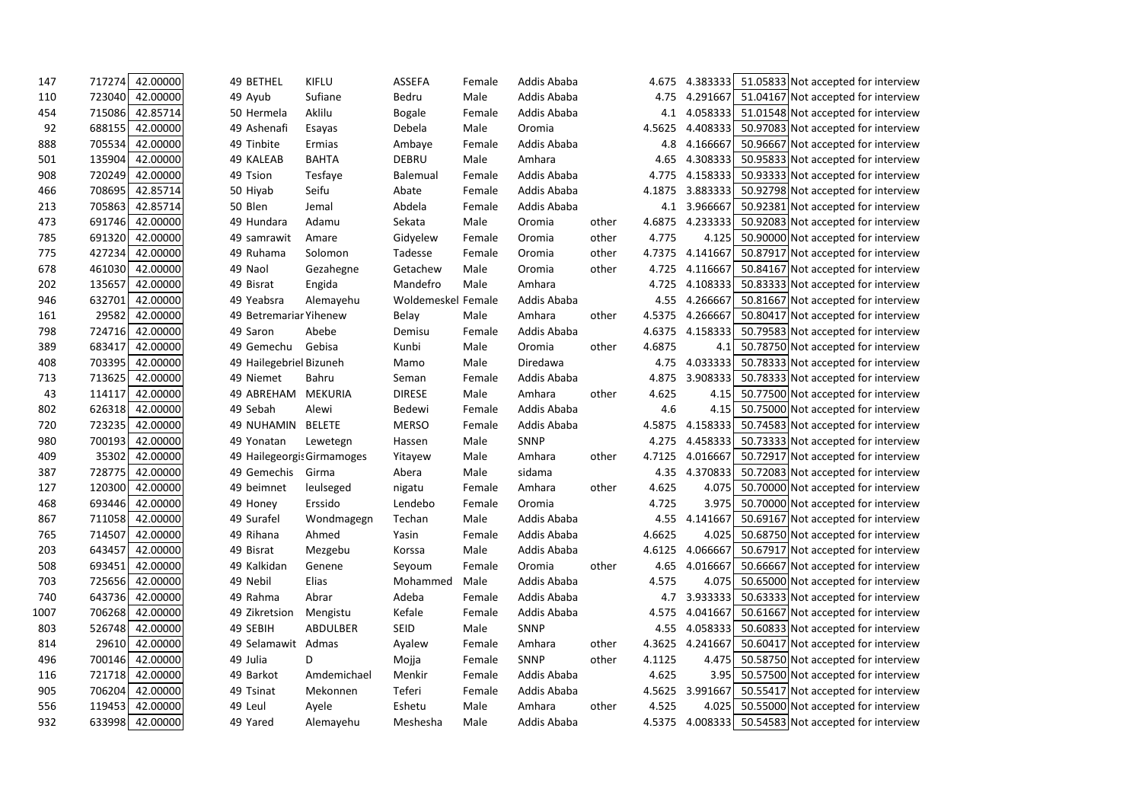| 147  | 42.00000<br>717274 | 49 BETHEL                  | <b>KIFLU</b>   | <b>ASSEFA</b>      | Female | Addis Ababa |       | 4.675  | 4.383333 | 51.05833 Not accepted for interview          |
|------|--------------------|----------------------------|----------------|--------------------|--------|-------------|-------|--------|----------|----------------------------------------------|
| 110  | 723040<br>42.00000 | 49 Ayub                    | Sufiane        | Bedru              | Male   | Addis Ababa |       | 4.75   | 4.291667 | 51.04167 Not accepted for interview          |
| 454  | 715086<br>42.85714 | 50 Hermela                 | Aklilu         | <b>Bogale</b>      | Female | Addis Ababa |       | 4.1    | 4.058333 | 51.01548 Not accepted for interview          |
| 92   | 688155<br>42.00000 | 49 Ashenafi                | Esayas         | Debela             | Male   | Oromia      |       | 4.5625 | 4.408333 | 50.97083 Not accepted for interview          |
| 888  | 705534<br>42.00000 | 49 Tinbite                 | Ermias         | Ambaye             | Female | Addis Ababa |       | 4.8    | 4.166667 | 50.96667 Not accepted for interview          |
| 501  | 135904<br>42.00000 | 49 KALEAB                  | <b>BAHTA</b>   | DEBRU              | Male   | Amhara      |       | 4.65   | 4.308333 | 50.95833 Not accepted for interview          |
| 908  | 720249<br>42.00000 | 49 Tsion                   | Tesfaye        | <b>Balemual</b>    | Female | Addis Ababa |       | 4.775  | 4.158333 | 50.93333 Not accepted for interview          |
| 466  | 708695<br>42.85714 | 50 Hiyab                   | Seifu          | Abate              | Female | Addis Ababa |       | 4.1875 | 3.883333 | 50.92798 Not accepted for interview          |
| 213  | 705863<br>42.85714 | 50 Blen                    | Jemal          | Abdela             | Female | Addis Ababa |       | 4.1    | 3.966667 | 50.92381 Not accepted for interview          |
| 473  | 691746<br>42.00000 | 49 Hundara                 | Adamu          | Sekata             | Male   | Oromia      | other | 4.6875 | 4.233333 | 50.92083 Not accepted for interview          |
| 785  | 691320<br>42.00000 | 49 samrawit                | Amare          | Gidyelew           | Female | Oromia      | other | 4.775  | 4.125    | 50.90000 Not accepted for interview          |
| 775  | 427234<br>42.00000 | 49 Ruhama                  | Solomon        | Tadesse            | Female | Oromia      | other | 4.7375 | 4.141667 | 50.87917 Not accepted for interview          |
| 678  | 461030<br>42.00000 | 49 Naol                    | Gezahegne      | Getachew           | Male   | Oromia      | other | 4.725  | 4.116667 | 50.84167 Not accepted for interview          |
| 202  | 42.00000<br>135657 | 49 Bisrat                  | Engida         | Mandefro           | Male   | Amhara      |       | 4.725  | 4.108333 | 50.83333 Not accepted for interview          |
| 946  | 632701<br>42.00000 | 49 Yeabsra                 | Alemayehu      | Woldemeskel Female |        | Addis Ababa |       | 4.55   | 4.266667 | 50.81667 Not accepted for interview          |
| 161  | 29582<br>42.00000  | 49 Betremariar Yihenew     |                | <b>Belay</b>       | Male   | Amhara      | other | 4.5375 | 4.266667 | 50.80417 Not accepted for interview          |
| 798  | 724716<br>42.00000 | 49 Saron                   | Abebe          | Demisu             | Female | Addis Ababa |       | 4.6375 | 4.158333 | 50.79583 Not accepted for interview          |
| 389  | 683417<br>42.00000 | 49 Gemechu                 | Gebisa         | Kunbi              | Male   | Oromia      | other | 4.6875 | 4.1      | 50.78750 Not accepted for interview          |
| 408  | 703395<br>42.00000 | 49 Hailegebriel Bizuneh    |                | Mamo               | Male   | Diredawa    |       | 4.75   | 4.033333 | 50.78333 Not accepted for interview          |
| 713  | 713625<br>42.00000 | 49 Niemet                  | Bahru          | Seman              | Female | Addis Ababa |       | 4.875  | 3.908333 | 50.78333 Not accepted for interview          |
| 43   | 114117<br>42.00000 | 49 ABREHAM                 | <b>MEKURIA</b> | <b>DIRESE</b>      | Male   | Amhara      | other | 4.625  | 4.15     | 50.77500 Not accepted for interview          |
| 802  | 42.00000<br>626318 | 49 Sebah                   | Alewi          | <b>Bedewi</b>      | Female | Addis Ababa |       | 4.6    | 4.15     | 50.75000 Not accepted for interview          |
| 720  | 723235<br>42.00000 | <b>49 NUHAMIN</b>          | <b>BELETE</b>  | <b>MERSO</b>       | Female | Addis Ababa |       | 4.5875 | 4.158333 | 50.74583 Not accepted for interview          |
| 980  | 700193<br>42.00000 | 49 Yonatan                 | Lewetegn       | Hassen             | Male   | SNNP        |       | 4.275  | 4.458333 | 50.73333 Not accepted for interview          |
| 409  | 35302<br>42.00000  | 49 Hailegeorgis Girmamoges |                | Yitayew            | Male   | Amhara      | other | 4.7125 | 4.016667 | 50.72917 Not accepted for interview          |
| 387  | 728775<br>42.00000 | 49 Gemechis                | Girma          | Abera              | Male   | sidama      |       | 4.35   | 4.370833 | 50.72083 Not accepted for interview          |
| 127  | 42.00000<br>120300 | 49 beimnet                 | leulseged      | nigatu             | Female | Amhara      | other | 4.625  | 4.075    | 50.70000 Not accepted for interview          |
| 468  | 42.00000<br>693446 | 49 Honey                   | Erssido        | Lendebo            | Female | Oromia      |       | 4.725  | 3.975    | 50.70000 Not accepted for interview          |
| 867  | 42.00000<br>711058 | 49 Surafel                 | Wondmagegn     | Techan             | Male   | Addis Ababa |       | 4.55   | 4.141667 | 50.69167 Not accepted for interview          |
| 765  | 714507<br>42.00000 | 49 Rihana                  | Ahmed          | Yasin              | Female | Addis Ababa |       | 4.6625 | 4.025    | 50.68750 Not accepted for interview          |
| 203  | 643457<br>42.00000 | 49 Bisrat                  | Mezgebu        | Korssa             | Male   | Addis Ababa |       | 4.6125 | 4.066667 | 50.67917 Not accepted for interview          |
| 508  | 42.00000<br>693451 | 49 Kalkidan                | Genene         | Seyoum             | Female | Oromia      | other | 4.65   | 4.016667 | 50.66667 Not accepted for interview          |
| 703  | 725656<br>42.00000 | 49 Nebil                   | Elias          | Mohammed           | Male   | Addis Ababa |       | 4.575  | 4.075    | 50.65000 Not accepted for interview          |
| 740  | 643736 42.00000    | 49 Rahma                   | Abrar          | Adeba              | Female | Addis Ababa |       | 4.7    | 3.933333 | 50.63333 Not accepted for interview          |
| 1007 | 706268<br>42.00000 | 49 Zikretsion              | Mengistu       | Kefale             | Female | Addis Ababa |       | 4.575  |          | 4.041667 50.61667 Not accepted for interview |
| 803  | 526748<br>42.00000 | 49 SEBIH                   | ABDULBER       | SEID               | Male   | SNNP        |       | 4.55   | 4.058333 | 50.60833 Not accepted for interview          |
| 814  | 29610 42.00000     | 49 Selamawit Admas         |                | Ayalew             | Female | Amhara      | other | 4.3625 |          | 4.241667 50.60417 Not accepted for interview |
| 496  | 700146<br>42.00000 | 49 Julia                   | D              | Mojja              | Female | SNNP        | other | 4.1125 | 4.475    | 50.58750 Not accepted for interview          |
| 116  | 42.00000<br>721718 | 49 Barkot                  | Amdemichael    | Menkir             | Female | Addis Ababa |       | 4.625  |          | 3.95 50.57500 Not accepted for interview     |
| 905  | 706204<br>42.00000 | 49 Tsinat                  | Mekonnen       | Teferi             | Female | Addis Ababa |       | 4.5625 | 3.991667 | 50.55417 Not accepted for interview          |
| 556  | 119453<br>42.00000 | 49 Leul                    | Ayele          | Eshetu             | Male   | Amhara      | other | 4.525  |          | 4.025 50.55000 Not accepted for interview    |
| 932  | 633998 42.00000    | 49 Yared                   | Alemayehu      | Meshesha           | Male   | Addis Ababa |       | 4.5375 |          | 4.008333 50.54583 Not accepted for interview |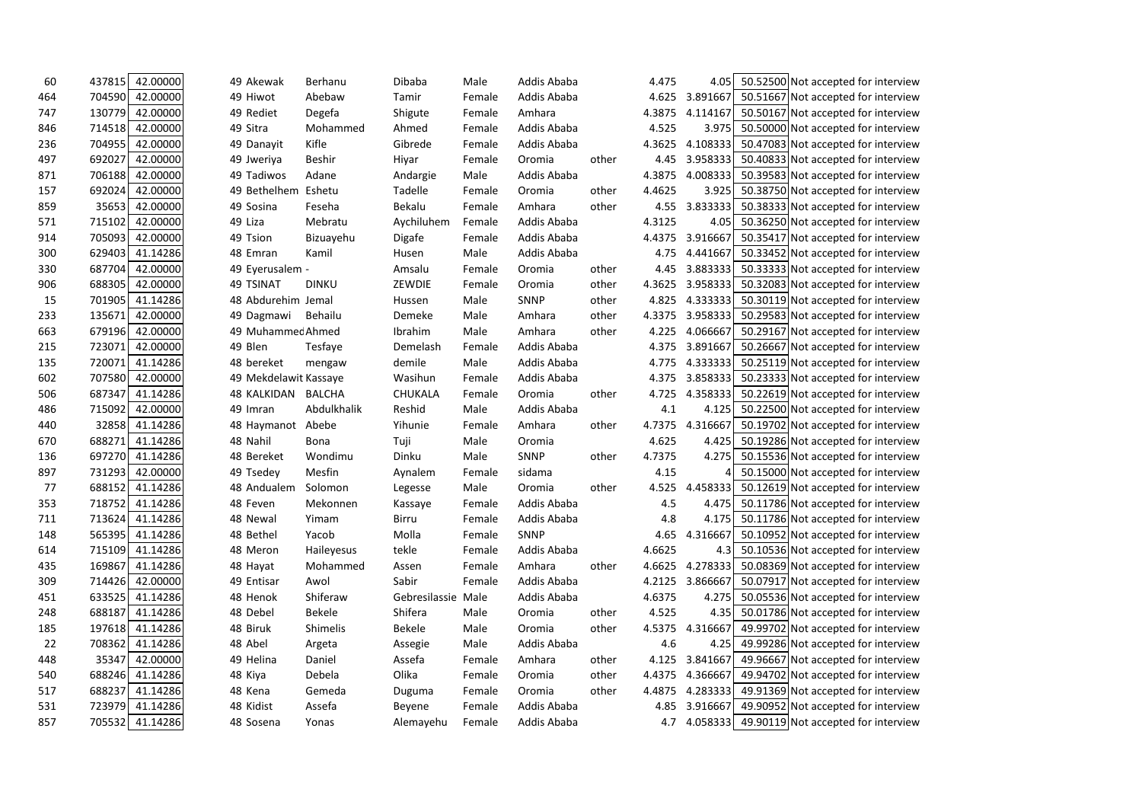| 60  | 437815          | 42.00000 | 49 Akewak             | Berhanu       | Dibaba             | Male   | Addis Ababa |       | 4.475  | 4.05            | 50.52500 Not accepted for interview          |  |
|-----|-----------------|----------|-----------------------|---------------|--------------------|--------|-------------|-------|--------|-----------------|----------------------------------------------|--|
| 464 | 704590          | 42.00000 | 49 Hiwot              | Abebaw        | Tamir              | Female | Addis Ababa |       | 4.625  | 3.891667        | 50.51667 Not accepted for interview          |  |
| 747 | 130779          | 42.00000 | 49 Rediet             | Degefa        | Shigute            | Female | Amhara      |       | 4.3875 | 4.114167        | 50.50167 Not accepted for interview          |  |
| 846 | 714518          | 42.00000 | 49 Sitra              | Mohammed      | Ahmed              | Female | Addis Ababa |       | 4.525  | 3.975           | 50.50000 Not accepted for interview          |  |
| 236 | 704955          | 42.00000 | 49 Danayit            | Kifle         | Gibrede            | Female | Addis Ababa |       | 4.3625 | 4.108333        | 50.47083 Not accepted for interview          |  |
| 497 | 692027          | 42.00000 | 49 Jweriya            | <b>Beshir</b> | Hiyar              | Female | Oromia      | other | 4.45   | 3.958333        | 50.40833 Not accepted for interview          |  |
| 871 | 706188          | 42.00000 | 49 Tadiwos            | Adane         | Andargie           | Male   | Addis Ababa |       | 4.3875 | 4.008333        | 50.39583 Not accepted for interview          |  |
| 157 | 692024          | 42.00000 | 49 Bethelhem          | Eshetu        | Tadelle            | Female | Oromia      | other | 4.4625 | 3.925           | 50.38750 Not accepted for interview          |  |
| 859 | 35653           | 42.00000 | 49 Sosina             | Feseha        | Bekalu             | Female | Amhara      | other | 4.55   | 3.833333        | 50.38333 Not accepted for interview          |  |
| 571 | 715102          | 42.00000 | 49 Liza               | Mebratu       | Aychiluhem         | Female | Addis Ababa |       | 4.3125 | 4.05            | 50.36250 Not accepted for interview          |  |
| 914 | 705093          | 42.00000 | 49 Tsion              | Bizuayehu     | Digafe             | Female | Addis Ababa |       |        | 4.4375 3.916667 | 50.35417 Not accepted for interview          |  |
| 300 | 629403          | 41.14286 | 48 Emran              | Kamil         | Husen              | Male   | Addis Ababa |       | 4.75   | 4.441667        | 50.33452 Not accepted for interview          |  |
| 330 | 687704          | 42.00000 | 49 Eyerusalem -       |               | Amsalu             | Female | Oromia      | other | 4.45   | 3.883333        | 50.33333 Not accepted for interview          |  |
| 906 | 688305          | 42.00000 | 49 TSINAT             | <b>DINKU</b>  | ZEWDIE             | Female | Oromia      | other | 4.3625 | 3.958333        | 50.32083 Not accepted for interview          |  |
| 15  | 701905          | 41.14286 | 48 Abdurehim Jemal    |               | Hussen             | Male   | <b>SNNP</b> | other | 4.825  | 4.333333        | 50.30119 Not accepted for interview          |  |
| 233 | 135671          | 42.00000 | 49 Dagmawi            | Behailu       | Demeke             | Male   | Amhara      | other | 4.3375 | 3.958333        | 50.29583 Not accepted for interview          |  |
| 663 | 679196          | 42.00000 | 49 Muhammec Ahmed     |               | Ibrahim            | Male   | Amhara      | other | 4.225  | 4.066667        | 50.29167 Not accepted for interview          |  |
| 215 | 723071          | 42.00000 | 49 Blen               | Tesfaye       | Demelash           | Female | Addis Ababa |       | 4.375  | 3.891667        | 50.26667 Not accepted for interview          |  |
| 135 | 720071          | 41.14286 | 48 bereket            | mengaw        | demile             | Male   | Addis Ababa |       | 4.775  | 4.333333        | 50.25119 Not accepted for interview          |  |
| 602 | 707580          | 42.00000 | 49 Mekdelawit Kassaye |               | Wasihun            | Female | Addis Ababa |       | 4.375  | 3.858333        | 50.23333 Not accepted for interview          |  |
| 506 | 687347          | 41.14286 | 48 KALKIDAN           | BALCHA        | <b>CHUKALA</b>     | Female | Oromia      | other | 4.725  | 4.358333        | 50.22619 Not accepted for interview          |  |
| 486 | 715092          | 42.00000 | 49 Imran              | Abdulkhalik   | Reshid             | Male   | Addis Ababa |       | 4.1    | 4.125           | 50.22500 Not accepted for interview          |  |
| 440 | 32858           | 41.14286 | 48 Haymanot           | Abebe         | Yihunie            | Female | Amhara      | other | 4.7375 | 4.316667        | 50.19702 Not accepted for interview          |  |
| 670 | 688271          | 41.14286 | 48 Nahil              | <b>Bona</b>   | Tuji               | Male   | Oromia      |       | 4.625  | 4.425           | 50.19286 Not accepted for interview          |  |
| 136 | 697270          | 41.14286 | 48 Bereket            | Wondimu       | Dinku              | Male   | <b>SNNP</b> | other | 4.7375 | 4.275           | 50.15536 Not accepted for interview          |  |
| 897 | 731293          | 42.00000 | 49 Tsedey             | Mesfin        | Aynalem            | Female | sidama      |       | 4.15   |                 | 50.15000 Not accepted for interview          |  |
| 77  | 688152          | 41.14286 | 48 Andualem           | Solomon       | Legesse            | Male   | Oromia      | other | 4.525  | 4.458333        | 50.12619 Not accepted for interview          |  |
| 353 | 718752          | 41.14286 | 48 Feven              | Mekonnen      | Kassaye            | Female | Addis Ababa |       | 4.5    | 4.475           | 50.11786 Not accepted for interview          |  |
| 711 | 713624          | 41.14286 | 48 Newal              | Yimam         | <b>Birru</b>       | Female | Addis Ababa |       | 4.8    | 4.175           | 50.11786 Not accepted for interview          |  |
| 148 | 565395          | 41.14286 | 48 Bethel             | Yacob         | Molla              | Female | <b>SNNP</b> |       | 4.65   | 4.316667        | 50.10952 Not accepted for interview          |  |
| 614 | 715109          | 41.14286 | 48 Meron              | Haileyesus    | tekle              | Female | Addis Ababa |       | 4.6625 | 4.3             | 50.10536 Not accepted for interview          |  |
| 435 | 169867          | 41.14286 | 48 Hayat              | Mohammed      | Assen              | Female | Amhara      | other | 4.6625 | 4.278333        | 50.08369 Not accepted for interview          |  |
| 309 | 714426          | 42.00000 | 49 Entisar            | Awol          | Sabir              | Female | Addis Ababa |       | 4.2125 | 3.866667        | 50.07917 Not accepted for interview          |  |
| 451 | 633525          | 41.14286 | 48 Henok              | Shiferaw      | Gebresilassie Male |        | Addis Ababa |       | 4.6375 | 4.275           | 50.05536 Not accepted for interview          |  |
| 248 | 688187          | 41.14286 | 48 Debel              | Bekele        | Shifera            | Male   | Oromia      | other | 4.525  | 4.35            | 50.01786 Not accepted for interview          |  |
| 185 | 197618          | 41.14286 | 48 Biruk              | Shimelis      | <b>Bekele</b>      | Male   | Oromia      | other | 4.5375 | 4.316667        | 49.99702 Not accepted for interview          |  |
| 22  | 708362 41.14286 |          | 48 Abel               | Argeta        | Assegie            | Male   | Addis Ababa |       | 4.6    | 4.25            | 49.99286 Not accepted for interview          |  |
| 448 | 35347           | 42.00000 | 49 Helina             | Daniel        | Assefa             | Female | Amhara      | other | 4.125  | 3.841667        | 49.96667 Not accepted for interview          |  |
| 540 | 688246          | 41.14286 | 48 Kiya               | Debela        | Olika              | Female | Oromia      | other | 4.4375 | 4.366667        | 49.94702 Not accepted for interview          |  |
| 517 | 688237          | 41.14286 | 48 Kena               | Gemeda        | Duguma             | Female | Oromia      | other | 4.4875 | 4.283333        | 49.91369 Not accepted for interview          |  |
| 531 | 723979          | 41.14286 | 48 Kidist             | Assefa        | Beyene             | Female | Addis Ababa |       | 4.85   | 3.916667        | 49.90952 Not accepted for interview          |  |
| 857 | 705532 41.14286 |          | 48 Sosena             | Yonas         | Alemayehu          | Female | Addis Ababa |       | 4.7    |                 | 4.058333 49.90119 Not accepted for interview |  |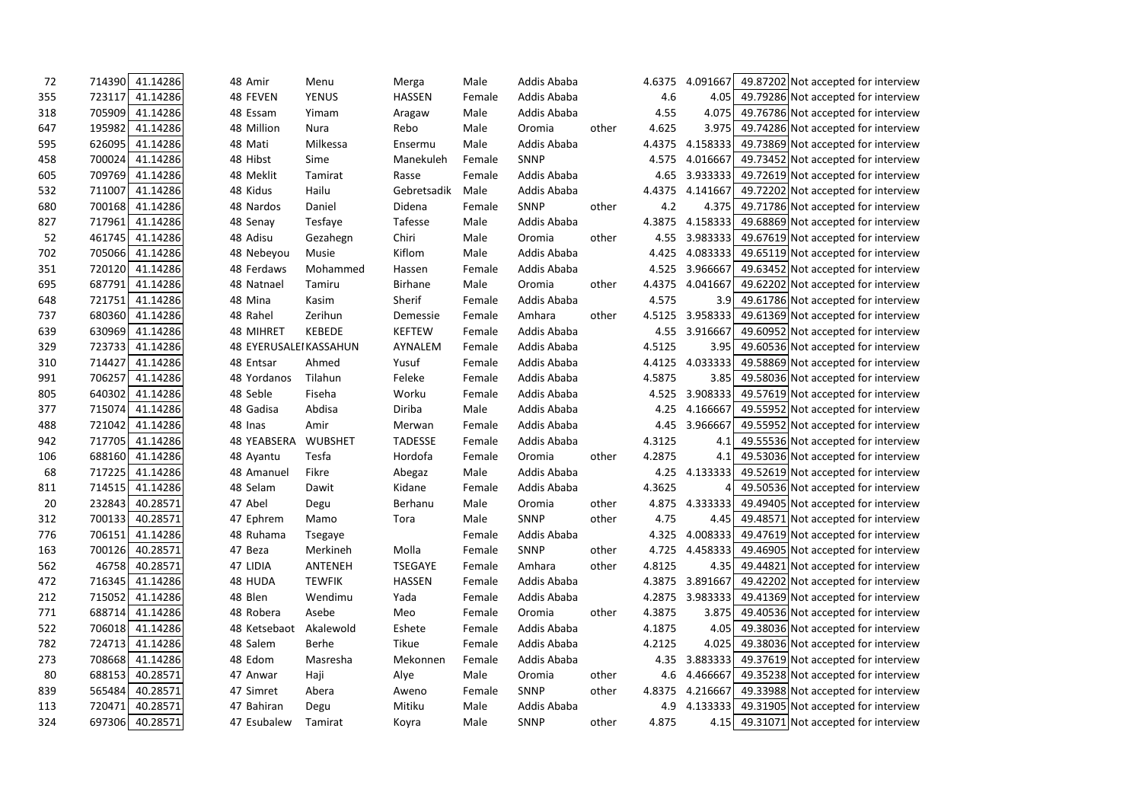| 72  | 41.14286<br>714390 | 48 Amir                | Menu           | Merga          | Male   | Addis Ababa |       | 4.6375 | 4.091667        | 49.87202 Not accepted for interview              |  |
|-----|--------------------|------------------------|----------------|----------------|--------|-------------|-------|--------|-----------------|--------------------------------------------------|--|
| 355 | 723117<br>41.14286 | 48 FEVEN               | <b>YENUS</b>   | <b>HASSEN</b>  | Female | Addis Ababa |       | 4.6    | 4.05            | 49.79286 Not accepted for interview              |  |
| 318 | 705909<br>41.14286 | 48 Essam               | Yimam          | Aragaw         | Male   | Addis Ababa |       | 4.55   | 4.075           | 49.76786 Not accepted for interview              |  |
| 647 | 195982<br>41.14286 | 48 Million             | Nura           | Rebo           | Male   | Oromia      | other | 4.625  | 3.975           | 49.74286 Not accepted for interview              |  |
| 595 | 626095<br>41.14286 | 48 Mati                | Milkessa       | Ensermu        | Male   | Addis Ababa |       | 4.4375 | 4.158333        | 49.73869 Not accepted for interview              |  |
| 458 | 700024<br>41.14286 | 48 Hibst               | Sime           | Manekuleh      | Female | SNNP        |       | 4.575  | 4.016667        | 49.73452 Not accepted for interview              |  |
| 605 | 709769<br>41.14286 | 48 Meklit              | Tamirat        | Rasse          | Female | Addis Ababa |       | 4.65   | 3.933333        | 49.72619 Not accepted for interview              |  |
| 532 | 711007<br>41.14286 | 48 Kidus               | Hailu          | Gebretsadik    | Male   | Addis Ababa |       | 4.4375 | 4.141667        | 49.72202 Not accepted for interview              |  |
| 680 | 41.14286<br>700168 | 48 Nardos              | Daniel         | Didena         | Female | SNNP        | other | 4.2    | 4.375           | 49.71786 Not accepted for interview              |  |
| 827 | 41.14286<br>717961 | 48 Senay               | Tesfaye        | Tafesse        | Male   | Addis Ababa |       | 4.3875 | 4.158333        | 49.68869 Not accepted for interview              |  |
| 52  | 461745<br>41.14286 | 48 Adisu               | Gezahegn       | Chiri          | Male   | Oromia      | other | 4.55   | 3.983333        | 49.67619 Not accepted for interview              |  |
| 702 | 705066<br>41.14286 | 48 Nebeyou             | Musie          | Kiflom         | Male   | Addis Ababa |       | 4.425  | 4.083333        | 49.65119 Not accepted for interview              |  |
| 351 | 41.14286<br>720120 | 48 Ferdaws             | Mohammed       | Hassen         | Female | Addis Ababa |       | 4.525  | 3.966667        | 49.63452 Not accepted for interview              |  |
| 695 | 41.14286<br>687791 | 48 Natnael             | Tamiru         | Birhane        | Male   | Oromia      | other | 4.4375 | 4.041667        | 49.62202 Not accepted for interview              |  |
| 648 | 721751<br>41.14286 | 48 Mina                | Kasim          | Sherif         | Female | Addis Ababa |       | 4.575  | 3.9             | 49.61786 Not accepted for interview              |  |
| 737 | 680360<br>41.14286 | 48 Rahel               | Zerihun        | Demessie       | Female | Amhara      | other | 4.5125 | 3.958333        | 49.61369 Not accepted for interview              |  |
| 639 | 630969<br>41.14286 | 48 MIHRET              | <b>KEBEDE</b>  | <b>KEFTEW</b>  | Female | Addis Ababa |       | 4.55   | 3.916667        | 49.60952 Not accepted for interview              |  |
| 329 | 723733<br>41.14286 | 48 EYERUSALEI KASSAHUN |                | AYNALEM        | Female | Addis Ababa |       | 4.5125 | 3.95            | 49.60536 Not accepted for interview              |  |
| 310 | 41.14286<br>714427 | 48 Entsar              | Ahmed          | Yusuf          | Female | Addis Ababa |       | 4.4125 | 4.033333        | 49.58869 Not accepted for interview              |  |
| 991 | 41.14286<br>706257 | 48 Yordanos            | Tilahun        | Feleke         | Female | Addis Ababa |       | 4.5875 | 3.85            | 49.58036 Not accepted for interview              |  |
| 805 | 640302<br>41.14286 | 48 Seble               | Fiseha         | Worku          | Female | Addis Ababa |       | 4.525  | 3.908333        | 49.57619 Not accepted for interview              |  |
| 377 | 41.14286<br>715074 | 48 Gadisa              | Abdisa         | Diriba         | Male   | Addis Ababa |       | 4.25   | 4.166667        | 49.55952 Not accepted for interview              |  |
| 488 | 721042<br>41.14286 | 48 Inas                | Amir           | Merwan         | Female | Addis Ababa |       | 4.45   | 3.966667        | 49.55952 Not accepted for interview              |  |
| 942 | 41.14286<br>717705 | 48 YEABSERA            | <b>WUBSHET</b> | <b>TADESSE</b> | Female | Addis Ababa |       | 4.3125 | 4.1             | 49.55536 Not accepted for interview              |  |
| 106 | 41.14286<br>688160 | 48 Ayantu              | Tesfa          | Hordofa        | Female | Oromia      | other | 4.2875 | 4.1             | 49.53036 Not accepted for interview              |  |
| 68  | 717225<br>41.14286 | 48 Amanuel             | Fikre          | Abegaz         | Male   | Addis Ababa |       | 4.25   | 4.133333        | 49.52619 Not accepted for interview              |  |
| 811 | 714515<br>41.14286 | 48 Selam               | Dawit          | Kidane         | Female | Addis Ababa |       | 4.3625 | 4               | 49.50536 Not accepted for interview              |  |
| 20  | 40.28571<br>232843 | 47 Abel                | Degu           | Berhanu        | Male   | Oromia      | other | 4.875  | 4.333333        | 49.49405 Not accepted for interview              |  |
| 312 | 40.28571<br>700133 | 47 Ephrem              | Mamo           | Tora           | Male   | SNNP        | other | 4.75   | 4.45            | 49.48571 Not accepted for interview              |  |
| 776 | 41.14286<br>706151 | 48 Ruhama              | Tsegaye        |                | Female | Addis Ababa |       | 4.325  | 4.008333        | 49.47619 Not accepted for interview              |  |
| 163 | 40.28571<br>700126 | 47 Beza                | Merkineh       | Molla          | Female | <b>SNNP</b> | other |        | 4.725 4.458333  | 49.46905 Not accepted for interview              |  |
| 562 | 40.28571<br>46758  | 47 LIDIA               | ANTENEH        | <b>TSEGAYE</b> | Female | Amhara      | other | 4.8125 | 4.35            | 49.44821 Not accepted for interview              |  |
| 472 | 716345<br>41.14286 | 48 HUDA                | <b>TEWFIK</b>  | <b>HASSEN</b>  | Female | Addis Ababa |       |        | 4.3875 3.891667 | 49.42202 Not accepted for interview              |  |
| 212 | 41.14286<br>715052 | 48 Blen                | Wendimu        | Yada           | Female | Addis Ababa |       |        | 4.2875 3.983333 | 49.41369 Not accepted for interview              |  |
| 771 | 688714<br>41.14286 | 48 Robera              | Asebe          | Meo            | Female | Oromia      | other | 4.3875 | 3.875           | 49.40536 Not accepted for interview              |  |
| 522 | 706018<br>41.14286 | 48 Ketsebaot           | Akalewold      | Eshete         | Female | Addis Ababa |       | 4.1875 | 4.05            | 49.38036 Not accepted for interview              |  |
| 782 | 41.14286<br>724713 | 48 Salem               | Berhe          | Tikue          | Female | Addis Ababa |       | 4.2125 | 4.025           | 49.38036 Not accepted for interview              |  |
| 273 | 708668<br>41.14286 | 48 Edom                | Masresha       | Mekonnen       | Female | Addis Ababa |       | 4.35   | 3.883333        | 49.37619 Not accepted for interview              |  |
| 80  | 40.28571<br>688153 | 47 Anwar               | Haji           | Alye           | Male   | Oromia      | other | 4.6    | 4.466667        | 49.35238 Not accepted for interview              |  |
| 839 | 40.28571<br>565484 | 47 Simret              | Abera          | Aweno          | Female | SNNP        | other | 4.8375 | 4.216667        | 49.33988 Not accepted for interview              |  |
| 113 | 720471<br>40.28571 | 47 Bahiran             | Degu           | Mitiku         | Male   | Addis Ababa |       |        |                 | 4.9 4.133333 49.31905 Not accepted for interview |  |
| 324 | 697306<br>40.28571 | 47 Esubalew            | Tamirat        | Koyra          | Male   | <b>SNNP</b> | other | 4.875  |                 | 4.15 49.31071 Not accepted for interview         |  |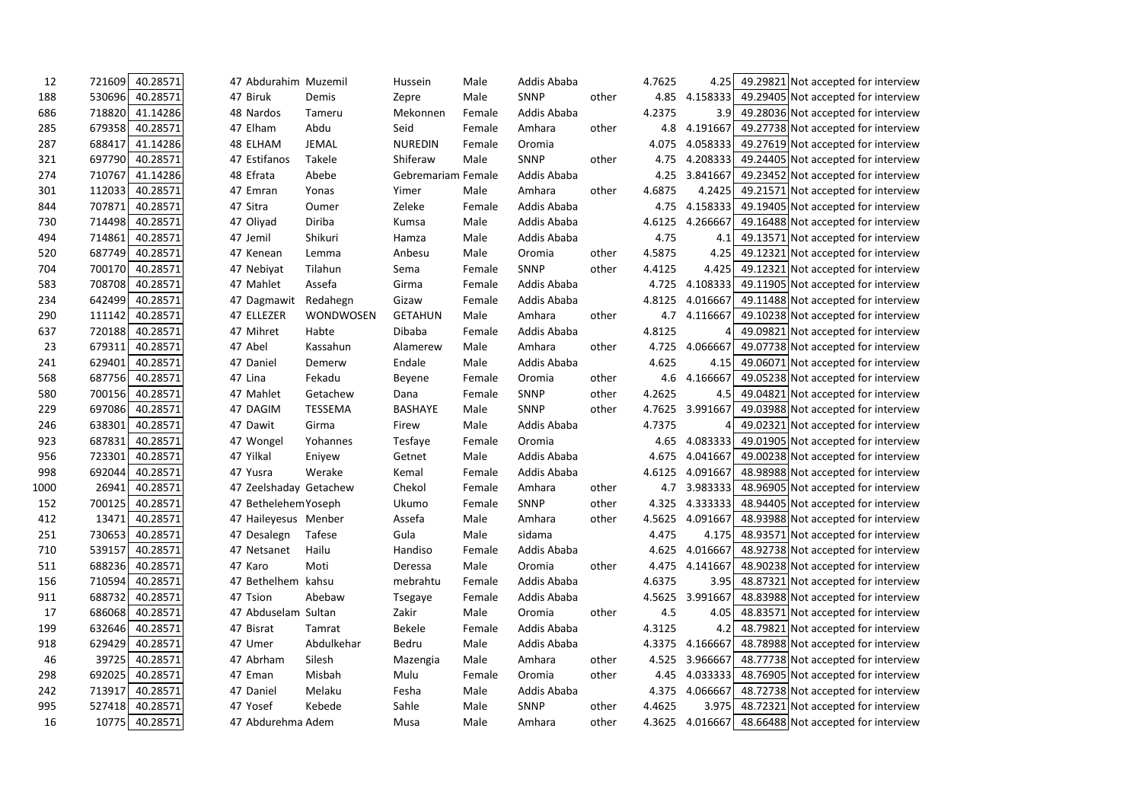| 12   | 721609 | 40.28571 | 47 Abdurahim Muzemil   |                | Hussein            | Male   | Addis Ababa |       | 4.7625 | 4.25     | 49.29821 | Not accepted for interview          |  |
|------|--------|----------|------------------------|----------------|--------------------|--------|-------------|-------|--------|----------|----------|-------------------------------------|--|
| 188  | 530696 | 40.28571 | 47 Biruk               | Demis          | Zepre              | Male   | SNNP        | other | 4.85   | 4.158333 |          | 49.29405 Not accepted for interview |  |
| 686  | 718820 | 41.14286 | 48 Nardos              | Tameru         | Mekonnen           | Female | Addis Ababa |       | 4.2375 | 3.9      |          | 49.28036 Not accepted for interview |  |
| 285  | 679358 | 40.28571 | 47 Elham               | Abdu           | Seid               | Female | Amhara      | other | 4.8    | 4.191667 |          | 49.27738 Not accepted for interview |  |
| 287  | 688417 | 41.14286 | 48 ELHAM               | <b>JEMAL</b>   | <b>NUREDIN</b>     | Female | Oromia      |       | 4.075  | 4.058333 |          | 49.27619 Not accepted for interview |  |
| 321  | 697790 | 40.28571 | 47 Estifanos           | Takele         | Shiferaw           | Male   | <b>SNNP</b> | other | 4.75   | 4.208333 |          | 49.24405 Not accepted for interview |  |
| 274  | 710767 | 41.14286 | 48 Efrata              | Abebe          | Gebremariam Female |        | Addis Ababa |       | 4.25   | 3.841667 |          | 49.23452 Not accepted for interview |  |
| 301  | 112033 | 40.28571 | 47 Emran               | Yonas          | Yimer              | Male   | Amhara      | other | 4.6875 | 4.2425   |          | 49.21571 Not accepted for interview |  |
| 844  | 707871 | 40.28571 | 47 Sitra               | Oumer          | Zeleke             | Female | Addis Ababa |       | 4.75   | 4.158333 |          | 49.19405 Not accepted for interview |  |
| 730  | 714498 | 40.28571 | 47 Oliyad              | Diriba         | Kumsa              | Male   | Addis Ababa |       | 4.6125 | 4.266667 |          | 49.16488 Not accepted for interview |  |
| 494  | 714861 | 40.28571 | 47 Jemil               | Shikuri        | Hamza              | Male   | Addis Ababa |       | 4.75   | 4.1      |          | 49.13571 Not accepted for interview |  |
| 520  | 687749 | 40.28571 | 47 Kenean              | Lemma          | Anbesu             | Male   | Oromia      | other | 4.5875 | 4.25     |          | 49.12321 Not accepted for interview |  |
| 704  | 700170 | 40.28571 | 47 Nebiyat             | Tilahun        | Sema               | Female | <b>SNNP</b> | other | 4.4125 | 4.425    |          | 49.12321 Not accepted for interview |  |
| 583  | 708708 | 40.28571 | 47 Mahlet              | Assefa         | Girma              | Female | Addis Ababa |       | 4.725  | 4.108333 |          | 49.11905 Not accepted for interview |  |
| 234  | 642499 | 40.28571 | 47 Dagmawit            | Redahegn       | Gizaw              | Female | Addis Ababa |       | 4.8125 | 4.016667 |          | 49.11488 Not accepted for interview |  |
| 290  | 111142 | 40.28571 | 47 ELLEZER             | WONDWOSEN      | <b>GETAHUN</b>     | Male   | Amhara      | other | 4.7    | 4.116667 |          | 49.10238 Not accepted for interview |  |
| 637  | 720188 | 40.28571 | 47 Mihret              | Habte          | Dibaba             | Female | Addis Ababa |       | 4.8125 | 4        |          | 49.09821 Not accepted for interview |  |
| 23   | 679311 | 40.28571 | 47 Abel                | Kassahun       | Alamerew           | Male   | Amhara      | other | 4.725  | 4.066667 |          | 49.07738 Not accepted for interview |  |
| 241  | 629401 | 40.28571 | 47 Daniel              | Demerw         | Endale             | Male   | Addis Ababa |       | 4.625  | 4.15     |          | 49.06071 Not accepted for interview |  |
| 568  | 687756 | 40.28571 | 47 Lina                | Fekadu         | <b>Beyene</b>      | Female | Oromia      | other | 4.6    | 4.166667 |          | 49.05238 Not accepted for interview |  |
| 580  | 700156 | 40.28571 | 47 Mahlet              | Getachew       | Dana               | Female | <b>SNNP</b> | other | 4.2625 | 4.5      |          | 49.04821 Not accepted for interview |  |
| 229  | 697086 | 40.28571 | 47 DAGIM               | <b>TESSEMA</b> | <b>BASHAYE</b>     | Male   | SNNP        | other | 4.7625 | 3.991667 |          | 49.03988 Not accepted for interview |  |
| 246  | 638301 | 40.28571 | 47 Dawit               | Girma          | Firew              | Male   | Addis Ababa |       | 4.7375 |          |          | 49.02321 Not accepted for interview |  |
| 923  | 687831 | 40.28571 | 47 Wongel              | Yohannes       | Tesfaye            | Female | Oromia      |       | 4.65   | 4.083333 |          | 49.01905 Not accepted for interview |  |
| 956  | 723301 | 40.28571 | 47 Yilkal              | Eniyew         | Getnet             | Male   | Addis Ababa |       | 4.675  | 4.041667 |          | 49.00238 Not accepted for interview |  |
| 998  | 692044 | 40.28571 | 47 Yusra               | Werake         | Kemal              | Female | Addis Ababa |       | 4.6125 | 4.091667 |          | 48.98988 Not accepted for interview |  |
| 1000 | 26941  | 40.28571 | 47 Zeelshaday Getachew |                | Chekol             | Female | Amhara      | other | 4.7    | 3.983333 |          | 48.96905 Not accepted for interview |  |
| 152  | 700125 | 40.28571 | 47 Bethelehem Yoseph   |                | Ukumo              | Female | <b>SNNP</b> | other | 4.325  | 4.333333 |          | 48.94405 Not accepted for interview |  |
| 412  | 13471  | 40.28571 | 47 Haileyesus Menber   |                | Assefa             | Male   | Amhara      | other | 4.5625 | 4.091667 |          | 48.93988 Not accepted for interview |  |
| 251  | 730653 | 40.28571 | 47 Desalegn            | Tafese         | Gula               | Male   | sidama      |       | 4.475  | 4.175    |          | 48.93571 Not accepted for interview |  |
| 710  | 539157 | 40.28571 | 47 Netsanet            | Hailu          | Handiso            | Female | Addis Ababa |       | 4.625  | 4.016667 |          | 48.92738 Not accepted for interview |  |
| 511  | 688236 | 40.28571 | 47 Karo                | Moti           | Deressa            | Male   | Oromia      | other | 4.475  | 4.141667 |          | 48.90238 Not accepted for interview |  |
| 156  | 710594 | 40.28571 | 47 Bethelhem           | kahsu          | mebrahtu           | Female | Addis Ababa |       | 4.6375 | 3.95     |          | 48.87321 Not accepted for interview |  |
| 911  | 688732 | 40.28571 | 47 Tsion               | Abebaw         | Tsegaye            | Female | Addis Ababa |       | 4.5625 | 3.991667 |          | 48.83988 Not accepted for interview |  |
| 17   | 686068 | 40.28571 | 47 Abduselam Sultan    |                | Zakir              | Male   | Oromia      | other | 4.5    | 4.05     |          | 48.83571 Not accepted for interview |  |
| 199  | 632646 | 40.28571 | 47 Bisrat              | Tamrat         | Bekele             | Female | Addis Ababa |       | 4.3125 | 4.2      |          | 48.79821 Not accepted for interview |  |
| 918  | 629429 | 40.28571 | 47 Umer                | Abdulkehar     | Bedru              | Male   | Addis Ababa |       | 4.3375 | 4.166667 |          | 48.78988 Not accepted for interview |  |
| 46   | 39725  | 40.28571 | 47 Abrham              | Silesh         | Mazengia           | Male   | Amhara      | other | 4.525  | 3.966667 |          | 48.77738 Not accepted for interview |  |
| 298  | 692025 | 40.28571 | 47 Eman                | Misbah         | Mulu               | Female | Oromia      | other | 4.45   | 4.033333 |          | 48.76905 Not accepted for interview |  |
| 242  | 713917 | 40.28571 | 47 Daniel              | Melaku         | Fesha              | Male   | Addis Ababa |       | 4.375  | 4.066667 |          | 48.72738 Not accepted for interview |  |
| 995  | 527418 | 40.28571 | 47 Yosef               | Kebede         | Sahle              | Male   | SNNP        | other | 4.4625 | 3.975    |          | 48.72321 Not accepted for interview |  |
| 16   | 10775  | 40.28571 | 47 Abdurehma Adem      |                | Musa               | Male   | Amhara      | other | 4.3625 | 4.016667 |          | 48.66488 Not accepted for interview |  |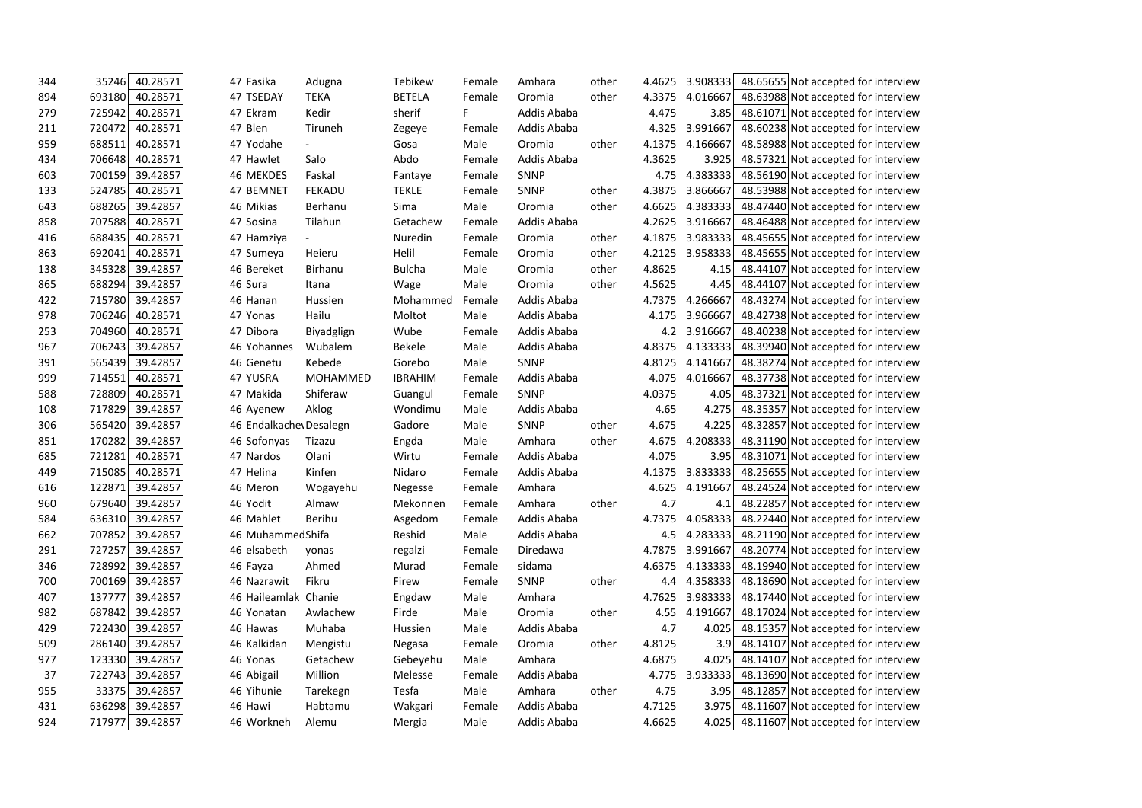| 344 | 35246<br>40.28571  | 47 Fasika              | Adugna                   | Tebikew        | Female | Amhara      | other | 4.4625 | 3.908333        | 48.65655 Not accepted for interview          |  |
|-----|--------------------|------------------------|--------------------------|----------------|--------|-------------|-------|--------|-----------------|----------------------------------------------|--|
| 894 | 693180<br>40.28571 | 47 TSEDAY              | <b>TEKA</b>              | <b>BETELA</b>  | Female | Oromia      | other | 4.3375 | 4.016667        | 48.63988 Not accepted for interview          |  |
| 279 | 40.28571<br>725942 | 47 Ekram               | Kedir                    | sherif         | F.     | Addis Ababa |       | 4.475  | 3.85            | 48.61071 Not accepted for interview          |  |
| 211 | 720472<br>40.28571 | 47 Blen                | Tiruneh                  | Zegeye         | Female | Addis Ababa |       | 4.325  | 3.991667        | 48.60238 Not accepted for interview          |  |
| 959 | 40.28571<br>688511 | 47 Yodahe              |                          | Gosa           | Male   | Oromia      | other | 4.1375 | 4.166667        | 48.58988 Not accepted for interview          |  |
| 434 | 706648<br>40.28571 | 47 Hawlet              | Salo                     | Abdo           | Female | Addis Ababa |       | 4.3625 | 3.925           | 48.57321 Not accepted for interview          |  |
| 603 | 39.42857<br>700159 | 46 MEKDES              | Faskal                   | Fantaye        | Female | <b>SNNP</b> |       | 4.75   | 4.383333        | 48.56190 Not accepted for interview          |  |
| 133 | 40.28571<br>524785 | 47 BEMNET              | <b>FEKADU</b>            | <b>TEKLE</b>   | Female | <b>SNNP</b> | other | 4.3875 | 3.866667        | 48.53988 Not accepted for interview          |  |
| 643 | 688265<br>39.42857 | 46 Mikias              | Berhanu                  | Sima           | Male   | Oromia      | other | 4.6625 | 4.383333        | 48.47440 Not accepted for interview          |  |
| 858 | 40.28571<br>707588 | 47 Sosina              | Tilahun                  | Getachew       | Female | Addis Ababa |       | 4.2625 | 3.916667        | 48.46488 Not accepted for interview          |  |
| 416 | 688435<br>40.28571 | 47 Hamziya             | $\overline{\phantom{0}}$ | Nuredin        | Female | Oromia      | other | 4.1875 | 3.983333        | 48.45655 Not accepted for interview          |  |
| 863 | 692041<br>40.28571 | 47 Sumeya              | Heieru                   | Helil          | Female | Oromia      | other | 4.2125 | 3.958333        | 48.45655 Not accepted for interview          |  |
| 138 | 39.42857<br>345328 | 46 Bereket             | Birhanu                  | <b>Bulcha</b>  | Male   | Oromia      | other | 4.8625 | 4.15            | 48.44107 Not accepted for interview          |  |
| 865 | 688294<br>39.42857 | 46 Sura                | Itana                    | Wage           | Male   | Oromia      | other | 4.5625 | 4.45            | 48.44107 Not accepted for interview          |  |
| 422 | 39.42857<br>715780 | 46 Hanan               | Hussien                  | Mohammed       | Female | Addis Ababa |       | 4.7375 | 4.266667        | 48.43274 Not accepted for interview          |  |
| 978 | 706246<br>40.28571 | 47 Yonas               | Hailu                    | Moltot         | Male   | Addis Ababa |       | 4.175  | 3.966667        | 48.42738 Not accepted for interview          |  |
| 253 | 704960<br>40.28571 | 47 Dibora              | Biyadglign               | Wube           | Female | Addis Ababa |       | 4.2    | 3.916667        | 48.40238 Not accepted for interview          |  |
| 967 | 39.42857<br>706243 | 46 Yohannes            | Wubalem                  | <b>Bekele</b>  | Male   | Addis Ababa |       | 4.8375 | 4.133333        | 48.39940 Not accepted for interview          |  |
| 391 | 565439<br>39.42857 | 46 Genetu              | Kebede                   | Gorebo         | Male   | <b>SNNP</b> |       | 4.8125 | 4.141667        | 48.38274 Not accepted for interview          |  |
| 999 | 40.28571<br>714551 | 47 YUSRA               | MOHAMMED                 | <b>IBRAHIM</b> | Female | Addis Ababa |       | 4.075  | 4.016667        | 48.37738 Not accepted for interview          |  |
| 588 | 728809<br>40.28571 | 47 Makida              | Shiferaw                 | Guangul        | Female | <b>SNNP</b> |       | 4.0375 | 4.05            | 48.37321 Not accepted for interview          |  |
| 108 | 39.42857<br>717829 | 46 Ayenew              | Aklog                    | Wondimu        | Male   | Addis Ababa |       | 4.65   | 4.275           | 48.35357 Not accepted for interview          |  |
| 306 | 39.42857<br>565420 | 46 Endalkache Desalegn |                          | Gadore         | Male   | <b>SNNP</b> | other | 4.675  | 4.225           | 48.32857 Not accepted for interview          |  |
| 851 | 170282<br>39.42857 | 46 Sofonyas            | Tizazu                   | Engda          | Male   | Amhara      | other | 4.675  | 4.208333        | 48.31190 Not accepted for interview          |  |
| 685 | 40.28571<br>721281 | 47 Nardos              | Olani                    | Wirtu          | Female | Addis Ababa |       | 4.075  | 3.95            | 48.31071 Not accepted for interview          |  |
| 449 | 715085<br>40.28571 | 47 Helina              | Kinfen                   | Nidaro         | Female | Addis Ababa |       | 4.1375 | 3.833333        | 48.25655 Not accepted for interview          |  |
| 616 | 122871<br>39.42857 | 46 Meron               | Wogayehu                 | Negesse        | Female | Amhara      |       | 4.625  | 4.191667        | 48.24524 Not accepted for interview          |  |
| 960 | 39.42857<br>679640 | 46 Yodit               | Almaw                    | Mekonnen       | Female | Amhara      | other | 4.7    | 4.1             | 48.22857 Not accepted for interview          |  |
| 584 | 636310<br>39.42857 | 46 Mahlet              | Berihu                   | Asgedom        | Female | Addis Ababa |       | 4.7375 | 4.058333        | 48.22440 Not accepted for interview          |  |
| 662 | 39.42857<br>707852 | 46 Muhammec Shifa      |                          | Reshid         | Male   | Addis Ababa |       | 4.5    | 4.283333        | 48.21190 Not accepted for interview          |  |
| 291 | 727257<br>39.42857 | 46 elsabeth            | yonas                    | regalzi        | Female | Diredawa    |       |        | 4.7875 3.991667 | 48.20774 Not accepted for interview          |  |
| 346 | 728992<br>39.42857 | 46 Fayza               | Ahmed                    | Murad          | Female | sidama      |       | 4.6375 | 4.133333        | 48.19940 Not accepted for interview          |  |
| 700 | 700169<br>39.42857 | 46 Nazrawit            | Fikru                    | Firew          | Female | <b>SNNP</b> | other | 4.4    |                 | 4.358333 48.18690 Not accepted for interview |  |
| 407 | 137777<br>39.42857 | 46 Haileamlak Chanie   |                          | Engdaw         | Male   | Amhara      |       | 4.7625 |                 | 3.983333 48.17440 Not accepted for interview |  |
| 982 | 687842<br>39.42857 | 46 Yonatan             | Awlachew                 | Firde          | Male   | Oromia      | other | 4.55   | 4.191667        | 48.17024 Not accepted for interview          |  |
| 429 | 722430<br>39.42857 | 46 Hawas               | Muhaba                   | Hussien        | Male   | Addis Ababa |       | 4.7    | 4.025           | 48.15357 Not accepted for interview          |  |
| 509 | 39.42857<br>286140 | 46 Kalkidan            | Mengistu                 | Negasa         | Female | Oromia      | other | 4.8125 | 3.9             | 48.14107 Not accepted for interview          |  |
| 977 | 123330<br>39.42857 | 46 Yonas               | Getachew                 | Gebeyehu       | Male   | Amhara      |       | 4.6875 | 4.025           | 48.14107 Not accepted for interview          |  |
| 37  | 722743<br>39.42857 | 46 Abigail             | Million                  | Melesse        | Female | Addis Ababa |       | 4.775  |                 | 3.933333 48.13690 Not accepted for interview |  |
| 955 | 33375<br>39.42857  | 46 Yihunie             | Tarekegn                 | Tesfa          | Male   | Amhara      | other | 4.75   | 3.95            | 48.12857 Not accepted for interview          |  |
| 431 | 636298<br>39.42857 | 46 Hawi                | Habtamu                  | Wakgari        | Female | Addis Ababa |       | 4.7125 | 3.975           | 48.11607 Not accepted for interview          |  |
| 924 | 717977<br>39.42857 | 46 Workneh             | Alemu                    | Mergia         | Male   | Addis Ababa |       | 4.6625 | 4.025           | 48.11607 Not accepted for interview          |  |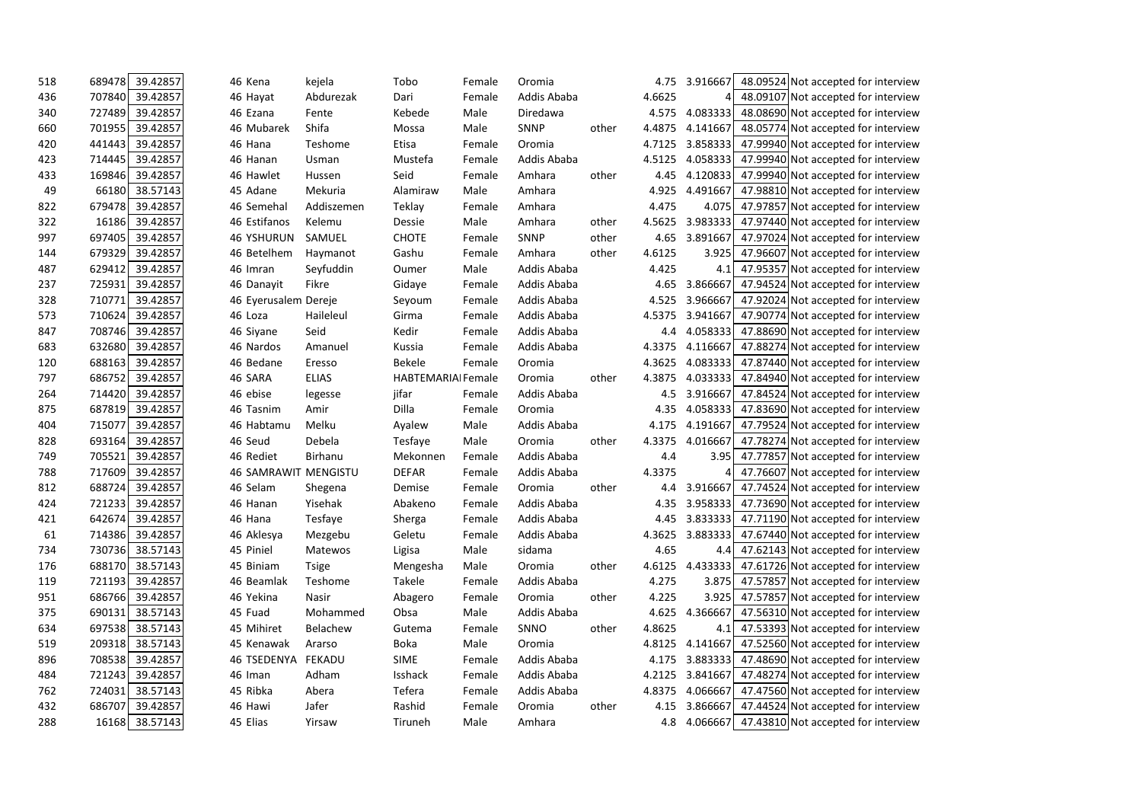| 518 | 689478 | 39.42857       | 46 Kena              | kejela       | Tobo                      | Female | Oromia      |       | 4.75   | 3.916667 | 48.09524 Not accepted for interview          |
|-----|--------|----------------|----------------------|--------------|---------------------------|--------|-------------|-------|--------|----------|----------------------------------------------|
| 436 | 707840 | 39.42857       | 46 Hayat             | Abdurezak    | Dari                      | Female | Addis Ababa |       | 4.6625 | 41       | 48.09107 Not accepted for interview          |
| 340 | 727489 | 39.42857       | 46 Ezana             | Fente        | Kebede                    | Male   | Diredawa    |       | 4.575  | 4.083333 | 48.08690 Not accepted for interview          |
| 660 | 701955 | 39.42857       | 46 Mubarek           | Shifa        | Mossa                     | Male   | SNNP        | other | 4.4875 | 4.141667 | 48.05774 Not accepted for interview          |
| 420 | 441443 | 39.42857       | 46 Hana              | Teshome      | Etisa                     | Female | Oromia      |       | 4.7125 | 3.858333 | 47.99940 Not accepted for interview          |
| 423 | 714445 | 39.42857       | 46 Hanan             | Usman        | Mustefa                   | Female | Addis Ababa |       | 4.5125 | 4.058333 | 47.99940 Not accepted for interview          |
| 433 | 169846 | 39.42857       | 46 Hawlet            | Hussen       | Seid                      | Female | Amhara      | other | 4.45   | 4.120833 | 47.99940 Not accepted for interview          |
| 49  | 66180  | 38.57143       | 45 Adane             | Mekuria      | Alamiraw                  | Male   | Amhara      |       | 4.925  | 4.491667 | 47.98810 Not accepted for interview          |
| 822 | 679478 | 39.42857       | 46 Semehal           | Addiszemen   | Teklay                    | Female | Amhara      |       | 4.475  | 4.075    | 47.97857 Not accepted for interview          |
| 322 | 16186  | 39.42857       | 46 Estifanos         | Kelemu       | Dessie                    | Male   | Amhara      | other | 4.5625 | 3.983333 | 47.97440 Not accepted for interview          |
| 997 | 697405 | 39.42857       | <b>46 YSHURUN</b>    | SAMUEL       | <b>CHOTE</b>              | Female | SNNP        | other | 4.65   | 3.891667 | 47.97024 Not accepted for interview          |
| 144 | 679329 | 39.42857       | 46 Betelhem          | Haymanot     | Gashu                     | Female | Amhara      | other | 4.6125 | 3.925    | 47.96607 Not accepted for interview          |
| 487 | 629412 | 39.42857       | 46 Imran             | Seyfuddin    | Oumer                     | Male   | Addis Ababa |       | 4.425  | 4.1      | 47.95357 Not accepted for interview          |
| 237 | 725931 | 39.42857       | 46 Danayit           | Fikre        | Gidaye                    | Female | Addis Ababa |       | 4.65   | 3.866667 | 47.94524 Not accepted for interview          |
| 328 | 710771 | 39.42857       | 46 Eyerusalem Dereje |              | Seyoum                    | Female | Addis Ababa |       | 4.525  | 3.966667 | 47.92024 Not accepted for interview          |
| 573 | 710624 | 39.42857       | 46 Loza              | Haileleul    | Girma                     | Female | Addis Ababa |       | 4.5375 | 3.941667 | 47.90774 Not accepted for interview          |
| 847 | 708746 | 39.42857       | 46 Siyane            | Seid         | Kedir                     | Female | Addis Ababa |       | 4.4    | 4.058333 | 47.88690 Not accepted for interview          |
| 683 | 632680 | 39.42857       | 46 Nardos            | Amanuel      | Kussia                    | Female | Addis Ababa |       | 4.3375 | 4.116667 | 47.88274 Not accepted for interview          |
| 120 | 688163 | 39.42857       | 46 Bedane            | Eresso       | <b>Bekele</b>             | Female | Oromia      |       | 4.3625 | 4.083333 | 47.87440 Not accepted for interview          |
| 797 | 686752 | 39.42857       | 46 SARA              | <b>ELIAS</b> | <b>HABTEMARIAI Female</b> |        | Oromia      | other | 4.3875 | 4.033333 | 47.84940 Not accepted for interview          |
| 264 | 714420 | 39.42857       | 46 ebise             | legesse      | jifar                     | Female | Addis Ababa |       | 4.5    | 3.916667 | 47.84524 Not accepted for interview          |
| 875 | 687819 | 39.42857       | 46 Tasnim            | Amir         | Dilla                     | Female | Oromia      |       | 4.35   | 4.058333 | 47.83690 Not accepted for interview          |
| 404 | 715077 | 39.42857       | 46 Habtamu           | Melku        | Ayalew                    | Male   | Addis Ababa |       | 4.175  | 4.191667 | 47.79524 Not accepted for interview          |
| 828 | 693164 | 39.42857       | 46 Seud              | Debela       | Tesfaye                   | Male   | Oromia      | other | 4.3375 | 4.016667 | 47.78274 Not accepted for interview          |
| 749 | 705521 | 39.42857       | 46 Rediet            | Birhanu      | Mekonnen                  | Female | Addis Ababa |       | 4.4    | 3.95     | 47.77857 Not accepted for interview          |
| 788 | 717609 | 39.42857       | 46 SAMRAWIT MENGISTU |              | <b>DEFAR</b>              | Female | Addis Ababa |       | 4.3375 |          | 47.76607 Not accepted for interview          |
| 812 | 688724 | 39.42857       | 46 Selam             | Shegena      | Demise                    | Female | Oromia      | other | 4.4    | 3.916667 | 47.74524 Not accepted for interview          |
| 424 | 721233 | 39.42857       | 46 Hanan             | Yisehak      | Abakeno                   | Female | Addis Ababa |       | 4.35   | 3.958333 | 47.73690 Not accepted for interview          |
| 421 | 642674 | 39.42857       | 46 Hana              | Tesfaye      | Sherga                    | Female | Addis Ababa |       | 4.45   | 3.833333 | 47.71190 Not accepted for interview          |
| 61  | 714386 | 39.42857       | 46 Aklesya           | Mezgebu      | Geletu                    | Female | Addis Ababa |       | 4.3625 | 3.883333 | 47.67440 Not accepted for interview          |
| 734 | 730736 | 38.57143       | 45 Piniel            | Matewos      | Ligisa                    | Male   | sidama      |       | 4.65   |          | 4.4 47.62143 Not accepted for interview      |
| 176 | 688170 | 38.57143       | 45 Biniam            | <b>Tsige</b> | Mengesha                  | Male   | Oromia      | other | 4.6125 |          | 4.433333 47.61726 Not accepted for interview |
| 119 | 721193 | 39.42857       | 46 Beamlak           | Teshome      | Takele                    | Female | Addis Ababa |       | 4.275  |          | 3.875 47.57857 Not accepted for interview    |
| 951 | 686766 | 39.42857       | 46 Yekina            | Nasir        | Abagero                   | Female | Oromia      | other | 4.225  | 3.925    | 47.57857 Not accepted for interview          |
| 375 | 690131 | 38.57143       | 45 Fuad              | Mohammed     | Obsa                      | Male   | Addis Ababa |       | 4.625  | 4.366667 | 47.56310 Not accepted for interview          |
| 634 | 697538 | 38.57143       | 45 Mihiret           | Belachew     | Gutema                    | Female | SNNO        | other | 4.8625 |          | 4.1 47.53393 Not accepted for interview      |
| 519 | 209318 | 38.57143       | 45 Kenawak           | Ararso       | <b>Boka</b>               | Male   | Oromia      |       | 4.8125 | 4.141667 | 47.52560 Not accepted for interview          |
| 896 | 708538 | 39.42857       | 46 TSEDENYA FEKADU   |              | <b>SIME</b>               | Female | Addis Ababa |       | 4.175  |          | 3.883333 47.48690 Not accepted for interview |
| 484 | 721243 | 39.42857       | 46 Iman              | Adham        | Isshack                   | Female | Addis Ababa |       | 4.2125 | 3.841667 | 47.48274 Not accepted for interview          |
| 762 | 724031 | 38.57143       | 45 Ribka             | Abera        | Tefera                    | Female | Addis Ababa |       | 4.8375 | 4.066667 | 47.47560 Not accepted for interview          |
| 432 | 686707 | 39.42857       | 46 Hawi              | Jafer        | Rashid                    | Female | Oromia      | other | 4.15   |          | 3.866667 47.44524 Not accepted for interview |
| 288 |        | 16168 38.57143 | 45 Elias             | Yirsaw       | Tiruneh                   | Male   | Amhara      |       | 4.8    |          | 4.066667 47.43810 Not accepted for interview |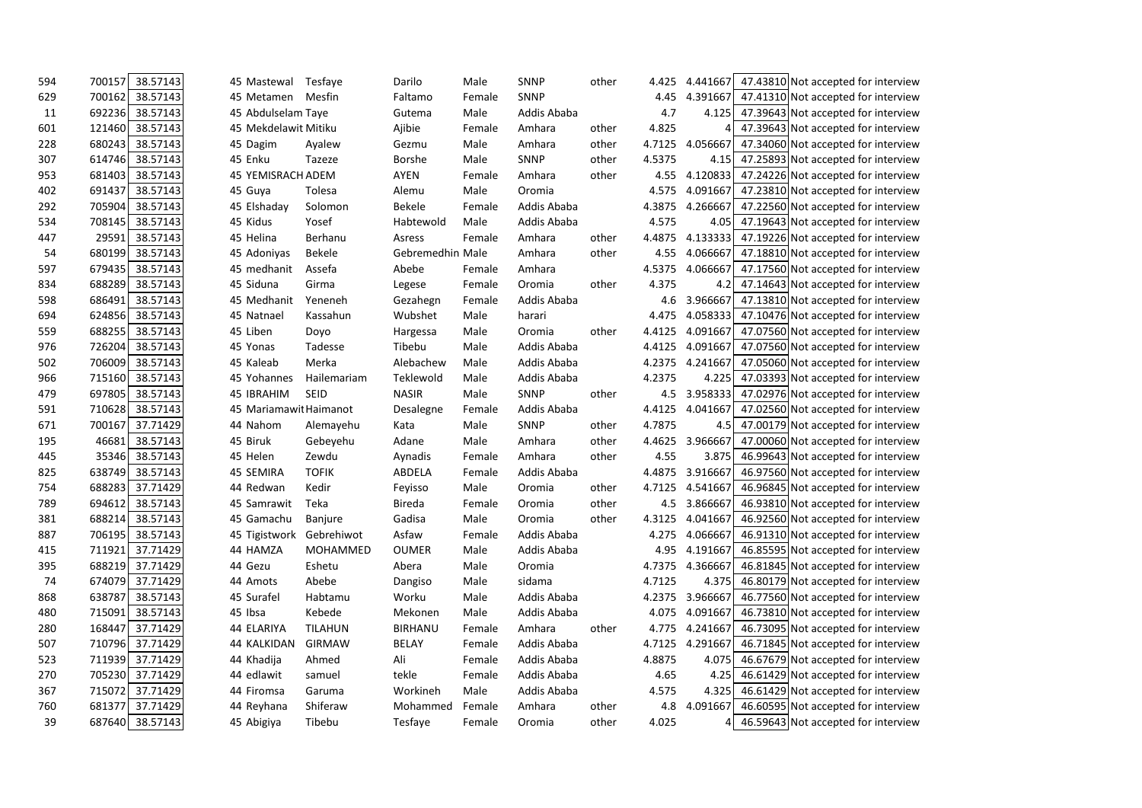| 594 | 700157 | 38.57143 | 45 Mastewal            | Tesfaye        | Darilo           | Male   | <b>SNNP</b> | other | 4.425  | 4.441667 | 47.43810 Not accepted for interview          |  |
|-----|--------|----------|------------------------|----------------|------------------|--------|-------------|-------|--------|----------|----------------------------------------------|--|
| 629 | 700162 | 38.57143 | 45 Metamen             | Mesfin         | Faltamo          | Female | SNNP        |       | 4.45   | 4.391667 | 47.41310 Not accepted for interview          |  |
| 11  | 692236 | 38.57143 | 45 Abdulselam Taye     |                | Gutema           | Male   | Addis Ababa |       | 4.7    | 4.125    | 47.39643 Not accepted for interview          |  |
| 601 | 121460 | 38.57143 | 45 Mekdelawit Mitiku   |                | Ajibie           | Female | Amhara      | other | 4.825  | 4        | 47.39643 Not accepted for interview          |  |
| 228 | 680243 | 38.57143 | 45 Dagim               | Ayalew         | Gezmu            | Male   | Amhara      | other | 4.7125 | 4.056667 | 47.34060 Not accepted for interview          |  |
| 307 | 614746 | 38.57143 | 45 Enku                | Tazeze         | <b>Borshe</b>    | Male   | <b>SNNP</b> | other | 4.5375 | 4.15     | 47.25893 Not accepted for interview          |  |
| 953 | 681403 | 38.57143 | 45 YEMISRACH ADEM      |                | AYEN             | Female | Amhara      | other | 4.55   | 4.120833 | 47.24226 Not accepted for interview          |  |
| 402 | 691437 | 38.57143 | 45 Guya                | Tolesa         | Alemu            | Male   | Oromia      |       | 4.575  | 4.091667 | 47.23810 Not accepted for interview          |  |
| 292 | 705904 | 38.57143 | 45 Elshaday            | Solomon        | <b>Bekele</b>    | Female | Addis Ababa |       | 4.3875 | 4.266667 | 47.22560 Not accepted for interview          |  |
| 534 | 708145 | 38.57143 | 45 Kidus               | Yosef          | Habtewold        | Male   | Addis Ababa |       | 4.575  | 4.05     | 47.19643 Not accepted for interview          |  |
| 447 | 29591  | 38.57143 | 45 Helina              | Berhanu        | Asress           | Female | Amhara      | other | 4.4875 | 4.133333 | 47.19226 Not accepted for interview          |  |
| 54  | 680199 | 38.57143 | 45 Adoniyas            | <b>Bekele</b>  | Gebremedhin Male |        | Amhara      | other | 4.55   | 4.066667 | 47.18810 Not accepted for interview          |  |
| 597 | 679435 | 38.57143 | 45 medhanit            | Assefa         | Abebe            | Female | Amhara      |       | 4.5375 | 4.066667 | 47.17560 Not accepted for interview          |  |
| 834 | 688289 | 38.57143 | 45 Siduna              | Girma          | Legese           | Female | Oromia      | other | 4.375  | 4.2      | 47.14643 Not accepted for interview          |  |
| 598 | 686491 | 38.57143 | 45 Medhanit            | Yeneneh        | Gezahegn         | Female | Addis Ababa |       | 4.6    | 3.966667 | 47.13810 Not accepted for interview          |  |
| 694 | 624856 | 38.57143 | 45 Natnael             | Kassahun       | Wubshet          | Male   | harari      |       | 4.475  | 4.058333 | 47.10476 Not accepted for interview          |  |
| 559 | 688255 | 38.57143 | 45 Liben               | Doyo           | Hargessa         | Male   | Oromia      | other | 4.4125 | 4.091667 | 47.07560 Not accepted for interview          |  |
| 976 | 726204 | 38.57143 | 45 Yonas               | Tadesse        | Tibebu           | Male   | Addis Ababa |       | 4.4125 | 4.091667 | 47.07560 Not accepted for interview          |  |
| 502 | 706009 | 38.57143 | 45 Kaleab              | Merka          | Alebachew        | Male   | Addis Ababa |       | 4.2375 | 4.241667 | 47.05060 Not accepted for interview          |  |
| 966 | 715160 | 38.57143 | 45 Yohannes            | Hailemariam    | Teklewold        | Male   | Addis Ababa |       | 4.2375 | 4.225    | 47.03393 Not accepted for interview          |  |
| 479 | 697805 | 38.57143 | 45 IBRAHIM             | SEID           | <b>NASIR</b>     | Male   | <b>SNNP</b> | other | 4.5    | 3.958333 | 47.02976 Not accepted for interview          |  |
| 591 | 710628 | 38.57143 | 45 Mariamawit Haimanot |                | Desalegne        | Female | Addis Ababa |       | 4.4125 | 4.041667 | 47.02560 Not accepted for interview          |  |
| 671 | 700167 | 37.71429 | 44 Nahom               | Alemayehu      | Kata             | Male   | <b>SNNP</b> | other | 4.7875 | 4.5      | 47.00179 Not accepted for interview          |  |
| 195 | 46681  | 38.57143 | 45 Biruk               | Gebeyehu       | Adane            | Male   | Amhara      | other | 4.4625 | 3.966667 | 47.00060 Not accepted for interview          |  |
| 445 | 35346  | 38.57143 | 45 Helen               | Zewdu          | Aynadis          | Female | Amhara      | other | 4.55   | 3.875    | 46.99643 Not accepted for interview          |  |
| 825 | 638749 | 38.57143 | 45 SEMIRA              | <b>TOFIK</b>   | ABDELA           | Female | Addis Ababa |       | 4.4875 | 3.916667 | 46.97560 Not accepted for interview          |  |
| 754 | 688283 | 37.71429 | 44 Redwan              | Kedir          | Feyisso          | Male   | Oromia      | other | 4.7125 | 4.541667 | 46.96845 Not accepted for interview          |  |
| 789 | 694612 | 38.57143 | 45 Samrawit            | Teka           | <b>Bireda</b>    | Female | Oromia      | other | 4.5    | 3.866667 | 46.93810 Not accepted for interview          |  |
| 381 | 688214 | 38.57143 | 45 Gamachu             | Banjure        | Gadisa           | Male   | Oromia      | other | 4.3125 | 4.041667 | 46.92560 Not accepted for interview          |  |
| 887 | 706195 | 38.57143 | 45 Tigistwork          | Gebrehiwot     | Asfaw            | Female | Addis Ababa |       | 4.275  | 4.066667 | 46.91310 Not accepted for interview          |  |
| 415 | 711921 | 37.71429 | 44 HAMZA               | MOHAMMED       | <b>OUMER</b>     | Male   | Addis Ababa |       | 4.95   | 4.191667 | 46.85595 Not accepted for interview          |  |
| 395 | 688219 | 37.71429 | 44 Gezu                | Eshetu         | Abera            | Male   | Oromia      |       | 4.7375 | 4.366667 | 46.81845 Not accepted for interview          |  |
| 74  | 674079 | 37.71429 | 44 Amots               | Abebe          | Dangiso          | Male   | sidama      |       | 4.7125 |          | 4.375 46.80179 Not accepted for interview    |  |
| 868 | 638787 | 38.57143 | 45 Surafel             | Habtamu        | Worku            | Male   | Addis Ababa |       | 4.2375 |          | 3.966667 46.77560 Not accepted for interview |  |
| 480 | 715091 | 38.57143 | 45 Ibsa                | Kebede         | Mekonen          | Male   | Addis Ababa |       | 4.075  |          | 4.091667 46.73810 Not accepted for interview |  |
| 280 | 168447 | 37.71429 | 44 ELARIYA             | <b>TILAHUN</b> | <b>BIRHANU</b>   | Female | Amhara      | other | 4.775  | 4.241667 | 46.73095 Not accepted for interview          |  |
| 507 | 710796 | 37.71429 | 44 KALKIDAN            | <b>GIRMAW</b>  | <b>BELAY</b>     | Female | Addis Ababa |       | 4.7125 | 4.291667 | 46.71845 Not accepted for interview          |  |
| 523 | 711939 | 37.71429 | 44 Khadija             | Ahmed          | Ali              | Female | Addis Ababa |       | 4.8875 |          | 4.075 46.67679 Not accepted for interview    |  |
| 270 | 705230 | 37.71429 | 44 edlawit             | samuel         | tekle            | Female | Addis Ababa |       | 4.65   | 4.25     | 46.61429 Not accepted for interview          |  |
| 367 | 715072 | 37.71429 | 44 Firomsa             | Garuma         | Workineh         | Male   | Addis Ababa |       | 4.575  | 4.325    | 46.61429 Not accepted for interview          |  |
| 760 | 681377 | 37.71429 | 44 Reyhana             | Shiferaw       | Mohammed         | Female | Amhara      | other | 4.8    | 4.091667 | 46.60595 Not accepted for interview          |  |
| 39  | 687640 | 38.57143 | 45 Abigiya             | Tibebu         | Tesfaye          | Female | Oromia      | other | 4.025  | 41       | 46.59643 Not accepted for interview          |  |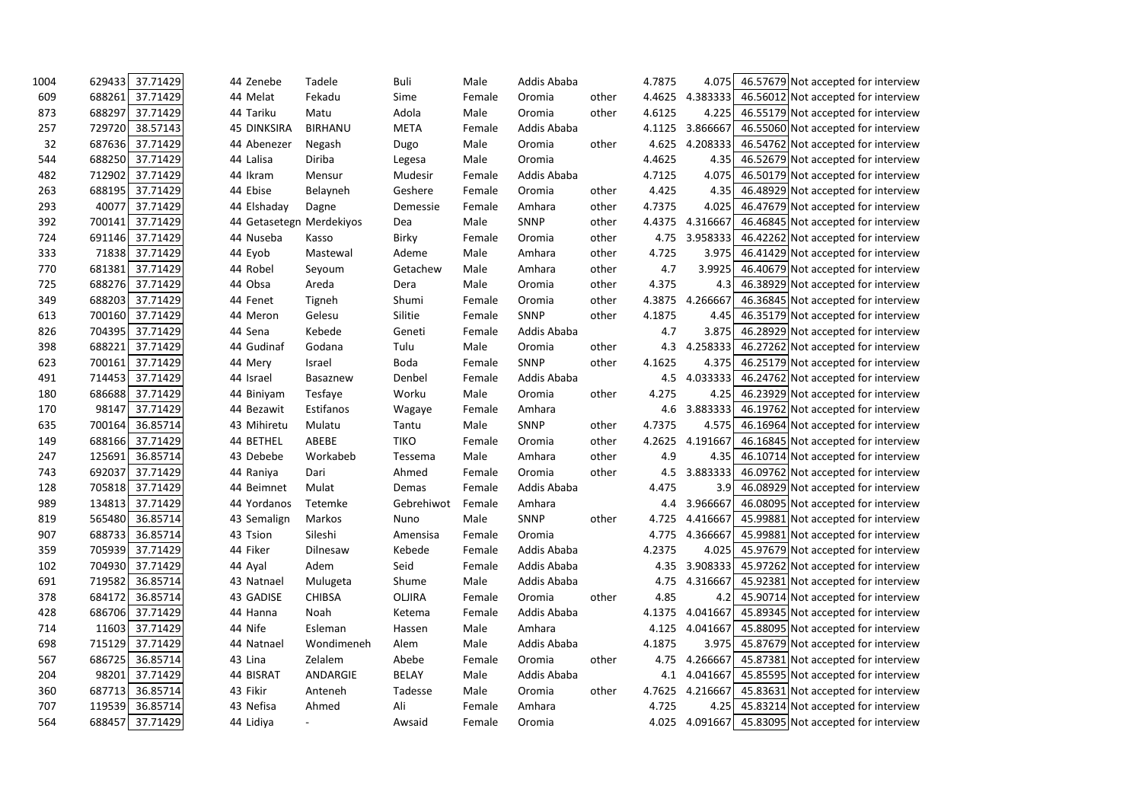| 1004 | 629433 | 37.71429        | 44 Zenebe          | Tadele                   | Buli         | Male   | Addis Ababa |       | 4.7875 | 4.075    | 46.57679 Not accepted for interview          |  |
|------|--------|-----------------|--------------------|--------------------------|--------------|--------|-------------|-------|--------|----------|----------------------------------------------|--|
| 609  | 688261 | 37.71429        | 44 Melat           | Fekadu                   | Sime         | Female | Oromia      | other | 4.4625 | 4.383333 | 46.56012 Not accepted for interview          |  |
| 873  | 688297 | 37.71429        | 44 Tariku          | Matu                     | Adola        | Male   | Oromia      | other | 4.6125 | 4.225    | 46.55179 Not accepted for interview          |  |
| 257  | 729720 | 38.57143        | <b>45 DINKSIRA</b> | <b>BIRHANU</b>           | <b>META</b>  | Female | Addis Ababa |       | 4.1125 | 3.866667 | 46.55060 Not accepted for interview          |  |
| 32   | 687636 | 37.71429        | 44 Abenezer        | Negash                   | Dugo         | Male   | Oromia      | other | 4.625  | 4.208333 | 46.54762 Not accepted for interview          |  |
| 544  | 688250 | 37.71429        | 44 Lalisa          | Diriba                   | Legesa       | Male   | Oromia      |       | 4.4625 | 4.35     | 46.52679 Not accepted for interview          |  |
| 482  | 712902 | 37.71429        | 44 Ikram           | Mensur                   | Mudesir      | Female | Addis Ababa |       | 4.7125 | 4.075    | 46.50179 Not accepted for interview          |  |
| 263  | 688195 | 37.71429        | 44 Ebise           | Belayneh                 | Geshere      | Female | Oromia      | other | 4.425  | 4.35     | 46.48929 Not accepted for interview          |  |
| 293  | 40077  | 37.71429        | 44 Elshaday        | Dagne                    | Demessie     | Female | Amhara      | other | 4.7375 | 4.025    | 46.47679 Not accepted for interview          |  |
| 392  | 700141 | 37.71429        |                    | 44 Getasetegn Merdekiyos | Dea          | Male   | SNNP        | other | 4.4375 | 4.316667 | 46.46845 Not accepted for interview          |  |
| 724  | 691146 | 37.71429        | 44 Nuseba          | Kasso                    | <b>Birky</b> | Female | Oromia      | other | 4.75   | 3.958333 | 46.42262 Not accepted for interview          |  |
| 333  | 71838  | 37.71429        | 44 Eyob            | Mastewal                 | Ademe        | Male   | Amhara      | other | 4.725  | 3.975    | 46.41429 Not accepted for interview          |  |
| 770  | 681381 | 37.71429        | 44 Robel           | Seyoum                   | Getachew     | Male   | Amhara      | other | 4.7    | 3.9925   | 46.40679 Not accepted for interview          |  |
| 725  | 688276 | 37.71429        | 44 Obsa            | Areda                    | Dera         | Male   | Oromia      | other | 4.375  | 4.3      | 46.38929 Not accepted for interview          |  |
| 349  | 688203 | 37.71429        | 44 Fenet           | Tigneh                   | Shumi        | Female | Oromia      | other | 4.3875 | 4.266667 | 46.36845 Not accepted for interview          |  |
| 613  | 700160 | 37.71429        | 44 Meron           | Gelesu                   | Silitie      | Female | SNNP        | other | 4.1875 | 4.45     | 46.35179 Not accepted for interview          |  |
| 826  | 704395 | 37.71429        | 44 Sena            | Kebede                   | Geneti       | Female | Addis Ababa |       | 4.7    | 3.875    | 46.28929 Not accepted for interview          |  |
| 398  | 688221 | 37.71429        | 44 Gudinaf         | Godana                   | Tulu         | Male   | Oromia      | other | 4.3    | 4.258333 | 46.27262 Not accepted for interview          |  |
| 623  | 700161 | 37.71429        | 44 Mery            | Israel                   | <b>Boda</b>  | Female | SNNP        | other | 4.1625 | 4.375    | 46.25179 Not accepted for interview          |  |
| 491  | 714453 | 37.71429        | 44 Israel          | Basaznew                 | Denbel       | Female | Addis Ababa |       | 4.5    | 4.033333 | 46.24762 Not accepted for interview          |  |
| 180  | 686688 | 37.71429        | 44 Biniyam         | Tesfaye                  | Worku        | Male   | Oromia      | other | 4.275  | 4.25     | 46.23929 Not accepted for interview          |  |
| 170  | 98147  | 37.71429        | 44 Bezawit         | Estifanos                | Wagaye       | Female | Amhara      |       | 4.6    | 3.883333 | 46.19762 Not accepted for interview          |  |
| 635  | 700164 | 36.85714        | 43 Mihiretu        | Mulatu                   | Tantu        | Male   | <b>SNNP</b> | other | 4.7375 | 4.575    | 46.16964 Not accepted for interview          |  |
| 149  | 688166 | 37.71429        | 44 BETHEL          | ABEBE                    | <b>TIKO</b>  | Female | Oromia      | other | 4.2625 | 4.191667 | 46.16845 Not accepted for interview          |  |
| 247  | 125691 | 36.85714        | 43 Debebe          | Workabeb                 | Tessema      | Male   | Amhara      | other | 4.9    | 4.35     | 46.10714 Not accepted for interview          |  |
| 743  | 692037 | 37.71429        | 44 Raniya          | Dari                     | Ahmed        | Female | Oromia      | other | 4.5    | 3.883333 | 46.09762 Not accepted for interview          |  |
| 128  | 705818 | 37.71429        | 44 Beimnet         | Mulat                    | Demas        | Female | Addis Ababa |       | 4.475  | 3.9      | 46.08929 Not accepted for interview          |  |
| 989  | 134813 | 37.71429        | 44 Yordanos        | Tetemke                  | Gebrehiwot   | Female | Amhara      |       | 4.4    | 3.966667 | 46.08095 Not accepted for interview          |  |
| 819  | 565480 | 36.85714        | 43 Semalign        | Markos                   | Nuno         | Male   | SNNP        | other | 4.725  | 4.416667 | 45.99881 Not accepted for interview          |  |
| 907  | 688733 | 36.85714        | 43 Tsion           | Sileshi                  | Amensisa     | Female | Oromia      |       | 4.775  | 4.366667 | 45.99881 Not accepted for interview          |  |
| 359  | 705939 | 37.71429        | 44 Fiker           | Dilnesaw                 | Kebede       | Female | Addis Ababa |       | 4.2375 | 4.025    | 45.97679 Not accepted for interview          |  |
| 102  | 704930 | 37.71429        | 44 Ayal            | Adem                     | Seid         | Female | Addis Ababa |       | 4.35   |          | 3.908333 45.97262 Not accepted for interview |  |
| 691  | 719582 | 36.85714        | 43 Natnael         | Mulugeta                 | Shume        | Male   | Addis Ababa |       | 4.75   |          | 4.316667 45.92381 Not accepted for interview |  |
| 378  | 684172 | 36.85714        | 43 GADISE          | <b>CHIBSA</b>            | OLJIRA       | Female | Oromia      | other | 4.85   |          | 4.2 45.90714 Not accepted for interview      |  |
| 428  |        | 686706 37.71429 | 44 Hanna           | Noah                     | Ketema       | Female | Addis Ababa |       | 4.1375 | 4.041667 | 45.89345 Not accepted for interview          |  |
| 714  |        | 11603 37.71429  | 44 Nife            | Esleman                  | Hassen       | Male   | Amhara      |       | 4.125  | 4.041667 | 45.88095 Not accepted for interview          |  |
| 698  | 715129 | 37.71429        | 44 Natnael         | Wondimeneh               | Alem         | Male   | Addis Ababa |       | 4.1875 |          | 3.975 45.87679 Not accepted for interview    |  |
| 567  | 686725 | 36.85714        | 43 Lina            | Zelalem                  | Abebe        | Female | Oromia      | other | 4.75   | 4.266667 | 45.87381 Not accepted for interview          |  |
| 204  | 98201  | 37.71429        | 44 BISRAT          | ANDARGIE                 | <b>BELAY</b> | Male   | Addis Ababa |       | 4.1    | 4.041667 | 45.85595 Not accepted for interview          |  |
| 360  | 687713 | 36.85714        | 43 Fikir           | Anteneh                  | Tadesse      | Male   | Oromia      | other | 4.7625 | 4.216667 | 45.83631 Not accepted for interview          |  |
| 707  | 119539 | 36.85714        | 43 Nefisa          | Ahmed                    | Ali          | Female | Amhara      |       | 4.725  | 4.25     | 45.83214 Not accepted for interview          |  |
| 564  |        | 688457 37.71429 | 44 Lidiya          | $\sim$                   | Awsaid       | Female | Oromia      |       | 4.025  |          | 4.091667 45.83095 Not accepted for interview |  |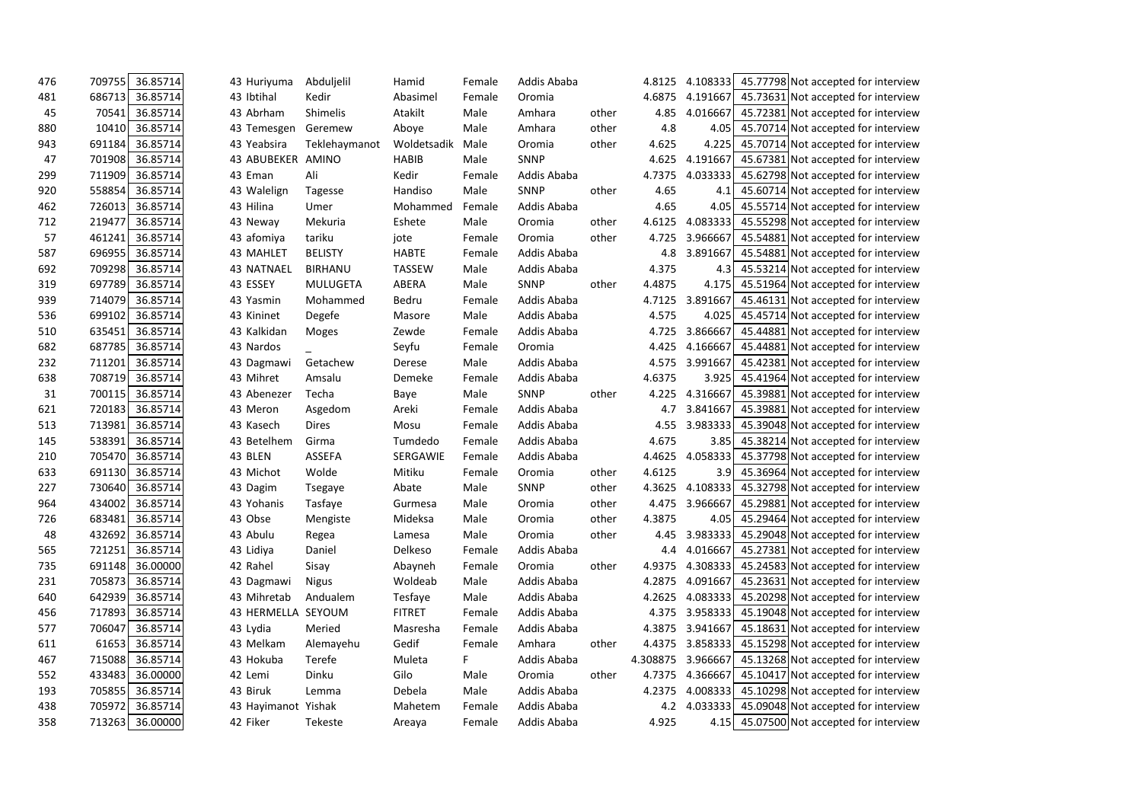| 476 | 709755 | 36.85714 | 43 Huriyuma         | Abduljelil     | Hamid         | Female | Addis Ababa |       | 4.8125   | 4.108333 | 45.77798 Not accepted for interview          |  |
|-----|--------|----------|---------------------|----------------|---------------|--------|-------------|-------|----------|----------|----------------------------------------------|--|
| 481 | 686713 | 36.85714 | 43 Ibtihal          | Kedir          | Abasimel      | Female | Oromia      |       | 4.6875   | 4.191667 | 45.73631 Not accepted for interview          |  |
| 45  | 70541  | 36.85714 | 43 Abrham           | Shimelis       | Atakilt       | Male   | Amhara      | other | 4.85     | 4.016667 | 45.72381 Not accepted for interview          |  |
| 880 | 10410  | 36.85714 | 43 Temesgen         | Geremew        | Aboye         | Male   | Amhara      | other | 4.8      | 4.05     | 45.70714 Not accepted for interview          |  |
| 943 | 691184 | 36.85714 | 43 Yeabsira         | Teklehaymanot  | Woldetsadik   | Male   | Oromia      | other | 4.625    | 4.225    | 45.70714 Not accepted for interview          |  |
| 47  | 701908 | 36.85714 | 43 ABUBEKER         | AMINO          | <b>HABIB</b>  | Male   | <b>SNNP</b> |       | 4.625    | 4.191667 | 45.67381 Not accepted for interview          |  |
| 299 | 711909 | 36.85714 | 43 Eman             | Ali            | Kedir         | Female | Addis Ababa |       | 4.7375   | 4.033333 | 45.62798 Not accepted for interview          |  |
| 920 | 558854 | 36.85714 | 43 Walelign         | Tagesse        | Handiso       | Male   | <b>SNNP</b> | other | 4.65     | 4.1      | 45.60714 Not accepted for interview          |  |
| 462 | 726013 | 36.85714 | 43 Hilina           | Umer           | Mohammed      | Female | Addis Ababa |       | 4.65     | 4.05     | 45.55714 Not accepted for interview          |  |
| 712 | 219477 | 36.85714 | 43 Neway            | Mekuria        | Eshete        | Male   | Oromia      | other | 4.6125   | 4.083333 | 45.55298 Not accepted for interview          |  |
| 57  | 461241 | 36.85714 | 43 afomiya          | tariku         | jote          | Female | Oromia      | other | 4.725    | 3.966667 | 45.54881 Not accepted for interview          |  |
| 587 | 696955 | 36.85714 | 43 MAHLET           | <b>BELISTY</b> | <b>HABTE</b>  | Female | Addis Ababa |       | 4.8      | 3.891667 | 45.54881 Not accepted for interview          |  |
| 692 | 709298 | 36.85714 | 43 NATNAEL          | <b>BIRHANU</b> | <b>TASSEW</b> | Male   | Addis Ababa |       | 4.375    | 4.3      | 45.53214 Not accepted for interview          |  |
| 319 | 697789 | 36.85714 | 43 ESSEY            | MULUGETA       | ABERA         | Male   | <b>SNNP</b> | other | 4.4875   | 4.175    | 45.51964 Not accepted for interview          |  |
| 939 | 714079 | 36.85714 | 43 Yasmin           | Mohammed       | Bedru         | Female | Addis Ababa |       | 4.7125   | 3.891667 | 45.46131 Not accepted for interview          |  |
| 536 | 699102 | 36.85714 | 43 Kininet          | Degefe         | Masore        | Male   | Addis Ababa |       | 4.575    | 4.025    | 45.45714 Not accepted for interview          |  |
| 510 | 635451 | 36.85714 | 43 Kalkidan         | Moges          | Zewde         | Female | Addis Ababa |       | 4.725    | 3.866667 | 45.44881 Not accepted for interview          |  |
| 682 | 687785 | 36.85714 | 43 Nardos           |                | Seyfu         | Female | Oromia      |       | 4.425    | 4.166667 | 45.44881 Not accepted for interview          |  |
| 232 | 711201 | 36.85714 | 43 Dagmawi          | Getachew       | Derese        | Male   | Addis Ababa |       | 4.575    | 3.991667 | 45.42381 Not accepted for interview          |  |
| 638 | 708719 | 36.85714 | 43 Mihret           | Amsalu         | Demeke        | Female | Addis Ababa |       | 4.6375   | 3.925    | 45.41964 Not accepted for interview          |  |
| 31  | 700115 | 36.85714 | 43 Abenezer         | Techa          | Baye          | Male   | <b>SNNP</b> | other | 4.225    | 4.316667 | 45.39881 Not accepted for interview          |  |
| 621 | 720183 | 36.85714 | 43 Meron            | Asgedom        | Areki         | Female | Addis Ababa |       | 4.7      | 3.841667 | 45.39881 Not accepted for interview          |  |
| 513 | 713981 | 36.85714 | 43 Kasech           | <b>Dires</b>   | Mosu          | Female | Addis Ababa |       | 4.55     | 3.983333 | 45.39048 Not accepted for interview          |  |
| 145 | 538391 | 36.85714 | 43 Betelhem         | Girma          | Tumdedo       | Female | Addis Ababa |       | 4.675    | 3.85     | 45.38214 Not accepted for interview          |  |
| 210 | 705470 | 36.85714 | 43 BLEN             | ASSEFA         | SERGAWIE      | Female | Addis Ababa |       | 4.4625   | 4.058333 | 45.37798 Not accepted for interview          |  |
| 633 | 691130 | 36.85714 | 43 Michot           | Wolde          | Mitiku        | Female | Oromia      | other | 4.6125   | 3.9      | 45.36964 Not accepted for interview          |  |
| 227 | 730640 | 36.85714 | 43 Dagim            | Tsegaye        | Abate         | Male   | <b>SNNP</b> | other | 4.3625   | 4.108333 | 45.32798 Not accepted for interview          |  |
| 964 | 434002 | 36.85714 | 43 Yohanis          | Tasfaye        | Gurmesa       | Male   | Oromia      | other | 4.475    | 3.966667 | 45.29881 Not accepted for interview          |  |
| 726 | 683481 | 36.85714 | 43 Obse             | Mengiste       | Mideksa       | Male   | Oromia      | other | 4.3875   | 4.05     | 45.29464 Not accepted for interview          |  |
| 48  | 432692 | 36.85714 | 43 Abulu            | Regea          | Lamesa        | Male   | Oromia      | other | 4.45     | 3.983333 | 45.29048 Not accepted for interview          |  |
| 565 | 721251 | 36.85714 | 43 Lidiya           | Daniel         | Delkeso       | Female | Addis Ababa |       | 4.4      |          | 4.016667 45.27381 Not accepted for interview |  |
| 735 | 691148 | 36.00000 | 42 Rahel            | Sisay          | Abayneh       | Female | Oromia      | other | 4.9375   |          | 4.308333 45.24583 Not accepted for interview |  |
| 231 | 705873 | 36.85714 | 43 Dagmawi          | <b>Nigus</b>   | Woldeab       | Male   | Addis Ababa |       | 4.2875   |          | 4.091667 45.23631 Not accepted for interview |  |
| 640 | 642939 | 36.85714 | 43 Mihretab         | Andualem       | Tesfaye       | Male   | Addis Ababa |       | 4.2625   |          | 4.083333 45.20298 Not accepted for interview |  |
| 456 | 717893 | 36.85714 | 43 HERMELLA SEYOUM  |                | <b>FITRET</b> | Female | Addis Ababa |       | 4.375    |          | 3.958333 45.19048 Not accepted for interview |  |
| 577 | 706047 | 36.85714 | 43 Lydia            | Meried         | Masresha      | Female | Addis Ababa |       | 4.3875   |          | 3.941667 45.18631 Not accepted for interview |  |
| 611 | 61653  | 36.85714 | 43 Melkam           | Alemayehu      | Gedif         | Female | Amhara      | other | 4.4375   |          | 3.858333 45.15298 Not accepted for interview |  |
| 467 | 715088 | 36.85714 | 43 Hokuba           | Terefe         | Muleta        | F.     | Addis Ababa |       | 4.308875 |          | 3.966667 45.13268 Not accepted for interview |  |
| 552 | 433483 | 36.00000 | 42 Lemi             | Dinku          | Gilo          | Male   | Oromia      | other | 4.7375   | 4.366667 | 45.10417 Not accepted for interview          |  |
| 193 | 705855 | 36.85714 | 43 Biruk            | Lemma          | Debela        | Male   | Addis Ababa |       | 4.2375   |          | 4.008333 45.10298 Not accepted for interview |  |
| 438 | 705972 | 36.85714 | 43 Hayimanot Yishak |                | Mahetem       | Female | Addis Ababa |       | 4.2      |          | 4.033333 45.09048 Not accepted for interview |  |
| 358 | 713263 | 36.00000 | 42 Fiker            | Tekeste        | Areaya        | Female | Addis Ababa |       | 4.925    |          | 4.15 45.07500 Not accepted for interview     |  |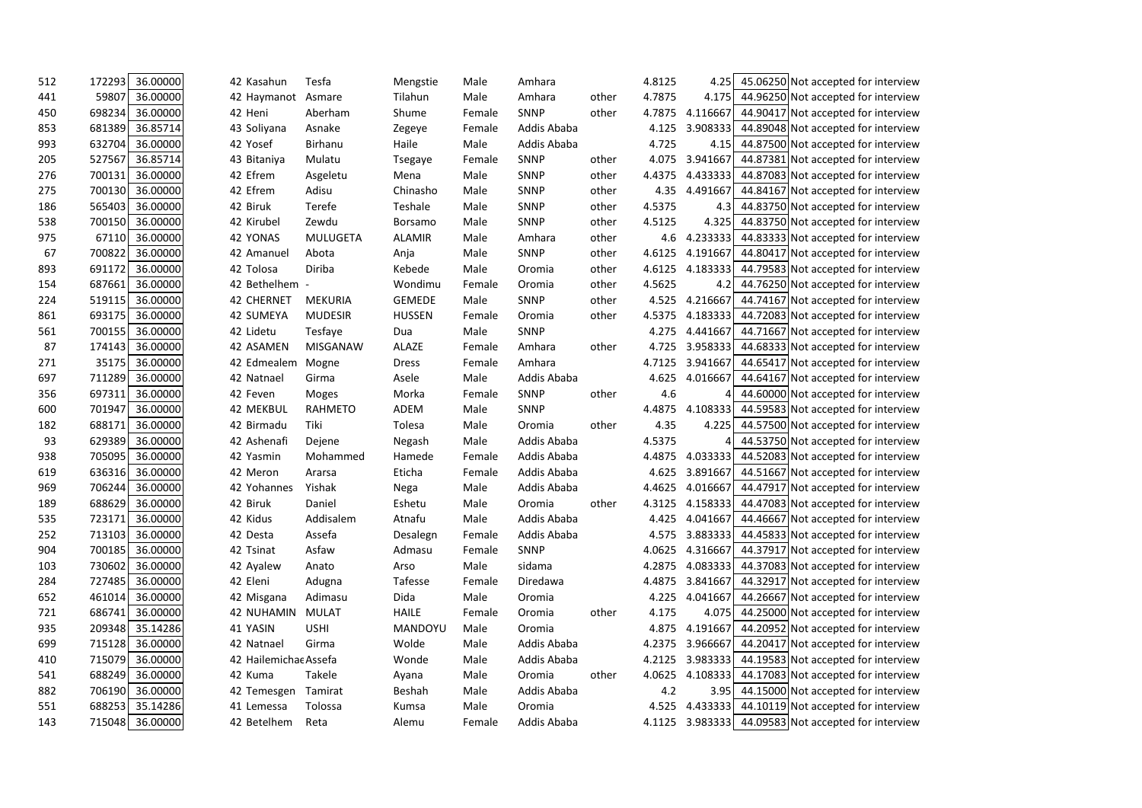| 512 | 36.00000<br>172293 | 42 Kasahun            | Tesfa           | Mengstie       | Male   | Amhara      |       | 4.8125 | 45.06250 Not accepted for interview<br>4.25         |
|-----|--------------------|-----------------------|-----------------|----------------|--------|-------------|-------|--------|-----------------------------------------------------|
| 441 | 59807<br>36.00000  | 42 Haymanot           | Asmare          | Tilahun        | Male   | Amhara      | other | 4.7875 | 44.96250 Not accepted for interview<br>4.175        |
| 450 | 698234<br>36.00000 | 42 Heni               | Aberham         | Shume          | Female | <b>SNNP</b> | other | 4.7875 | 44.90417 Not accepted for interview<br>4.116667     |
| 853 | 36.85714<br>681389 | 43 Soliyana           | Asnake          | Zegeye         | Female | Addis Ababa |       | 4.125  | 3.908333<br>44.89048 Not accepted for interview     |
| 993 | 36.00000<br>632704 | 42 Yosef              | Birhanu         | Haile          | Male   | Addis Ababa |       | 4.725  | 4.15 44.87500 Not accepted for interview            |
| 205 | 527567<br>36.85714 | 43 Bitaniya           | Mulatu          | Tsegaye        | Female | <b>SNNP</b> | other | 4.075  | 3.941667<br>44.87381 Not accepted for interview     |
| 276 | 36.00000<br>700131 | 42 Efrem              | Asgeletu        | Mena           | Male   | <b>SNNP</b> | other | 4.4375 | 44.87083 Not accepted for interview<br>4.433333     |
| 275 | 36.00000<br>700130 | 42 Efrem              | Adisu           | Chinasho       | Male   | <b>SNNP</b> | other | 4.35   | 4.491667<br>44.84167 Not accepted for interview     |
| 186 | 36.00000<br>565403 | 42 Biruk              | Terefe          | Teshale        | Male   | <b>SNNP</b> | other | 4.5375 | 44.83750 Not accepted for interview<br>4.3          |
| 538 | 36.00000<br>700150 | 42 Kirubel            | Zewdu           | <b>Borsamo</b> | Male   | <b>SNNP</b> | other | 4.5125 | 4.325<br>44.83750 Not accepted for interview        |
| 975 | 67110<br>36.00000  | 42 YONAS              | <b>MULUGETA</b> | <b>ALAMIR</b>  | Male   | Amhara      | other | 4.6    | 44.83333 Not accepted for interview<br>4.233333     |
| 67  | 36.00000<br>700822 | 42 Amanuel            | Abota           | Anja           | Male   | <b>SNNP</b> | other | 4.6125 | 4.191667<br>44.80417 Not accepted for interview     |
| 893 | 36.00000<br>691172 | 42 Tolosa             | Diriba          | Kebede         | Male   | Oromia      | other | 4.6125 | 4.183333<br>44.79583 Not accepted for interview     |
| 154 | 687661<br>36.00000 | 42 Bethelhem -        |                 | Wondimu        | Female | Oromia      | other | 4.5625 | 44.76250 Not accepted for interview<br>4.2          |
| 224 | 36.00000<br>519115 | <b>42 CHERNET</b>     | MEKURIA         | <b>GEMEDE</b>  | Male   | <b>SNNP</b> | other | 4.525  | 4.216667<br>44.74167 Not accepted for interview     |
| 861 | 693175<br>36.00000 | 42 SUMEYA             | <b>MUDESIR</b>  | <b>HUSSEN</b>  | Female | Oromia      | other | 4.5375 | 44.72083 Not accepted for interview<br>4.183333     |
| 561 | 36.00000<br>700155 | 42 Lidetu             | Tesfaye         | Dua            | Male   | <b>SNNP</b> |       | 4.275  | 44.71667 Not accepted for interview<br>4.441667     |
| 87  | 36.00000<br>174143 | 42 ASAMEN             | <b>MISGANAW</b> | <b>ALAZE</b>   | Female | Amhara      | other | 4.725  | 3.958333<br>44.68333 Not accepted for interview     |
| 271 | 35175<br>36.00000  | 42 Edmealem           | Mogne           | <b>Dress</b>   | Female | Amhara      |       | 4.7125 | 44.65417 Not accepted for interview<br>3.941667     |
| 697 | 36.00000<br>711289 | 42 Natnael            | Girma           | Asele          | Male   | Addis Ababa |       | 4.625  | 4.016667<br>44.64167 Not accepted for interview     |
| 356 | 697311<br>36.00000 | 42 Feven              | Moges           | Morka          | Female | <b>SNNP</b> | other | 4.6    | 44.60000 Not accepted for interview<br>4            |
| 600 | 36.00000<br>701947 | 42 MEKBUL             | <b>RAHMETO</b>  | ADEM           | Male   | <b>SNNP</b> |       | 4.4875 | 4.108333<br>44.59583 Not accepted for interview     |
| 182 | 36.00000<br>688171 | 42 Birmadu            | Tiki            | Tolesa         | Male   | Oromia      | other | 4.35   | 4.225<br>44.57500 Not accepted for interview        |
| 93  | 36.00000<br>629389 | 42 Ashenafi           | Dejene          | Negash         | Male   | Addis Ababa |       | 4.5375 | 44.53750 Not accepted for interview<br>4            |
| 938 | 705095<br>36.00000 | 42 Yasmin             | Mohammed        | Hamede         | Female | Addis Ababa |       | 4.4875 | 4.033333<br>44.52083 Not accepted for interview     |
| 619 | 636316<br>36.00000 | 42 Meron              | Ararsa          | Eticha         | Female | Addis Ababa |       | 4.625  | 44.51667 Not accepted for interview<br>3.891667     |
| 969 | 36.00000<br>706244 | 42 Yohannes           | Yishak          | Nega           | Male   | Addis Ababa |       | 4.4625 | 44.47917 Not accepted for interview<br>4.016667     |
| 189 | 36.00000<br>688629 | 42 Biruk              | Daniel          | Eshetu         | Male   | Oromia      | other | 4.3125 | 4.158333<br>44.47083 Not accepted for interview     |
| 535 | 723171<br>36.00000 | 42 Kidus              | Addisalem       | Atnafu         | Male   | Addis Ababa |       | 4.425  | 44.46667 Not accepted for interview<br>4.041667     |
| 252 | 36.00000<br>713103 | 42 Desta              | Assefa          | Desalegn       | Female | Addis Ababa |       | 4.575  | 3.883333 44.45833 Not accepted for interview        |
| 904 | 700185<br>36.00000 | 42 Tsinat             | Asfaw           | Admasu         | Female | <b>SNNP</b> |       | 4.0625 | 4.316667<br>44.37917 Not accepted for interview     |
| 103 | 730602<br>36.00000 | 42 Ayalew             | Anato           | Arso           | Male   | sidama      |       | 4.2875 | 4.083333 44.37083 Not accepted for interview        |
| 284 | 36.00000<br>727485 | 42 Eleni              | Adugna          | Tafesse        | Female | Diredawa    |       | 4.4875 | 3.841667 44.32917 Not accepted for interview        |
| 652 | 461014<br>36.00000 | 42 Misgana            | Adimasu         | Dida           | Male   | Oromia      |       | 4.225  | 4.041667 44.26667 Not accepted for interview        |
| 721 | 686741<br>36.00000 | <b>42 NUHAMIN</b>     | <b>MULAT</b>    | <b>HAILE</b>   | Female | Oromia      | other | 4.175  | 4.075 44.25000 Not accepted for interview           |
| 935 | 209348<br>35.14286 | 41 YASIN              | <b>USHI</b>     | MANDOYU        | Male   | Oromia      |       | 4.875  | 44.20952 Not accepted for interview<br>4.191667     |
| 699 | 36.00000<br>715128 | 42 Natnael            | Girma           | Wolde          | Male   | Addis Ababa |       | 4.2375 | 3.966667 44.20417 Not accepted for interview        |
| 410 | 715079<br>36.00000 | 42 Hailemichae Assefa |                 | Wonde          | Male   | Addis Ababa |       | 4.2125 | 3.983333 44.19583 Not accepted for interview        |
| 541 | 36.00000<br>688249 | 42 Kuma               | Takele          | Ayana          | Male   | Oromia      | other | 4.0625 | 4.108333 44.17083 Not accepted for interview        |
| 882 | 706190<br>36.00000 | 42 Temesgen           | Tamirat         | Beshah         | Male   | Addis Ababa |       | 4.2    | 3.95 44.15000 Not accepted for interview            |
| 551 | 688253<br>35.14286 | 41 Lemessa            | Tolossa         | Kumsa          | Male   | Oromia      |       | 4.525  | 4.433333 44.10119 Not accepted for interview        |
| 143 | 715048<br>36.00000 | 42 Betelhem           | Reta            | Alemu          | Female | Addis Ababa |       |        | 4.1125 3.983333 44.09583 Not accepted for interview |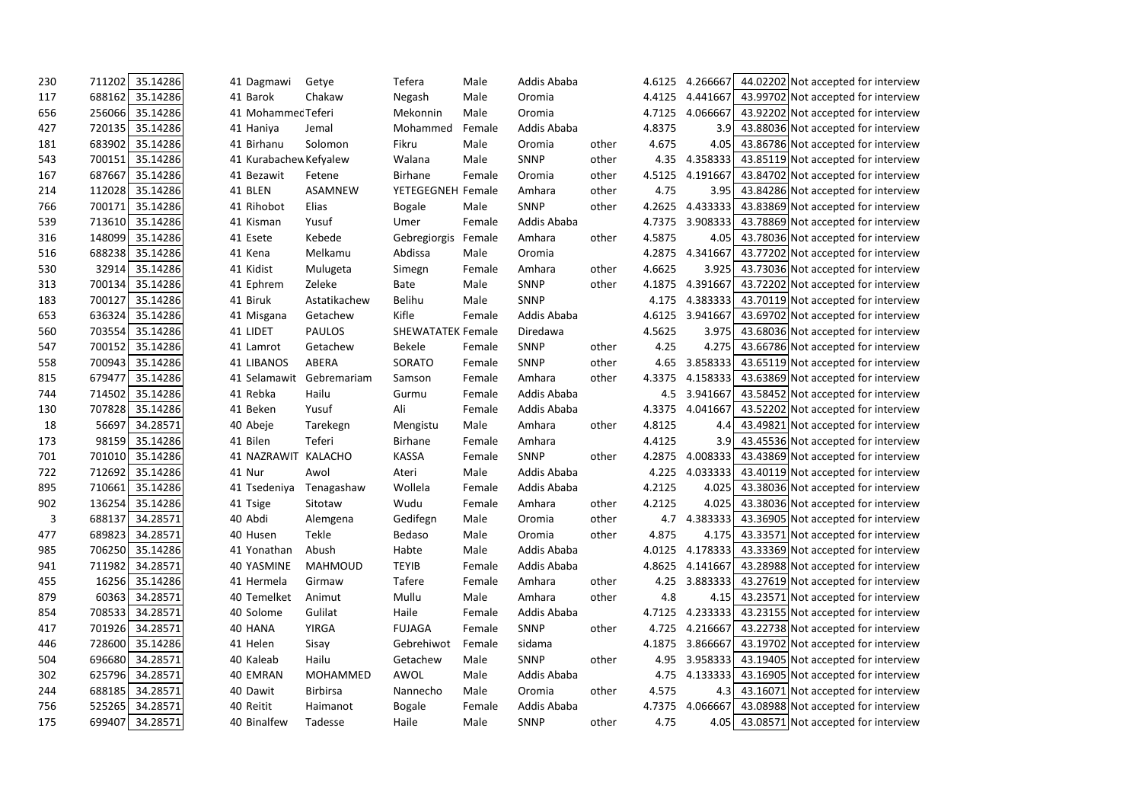| 230 | 711202 | 35.14286 | 41 Dagmawi             | Getye           | Tefera                   | Male   | Addis Ababa |       | 4.6125 | 4.266667        | 44.02202 Not accepted for interview |  |
|-----|--------|----------|------------------------|-----------------|--------------------------|--------|-------------|-------|--------|-----------------|-------------------------------------|--|
| 117 | 688162 | 35.14286 | 41 Barok               | Chakaw          | Negash                   | Male   | Oromia      |       | 4.4125 | 4.441667        | 43.99702 Not accepted for interview |  |
| 656 | 256066 | 35.14286 | 41 Mohammec Teferi     |                 | Mekonnin                 | Male   | Oromia      |       | 4.7125 | 4.066667        | 43.92202 Not accepted for interview |  |
| 427 | 720135 | 35.14286 | 41 Haniya              | Jemal           | Mohammed                 | Female | Addis Ababa |       | 4.8375 | 3.9             | 43.88036 Not accepted for interview |  |
| 181 | 683902 | 35.14286 | 41 Birhanu             | Solomon         | Fikru                    | Male   | Oromia      | other | 4.675  | 4.05            | 43.86786 Not accepted for interview |  |
| 543 | 700151 | 35.14286 | 41 Kurabachew Kefyalew |                 | Walana                   | Male   | <b>SNNP</b> | other | 4.35   | 4.358333        | 43.85119 Not accepted for interview |  |
| 167 | 687667 | 35.14286 | 41 Bezawit             | Fetene          | Birhane                  | Female | Oromia      | other | 4.5125 | 4.191667        | 43.84702 Not accepted for interview |  |
| 214 | 112028 | 35.14286 | 41 BLEN                | ASAMNEW         | YETEGEGNEH Female        |        | Amhara      | other | 4.75   | 3.95            | 43.84286 Not accepted for interview |  |
| 766 | 700171 | 35.14286 | 41 Rihobot             | Elias           | <b>Bogale</b>            | Male   | SNNP        | other | 4.2625 | 4.433333        | 43.83869 Not accepted for interview |  |
| 539 | 713610 | 35.14286 | 41 Kisman              | Yusuf           | Umer                     | Female | Addis Ababa |       | 4.7375 | 3.908333        | 43.78869 Not accepted for interview |  |
| 316 | 148099 | 35.14286 | 41 Esete               | Kebede          | Gebregiorgis             | Female | Amhara      | other | 4.5875 | 4.05            | 43.78036 Not accepted for interview |  |
| 516 | 688238 | 35.14286 | 41 Kena                | Melkamu         | Abdissa                  | Male   | Oromia      |       | 4.2875 | 4.341667        | 43.77202 Not accepted for interview |  |
| 530 | 32914  | 35.14286 | 41 Kidist              | Mulugeta        | Simegn                   | Female | Amhara      | other | 4.6625 | 3.925           | 43.73036 Not accepted for interview |  |
| 313 | 700134 | 35.14286 | 41 Ephrem              | Zeleke          | <b>Bate</b>              | Male   | <b>SNNP</b> | other | 4.1875 | 4.391667        | 43.72202 Not accepted for interview |  |
| 183 | 700127 | 35.14286 | 41 Biruk               | Astatikachew    | Belihu                   | Male   | <b>SNNP</b> |       | 4.175  | 4.383333        | 43.70119 Not accepted for interview |  |
| 653 | 636324 | 35.14286 | 41 Misgana             | Getachew        | Kifle                    | Female | Addis Ababa |       |        | 4.6125 3.941667 | 43.69702 Not accepted for interview |  |
| 560 | 703554 | 35.14286 | 41 LIDET               | <b>PAULOS</b>   | <b>SHEWATATEK Female</b> |        | Diredawa    |       | 4.5625 | 3.975           | 43.68036 Not accepted for interview |  |
| 547 | 700152 | 35.14286 | 41 Lamrot              | Getachew        | <b>Bekele</b>            | Female | SNNP        | other | 4.25   | 4.275           | 43.66786 Not accepted for interview |  |
| 558 | 700943 | 35.14286 | <b>41 LIBANOS</b>      | ABERA           | SORATO                   | Female | <b>SNNP</b> | other | 4.65   | 3.858333        | 43.65119 Not accepted for interview |  |
| 815 | 679477 | 35.14286 | 41 Selamawit           | Gebremariam     | Samson                   | Female | Amhara      | other | 4.3375 | 4.158333        | 43.63869 Not accepted for interview |  |
| 744 | 714502 | 35.14286 | 41 Rebka               | Hailu           | Gurmu                    | Female | Addis Ababa |       | 4.5    | 3.941667        | 43.58452 Not accepted for interview |  |
| 130 | 707828 | 35.14286 | 41 Beken               | Yusuf           | Ali                      | Female | Addis Ababa |       | 4.3375 | 4.041667        | 43.52202 Not accepted for interview |  |
| 18  | 56697  | 34.28571 | 40 Abeje               | Tarekegn        | Mengistu                 | Male   | Amhara      | other | 4.8125 | 4.4             | 43.49821 Not accepted for interview |  |
| 173 | 98159  | 35.14286 | 41 Bilen               | Teferi          | Birhane                  | Female | Amhara      |       | 4.4125 | 3.9             | 43.45536 Not accepted for interview |  |
| 701 | 701010 | 35.14286 | 41 NAZRAWIT            | KALACHO         | <b>KASSA</b>             | Female | SNNP        | other | 4.2875 | 4.008333        | 43.43869 Not accepted for interview |  |
| 722 | 712692 | 35.14286 | 41 Nur                 | Awol            | Ateri                    | Male   | Addis Ababa |       | 4.225  | 4.033333        | 43.40119 Not accepted for interview |  |
| 895 | 710661 | 35.14286 | 41 Tsedeniya           | Tenagashaw      | Wollela                  | Female | Addis Ababa |       | 4.2125 | 4.025           | 43.38036 Not accepted for interview |  |
| 902 | 136254 | 35.14286 | 41 Tsige               | Sitotaw         | Wudu                     | Female | Amhara      | other | 4.2125 | 4.025           | 43.38036 Not accepted for interview |  |
| 3   | 688137 | 34.28571 | 40 Abdi                | Alemgena        | Gedifegn                 | Male   | Oromia      | other | 4.7    | 4.383333        | 43.36905 Not accepted for interview |  |
| 477 | 689823 | 34.28571 | 40 Husen               | Tekle           | Bedaso                   | Male   | Oromia      | other | 4.875  | 4.175           | 43.33571 Not accepted for interview |  |
| 985 | 706250 | 35.14286 | 41 Yonathan            | Abush           | Habte                    | Male   | Addis Ababa |       |        | 4.0125 4.178333 | 43.33369 Not accepted for interview |  |
| 941 | 711982 | 34.28571 | 40 YASMINE             | <b>MAHMOUD</b>  | <b>TEYIB</b>             | Female | Addis Ababa |       | 4.8625 | 4.141667        | 43.28988 Not accepted for interview |  |
| 455 | 16256  | 35.14286 | 41 Hermela             | Girmaw          | Tafere                   | Female | Amhara      | other | 4.25   | 3.883333        | 43.27619 Not accepted for interview |  |
| 879 | 60363  | 34.28571 | 40 Temelket            | Animut          | Mullu                    | Male   | Amhara      | other | 4.8    | 4.15            | 43.23571 Not accepted for interview |  |
| 854 | 708533 | 34.28571 | 40 Solome              | Gulilat         | Haile                    | Female | Addis Ababa |       | 4.7125 | 4.233333        | 43.23155 Not accepted for interview |  |
| 417 | 701926 | 34.28571 | 40 HANA                | <b>YIRGA</b>    | <b>FUJAGA</b>            | Female | SNNP        | other | 4.725  | 4.216667        | 43.22738 Not accepted for interview |  |
| 446 | 728600 | 35.14286 | 41 Helen               | Sisay           | Gebrehiwot               | Female | sidama      |       | 4.1875 | 3.866667        | 43.19702 Not accepted for interview |  |
| 504 | 696680 | 34.28571 | 40 Kaleab              | Hailu           | Getachew                 | Male   | SNNP        | other | 4.95   | 3.958333        | 43.19405 Not accepted for interview |  |
| 302 | 625796 | 34.28571 | 40 EMRAN               | MOHAMMED        | AWOL                     | Male   | Addis Ababa |       | 4.75   | 4.133333        | 43.16905 Not accepted for interview |  |
| 244 | 688185 | 34.28571 | 40 Dawit               | <b>Birbirsa</b> | Nannecho                 | Male   | Oromia      | other | 4.575  | 4.3             | 43.16071 Not accepted for interview |  |
| 756 | 525265 | 34.28571 | 40 Reitit              | Haimanot        | <b>Bogale</b>            | Female | Addis Ababa |       | 4.7375 | 4.066667        | 43.08988 Not accepted for interview |  |
| 175 | 699407 | 34.28571 | 40 Binalfew            | Tadesse         | Haile                    | Male   | <b>SNNP</b> | other | 4.75   | 4.05            | 43.08571 Not accepted for interview |  |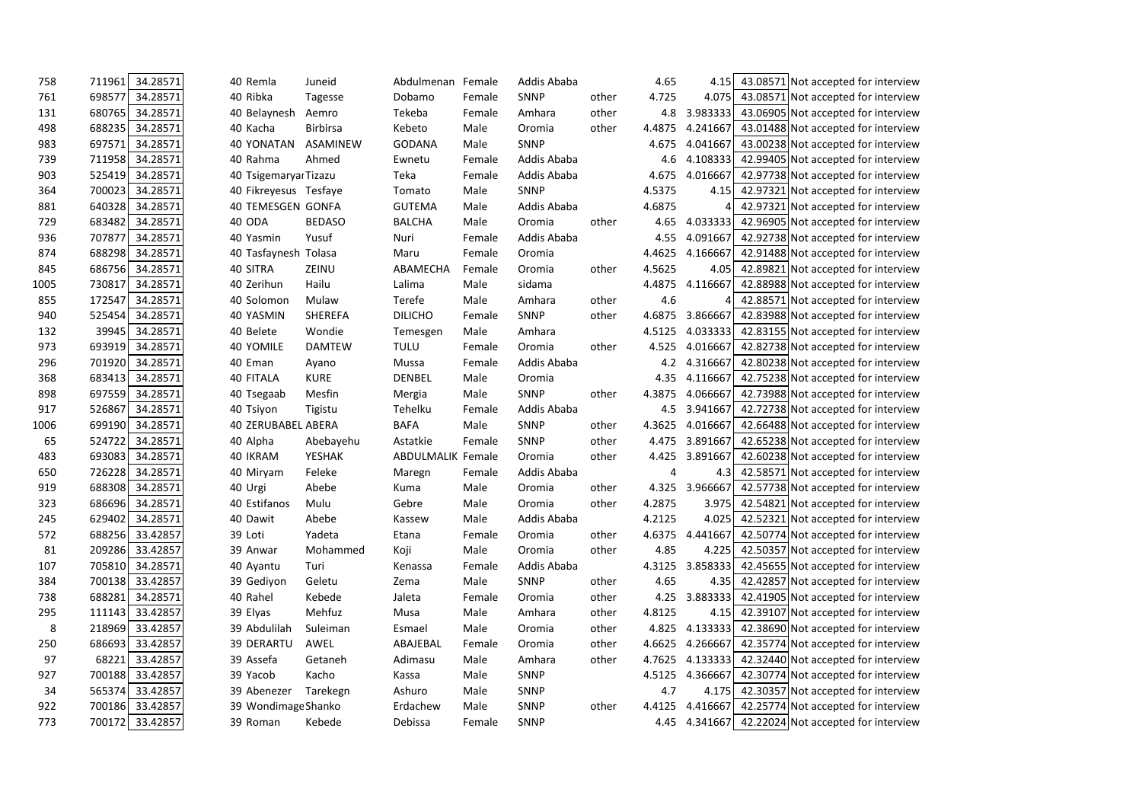| 758  | 711961 | 34.28571        | 40 Remla                  | Juneid          | Abdulmenan               | Female | Addis Ababa |       | 4.65   | 4.15     | 43.08571 Not accepted for interview          |  |
|------|--------|-----------------|---------------------------|-----------------|--------------------------|--------|-------------|-------|--------|----------|----------------------------------------------|--|
| 761  | 698577 | 34.28571        | 40 Ribka                  | Tagesse         | Dobamo                   | Female | <b>SNNP</b> | other | 4.725  | 4.075    | 43.08571 Not accepted for interview          |  |
| 131  | 680765 | 34.28571        | 40 Belaynesh              | Aemro           | Tekeba                   | Female | Amhara      | other | 4.8    | 3.983333 | 43.06905 Not accepted for interview          |  |
| 498  | 688235 | 34.28571        | 40 Kacha                  | <b>Birbirsa</b> | Kebeto                   | Male   | Oromia      | other | 4.4875 | 4.241667 | 43.01488 Not accepted for interview          |  |
| 983  | 697571 | 34.28571        | 40 YONATAN                | ASAMINEW        | <b>GODANA</b>            | Male   | SNNP        |       | 4.675  | 4.041667 | 43.00238 Not accepted for interview          |  |
| 739  | 711958 | 34.28571        | 40 Rahma                  | Ahmed           | Ewnetu                   | Female | Addis Ababa |       | 4.6    | 4.108333 | 42.99405 Not accepted for interview          |  |
| 903  | 525419 | 34.28571        | 40 Tsigemaryaı Tizazu     |                 | Teka                     | Female | Addis Ababa |       | 4.675  | 4.016667 | 42.97738 Not accepted for interview          |  |
| 364  | 700023 | 34.28571        | 40 Fikreyesus Tesfaye     |                 | Tomato                   | Male   | SNNP        |       | 4.5375 | 4.15     | 42.97321 Not accepted for interview          |  |
| 881  | 640328 | 34.28571        | <b>40 TEMESGEN GONFA</b>  |                 | <b>GUTEMA</b>            | Male   | Addis Ababa |       | 4.6875 |          | 42.97321 Not accepted for interview          |  |
| 729  | 683482 | 34.28571        | 40 ODA                    | <b>BEDASO</b>   | <b>BALCHA</b>            | Male   | Oromia      | other | 4.65   | 4.033333 | 42.96905 Not accepted for interview          |  |
| 936  | 707877 | 34.28571        | 40 Yasmin                 | Yusuf           | Nuri                     | Female | Addis Ababa |       | 4.55   | 4.091667 | 42.92738 Not accepted for interview          |  |
| 874  | 688298 | 34.28571        | 40 Tasfaynesh Tolasa      |                 | Maru                     | Female | Oromia      |       | 4.4625 | 4.166667 | 42.91488 Not accepted for interview          |  |
| 845  | 686756 | 34.28571        | 40 SITRA                  | ZEINU           | ABAMECHA                 | Female | Oromia      | other | 4.5625 | 4.05     | 42.89821 Not accepted for interview          |  |
| 1005 | 730817 | 34.28571        | 40 Zerihun                | Hailu           | Lalima                   | Male   | sidama      |       | 4.4875 | 4.116667 | 42.88988 Not accepted for interview          |  |
| 855  | 172547 | 34.28571        | 40 Solomon                | Mulaw           | Terefe                   | Male   | Amhara      | other | 4.6    |          | 42.88571 Not accepted for interview          |  |
| 940  | 525454 | 34.28571        | 40 YASMIN                 | <b>SHEREFA</b>  | <b>DILICHO</b>           | Female | <b>SNNP</b> | other | 4.6875 | 3.866667 | 42.83988 Not accepted for interview          |  |
| 132  | 39945  | 34.28571        | 40 Belete                 | Wondie          | Temesgen                 | Male   | Amhara      |       | 4.5125 | 4.033333 | 42.83155 Not accepted for interview          |  |
| 973  | 693919 | 34.28571        | 40 YOMILE                 | <b>DAMTEW</b>   | <b>TULU</b>              | Female | Oromia      | other | 4.525  | 4.016667 | 42.82738 Not accepted for interview          |  |
| 296  | 701920 | 34.28571        | 40 Eman                   | Ayano           | Mussa                    | Female | Addis Ababa |       | 4.2    | 4.316667 | 42.80238 Not accepted for interview          |  |
| 368  | 683413 | 34.28571        | 40 FITALA                 | <b>KURE</b>     | <b>DENBEL</b>            | Male   | Oromia      |       | 4.35   | 4.116667 | 42.75238 Not accepted for interview          |  |
| 898  | 697559 | 34.28571        | 40 Tsegaab                | Mesfin          | Mergia                   | Male   | SNNP        | other | 4.3875 | 4.066667 | 42.73988 Not accepted for interview          |  |
| 917  | 526867 | 34.28571        | 40 Tsiyon                 | Tigistu         | Tehelku                  | Female | Addis Ababa |       | 4.5    | 3.941667 | 42.72738 Not accepted for interview          |  |
| 1006 | 699190 | 34.28571        | <b>40 ZERUBABEL ABERA</b> |                 | <b>BAFA</b>              | Male   | SNNP        | other | 4.3625 | 4.016667 | 42.66488 Not accepted for interview          |  |
| 65   | 524722 | 34.28571        | 40 Alpha                  | Abebayehu       | Astatkie                 | Female | SNNP        | other | 4.475  | 3.891667 | 42.65238 Not accepted for interview          |  |
| 483  | 693083 | 34.28571        | 40 IKRAM                  | <b>YESHAK</b>   | <b>ABDULMALIK Female</b> |        | Oromia      | other | 4.425  | 3.891667 | 42.60238 Not accepted for interview          |  |
| 650  | 726228 | 34.28571        | 40 Miryam                 | Feleke          | Maregn                   | Female | Addis Ababa |       | 4      | 4.3      | 42.58571 Not accepted for interview          |  |
| 919  | 688308 | 34.28571        | 40 Urgi                   | Abebe           | Kuma                     | Male   | Oromia      | other | 4.325  | 3.966667 | 42.57738 Not accepted for interview          |  |
| 323  | 686696 | 34.28571        | 40 Estifanos              | Mulu            | Gebre                    | Male   | Oromia      | other | 4.2875 | 3.975    | 42.54821 Not accepted for interview          |  |
| 245  | 629402 | 34.28571        | 40 Dawit                  | Abebe           | Kassew                   | Male   | Addis Ababa |       | 4.2125 | 4.025    | 42.52321 Not accepted for interview          |  |
| 572  | 688256 | 33.42857        | 39 Loti                   | Yadeta          | Etana                    | Female | Oromia      | other | 4.6375 | 4.441667 | 42.50774 Not accepted for interview          |  |
| 81   |        | 209286 33.42857 | 39 Anwar                  | Mohammed        | Koji                     | Male   | Oromia      | other | 4.85   | 4.225    | 42.50357 Not accepted for interview          |  |
| 107  | 705810 | 34.28571        | 40 Ayantu                 | Turi            | Kenassa                  | Female | Addis Ababa |       | 4.3125 | 3.858333 | 42.45655 Not accepted for interview          |  |
| 384  | 700138 | 33.42857        | 39 Gediyon                | Geletu          | Zema                     | Male   | <b>SNNP</b> | other | 4.65   | 4.35     | 42.42857 Not accepted for interview          |  |
| 738  | 688281 | 34.28571        | 40 Rahel                  | Kebede          | Jaleta                   | Female | Oromia      | other | 4.25   | 3.883333 | 42.41905 Not accepted for interview          |  |
| 295  | 111143 | 33.42857        | 39 Elyas                  | Mehfuz          | Musa                     | Male   | Amhara      | other | 4.8125 | 4.15     | 42.39107 Not accepted for interview          |  |
| 8    | 218969 | 33.42857        | 39 Abdulilah              | Suleiman        | Esmael                   | Male   | Oromia      | other | 4.825  | 4.133333 | 42.38690 Not accepted for interview          |  |
| 250  | 686693 | 33.42857        | <b>39 DERARTU</b>         | AWEL            | ABAJEBAL                 | Female | Oromia      | other | 4.6625 | 4.266667 | 42.35774 Not accepted for interview          |  |
| 97   | 68221  | 33.42857        | 39 Assefa                 | Getaneh         | Adimasu                  | Male   | Amhara      | other | 4.7625 | 4.133333 | 42.32440 Not accepted for interview          |  |
| 927  | 700188 | 33.42857        | 39 Yacob                  | Kacho           | Kassa                    | Male   | SNNP        |       | 4.5125 | 4.366667 | 42.30774 Not accepted for interview          |  |
| 34   | 565374 | 33.42857        | 39 Abenezer               | Tarekegn        | Ashuro                   | Male   | <b>SNNP</b> |       | 4.7    | 4.175    | 42.30357 Not accepted for interview          |  |
| 922  |        | 700186 33.42857 | 39 Wondimage Shanko       |                 | Erdachew                 | Male   | SNNP        | other | 4.4125 | 4.416667 | 42.25774 Not accepted for interview          |  |
| 773  |        | 700172 33.42857 | 39 Roman                  | Kebede          | Debissa                  | Female | SNNP        |       | 4.45   |          | 4.341667 42.22024 Not accepted for interview |  |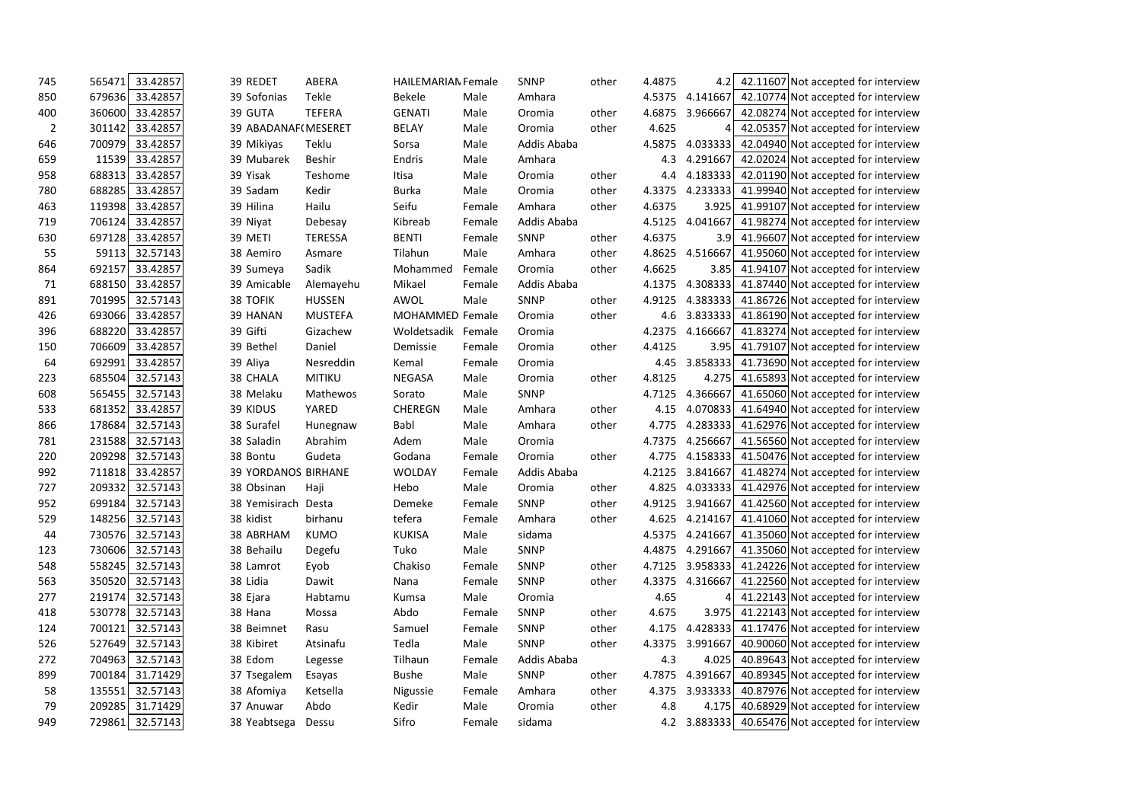| 745            | 565471 | 33.42857        |           | 39 REDET                   | ABERA          | <b>HAILEMARIAN Female</b> |        | <b>SNNP</b> | other | 4.4875 | 4.2             | 42.11607 Not accepted for interview              |  |
|----------------|--------|-----------------|-----------|----------------------------|----------------|---------------------------|--------|-------------|-------|--------|-----------------|--------------------------------------------------|--|
| 850            | 679636 | 33.42857        |           | 39 Sofonias                | Tekle          | <b>Bekele</b>             | Male   | Amhara      |       | 4.5375 | 4.141667        | 42.10774 Not accepted for interview              |  |
| 400            | 360600 | 33.42857        | 39 GUTA   |                            | <b>TEFERA</b>  | <b>GENATI</b>             | Male   | Oromia      | other | 4.6875 | 3.966667        | 42.08274 Not accepted for interview              |  |
| $\overline{2}$ | 301142 | 33.42857        |           | 39 ABADANAF(MESERET        |                | <b>BELAY</b>              | Male   | Oromia      | other | 4.625  |                 | 42.05357 Not accepted for interview              |  |
| 646            | 700979 | 33.42857        |           | 39 Mikiyas                 | Teklu          | Sorsa                     | Male   | Addis Ababa |       | 4.5875 | 4.033333        | 42.04940 Not accepted for interview              |  |
| 659            | 11539  | 33.42857        |           | 39 Mubarek                 | Beshir         | Endris                    | Male   | Amhara      |       | 4.3    | 4.291667        | 42.02024 Not accepted for interview              |  |
| 958            | 688313 | 33.42857        | 39 Yisak  |                            | Teshome        | Itisa                     | Male   | Oromia      | other | 4.4    | 4.183333        | 42.01190 Not accepted for interview              |  |
| 780            | 688285 | 33.42857        |           | 39 Sadam                   | Kedir          | <b>Burka</b>              | Male   | Oromia      | other | 4.3375 | 4.233333        | 41.99940 Not accepted for interview              |  |
| 463            | 119398 | 33.42857        | 39 Hilina |                            | Hailu          | Seifu                     | Female | Amhara      | other | 4.6375 | 3.925           | 41.99107 Not accepted for interview              |  |
| 719            | 706124 | 33.42857        | 39 Niyat  |                            | Debesay        | Kibreab                   | Female | Addis Ababa |       | 4.5125 | 4.041667        | 41.98274 Not accepted for interview              |  |
| 630            | 697128 | 33.42857        | 39 METI   |                            | <b>TERESSA</b> | <b>BENTI</b>              | Female | SNNP        | other | 4.6375 | 3.9             | 41.96607 Not accepted for interview              |  |
| 55             | 59113  | 32.57143        |           | 38 Aemiro                  | Asmare         | Tilahun                   | Male   | Amhara      | other | 4.8625 | 4.516667        | 41.95060 Not accepted for interview              |  |
| 864            | 692157 | 33.42857        |           | 39 Sumeya                  | Sadik          | Mohammed                  | Female | Oromia      | other | 4.6625 | 3.85            | 41.94107 Not accepted for interview              |  |
| 71             | 688150 | 33.42857        |           | 39 Amicable                | Alemayehu      | Mikael                    | Female | Addis Ababa |       | 4.1375 | 4.308333        | 41.87440 Not accepted for interview              |  |
| 891            | 701995 | 32.57143        |           | 38 TOFIK                   | <b>HUSSEN</b>  | AWOL                      | Male   | SNNP        | other | 4.9125 | 4.383333        | 41.86726 Not accepted for interview              |  |
| 426            | 693066 | 33.42857        |           | 39 HANAN                   | <b>MUSTEFA</b> | MOHAMMED Female           |        | Oromia      | other |        | 4.6 3.833333    | 41.86190 Not accepted for interview              |  |
| 396            | 688220 | 33.42857        | 39 Gifti  |                            | Gizachew       | Woldetsadik Female        |        | Oromia      |       | 4.2375 | 4.166667        | 41.83274 Not accepted for interview              |  |
| 150            | 706609 | 33.42857        |           | 39 Bethel                  | Daniel         | Demissie                  | Female | Oromia      | other | 4.4125 | 3.95            | 41.79107 Not accepted for interview              |  |
| 64             | 692991 | 33.42857        | 39 Aliya  |                            | Nesreddin      | Kemal                     | Female | Oromia      |       | 4.45   | 3.858333        | 41.73690 Not accepted for interview              |  |
| 223            | 685504 | 32.57143        |           | 38 CHALA                   | <b>MITIKU</b>  | <b>NEGASA</b>             | Male   | Oromia      | other | 4.8125 | 4.275           | 41.65893 Not accepted for interview              |  |
| 608            | 565455 | 32.57143        |           | 38 Melaku                  | Mathewos       | Sorato                    | Male   | SNNP        |       | 4.7125 | 4.366667        | 41.65060 Not accepted for interview              |  |
| 533            | 681352 | 33.42857        |           | 39 KIDUS                   | YARED          | <b>CHEREGN</b>            | Male   | Amhara      | other | 4.15   | 4.070833        | 41.64940 Not accepted for interview              |  |
| 866            | 178684 | 32.57143        |           | 38 Surafel                 | Hunegnaw       | Babl                      | Male   | Amhara      | other | 4.775  | 4.283333        | 41.62976 Not accepted for interview              |  |
| 781            | 231588 | 32.57143        |           | 38 Saladin                 | Abrahim        | Adem                      | Male   | Oromia      |       | 4.7375 | 4.256667        | 41.56560 Not accepted for interview              |  |
| 220            | 209298 | 32.57143        |           | 38 Bontu                   | Gudeta         | Godana                    | Female | Oromia      | other | 4.775  | 4.158333        | 41.50476 Not accepted for interview              |  |
| 992            | 711818 | 33.42857        |           | <b>39 YORDANOS BIRHANE</b> |                | <b>WOLDAY</b>             | Female | Addis Ababa |       | 4.2125 | 3.841667        | 41.48274 Not accepted for interview              |  |
| 727            | 209332 | 32.57143        |           | 38 Obsinan                 | Haji           | Hebo                      | Male   | Oromia      | other | 4.825  | 4.033333        | 41.42976 Not accepted for interview              |  |
| 952            | 699184 | 32.57143        |           | 38 Yemisirach              | Desta          | Demeke                    | Female | SNNP        | other | 4.9125 | 3.941667        | 41.42560 Not accepted for interview              |  |
| 529            | 148256 | 32.57143        | 38 kidist |                            | birhanu        | tefera                    | Female | Amhara      | other | 4.625  | 4.214167        | 41.41060 Not accepted for interview              |  |
| 44             | 730576 | 32.57143        |           | 38 ABRHAM                  | <b>KUMO</b>    | <b>KUKISA</b>             | Male   | sidama      |       | 4.5375 | 4.241667        | 41.35060 Not accepted for interview              |  |
| 123            | 730606 | 32.57143        |           | 38 Behailu                 | Degefu         | Tuko                      | Male   | SNNP        |       |        | 4.4875 4.291667 | 41.35060 Not accepted for interview              |  |
| 548            | 558245 | 32.57143        |           | 38 Lamrot                  | Eyob           | Chakiso                   | Female | SNNP        | other |        | 4.7125 3.958333 | 41.24226 Not accepted for interview              |  |
| 563            | 350520 | 32.57143        | 38 Lidia  |                            | Dawit          | Nana                      | Female | SNNP        | other | 4.3375 | 4.316667        | 41.22560 Not accepted for interview              |  |
| 277            | 219174 | 32.57143        | 38 Ejara  |                            | Habtamu        | Kumsa                     | Male   | Oromia      |       | 4.65   | 4               | 41.22143 Not accepted for interview              |  |
| 418            | 530778 | 32.57143        | 38 Hana   |                            | Mossa          | Abdo                      | Female | SNNP        | other | 4.675  | 3.975           | 41.22143 Not accepted for interview              |  |
| 124            | 700121 | 32.57143        |           | 38 Beimnet                 | Rasu           | Samuel                    | Female | SNNP        | other | 4.175  | 4.428333        | 41.17476 Not accepted for interview              |  |
| 526            | 527649 | 32.57143        |           | 38 Kibiret                 | Atsinafu       | Tedla                     | Male   | SNNP        | other | 4.3375 | 3.991667        | 40.90060 Not accepted for interview              |  |
| 272            | 704963 | 32.57143        |           | 38 Edom                    | Legesse        | Tilhaun                   | Female | Addis Ababa |       | 4.3    | 4.025           | 40.89643 Not accepted for interview              |  |
| 899            | 700184 | 31.71429        |           | 37 Tsegalem                | Esayas         | <b>Bushe</b>              | Male   | SNNP        | other |        | 4.7875 4.391667 | 40.89345 Not accepted for interview              |  |
| 58             | 135551 | 32.57143        |           | 38 Afomiya                 | Ketsella       | Nigussie                  | Female | Amhara      | other | 4.375  | 3.933333        | 40.87976 Not accepted for interview              |  |
| 79             | 209285 | 31.71429        |           | 37 Anuwar                  | Abdo           | Kedir                     | Male   | Oromia      | other | 4.8    | 4.175           | 40.68929 Not accepted for interview              |  |
| 949            |        | 729861 32.57143 |           | 38 Yeabtsega               | Dessu          | Sifro                     | Female | sidama      |       |        |                 | 4.2 3.883333 40.65476 Not accepted for interview |  |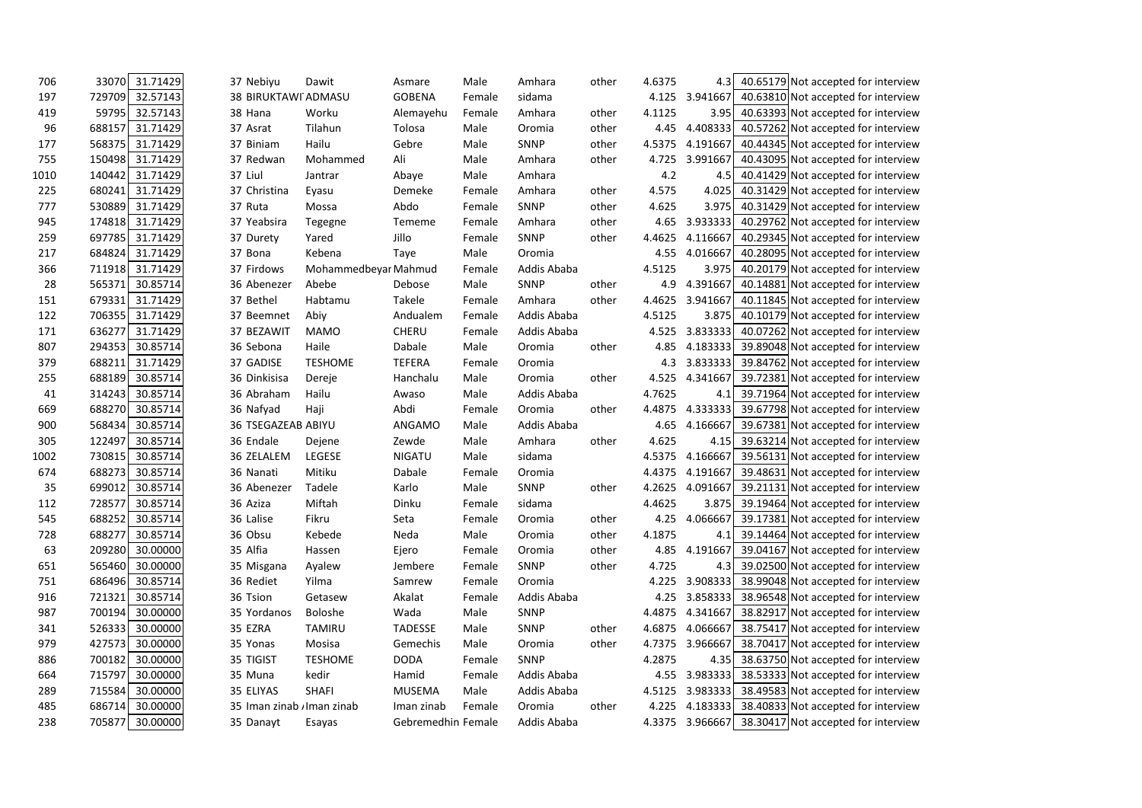| 706  | 33070  | 31.71429 | 37 Nebiyu                  | Dawit                | Asmare             | Male   | Amhara      | other | 4.6375 | 4.3      | 40.65179 Not accepted for interview                 |  |
|------|--------|----------|----------------------------|----------------------|--------------------|--------|-------------|-------|--------|----------|-----------------------------------------------------|--|
| 197  | 729709 | 32.57143 | 38 BIRUKTAWI ADMASU        |                      | <b>GOBENA</b>      | Female | sidama      |       | 4.125  | 3.941667 | 40.63810 Not accepted for interview                 |  |
| 419  | 59795  | 32.57143 | 38 Hana                    | Worku                | Alemayehu          | Female | Amhara      | other | 4.1125 | 3.95     | 40.63393 Not accepted for interview                 |  |
| 96   | 688157 | 31.71429 | 37 Asrat                   | Tilahun              | Tolosa             | Male   | Oromia      | other | 4.45   | 4.408333 | 40.57262 Not accepted for interview                 |  |
| 177  | 568375 | 31.71429 | 37 Biniam                  | Hailu                | Gebre              | Male   | <b>SNNP</b> | other | 4.5375 | 4.191667 | 40.44345 Not accepted for interview                 |  |
| 755  | 150498 | 31.71429 | 37 Redwan                  | Mohammed             | Ali                | Male   | Amhara      | other | 4.725  | 3.991667 | 40.43095 Not accepted for interview                 |  |
| 1010 | 140442 | 31.71429 | 37 Liul                    | Jantrar              | Abaye              | Male   | Amhara      |       | 4.2    | 4.5      | 40.41429 Not accepted for interview                 |  |
| 225  | 680241 | 31.71429 | 37 Christina               | Eyasu                | Demeke             | Female | Amhara      | other | 4.575  | 4.025    | 40.31429 Not accepted for interview                 |  |
| 777  | 530889 | 31.71429 | 37 Ruta                    | Mossa                | Abdo               | Female | SNNP        | other | 4.625  | 3.975    | 40.31429 Not accepted for interview                 |  |
| 945  | 174818 | 31.71429 | 37 Yeabsira                | Tegegne              | Tememe             | Female | Amhara      | other | 4.65   | 3.933333 | 40.29762 Not accepted for interview                 |  |
| 259  | 697785 | 31.71429 | 37 Durety                  | Yared                | Jillo              | Female | SNNP        | other | 4.4625 | 4.116667 | 40.29345 Not accepted for interview                 |  |
| 217  | 684824 | 31.71429 | 37 Bona                    | Kebena               | Taye               | Male   | Oromia      |       | 4.55   | 4.016667 | 40.28095 Not accepted for interview                 |  |
| 366  | 711918 | 31.71429 | 37 Firdows                 | Mohammedbeyar Mahmud |                    | Female | Addis Ababa |       | 4.5125 | 3.975    | 40.20179 Not accepted for interview                 |  |
| 28   | 565371 | 30.85714 | 36 Abenezer                | Abebe                | Debose             | Male   | <b>SNNP</b> | other | 4.9    | 4.391667 | 40.14881 Not accepted for interview                 |  |
| 151  | 679331 | 31.71429 | 37 Bethel                  | Habtamu              | Takele             | Female | Amhara      | other | 4.4625 | 3.941667 | 40.11845 Not accepted for interview                 |  |
| 122  | 706355 | 31.71429 | 37 Beemnet                 | Abiy                 | Andualem           | Female | Addis Ababa |       | 4.5125 | 3.875    | 40.10179 Not accepted for interview                 |  |
| 171  | 636277 | 31.71429 | 37 BEZAWIT                 | <b>MAMO</b>          | CHERU              | Female | Addis Ababa |       | 4.525  | 3.833333 | 40.07262 Not accepted for interview                 |  |
| 807  | 294353 | 30.85714 | 36 Sebona                  | Haile                | Dabale             | Male   | Oromia      | other | 4.85   | 4.183333 | 39.89048 Not accepted for interview                 |  |
| 379  | 688211 | 31.71429 | 37 GADISE                  | <b>TESHOME</b>       | <b>TEFERA</b>      | Female | Oromia      |       | 4.3    |          | 3.833333 39.84762 Not accepted for interview        |  |
| 255  | 688189 | 30.85714 | 36 Dinkisisa               | Dereje               | Hanchalu           | Male   | Oromia      | other | 4.525  | 4.341667 | 39.72381 Not accepted for interview                 |  |
| 41   | 314243 | 30.85714 | 36 Abraham                 | Hailu                | Awaso              | Male   | Addis Ababa |       | 4.7625 | 4.1      | 39.71964 Not accepted for interview                 |  |
| 669  | 688270 | 30.85714 | 36 Nafyad                  | Haji                 | Abdi               | Female | Oromia      | other | 4.4875 | 4.333333 | 39.67798 Not accepted for interview                 |  |
| 900  | 568434 | 30.85714 | 36 TSEGAZEAB ABIYU         |                      | ANGAMO             | Male   | Addis Ababa |       | 4.65   | 4.166667 | 39.67381 Not accepted for interview                 |  |
| 305  | 122497 | 30.85714 | 36 Endale                  | Dejene               | Zewde              | Male   | Amhara      | other | 4.625  | 4.15     | 39.63214 Not accepted for interview                 |  |
| 1002 | 730815 | 30.85714 | 36 ZELALEM                 | LEGESE               | <b>NIGATU</b>      | Male   | sidama      |       | 4.5375 | 4.166667 | 39.56131 Not accepted for interview                 |  |
| 674  | 688273 | 30.85714 | 36 Nanati                  | Mitiku               | Dabale             | Female | Oromia      |       | 4.4375 | 4.191667 | 39.48631 Not accepted for interview                 |  |
| 35   | 699012 | 30.85714 | 36 Abenezer                | Tadele               | Karlo              | Male   | SNNP        | other | 4.2625 | 4.091667 | 39.21131 Not accepted for interview                 |  |
| 112  | 728577 | 30.85714 | 36 Aziza                   | Miftah               | Dinku              | Female | sidama      |       | 4.4625 | 3.875    | 39.19464 Not accepted for interview                 |  |
| 545  | 688252 | 30.85714 | 36 Lalise                  | Fikru                | Seta               | Female | Oromia      | other | 4.25   | 4.066667 | 39.17381 Not accepted for interview                 |  |
| 728  | 688277 | 30.85714 | 36 Obsu                    | Kebede               | Neda               | Male   | Oromia      | other | 4.1875 | 4.1      | 39.14464 Not accepted for interview                 |  |
| 63   | 209280 | 30.00000 | 35 Alfia                   | Hassen               | Ejero              | Female | Oromia      | other | 4.85   | 4.191667 | 39.04167 Not accepted for interview                 |  |
| 651  | 565460 | 30.00000 | 35 Misgana                 | Ayalew               | Jembere            | Female | SNNP        | other | 4.725  |          | 4.3 39.02500 Not accepted for interview             |  |
| 751  | 686496 | 30.85714 | 36 Rediet                  | Yilma                | Samrew             | Female | Oromia      |       | 4.225  |          | 3.908333 38.99048 Not accepted for interview        |  |
| 916  | 721321 | 30.85714 | 36 Tsion                   | Getasew              | Akalat             | Female | Addis Ababa |       |        |          | 4.25 3.858333 38.96548 Not accepted for interview   |  |
| 987  | 700194 | 30.00000 | 35 Yordanos                | Boloshe              | Wada               | Male   | SNNP        |       | 4.4875 |          | 4.341667 38.82917 Not accepted for interview        |  |
| 341  | 526333 | 30.00000 | 35 EZRA                    | <b>TAMIRU</b>        | <b>TADESSE</b>     | Male   | <b>SNNP</b> | other | 4.6875 |          | 4.066667 38.75417 Not accepted for interview        |  |
| 979  | 427573 | 30.00000 | 35 Yonas                   | Mosisa               | Gemechis           | Male   | Oromia      | other | 4.7375 |          | 3.966667 38.70417 Not accepted for interview        |  |
| 886  | 700182 | 30.00000 | 35 TIGIST                  | <b>TESHOME</b>       | <b>DODA</b>        | Female | <b>SNNP</b> |       | 4.2875 |          | 4.35 38.63750 Not accepted for interview            |  |
| 664  | 715797 | 30.00000 | 35 Muna                    | kedir                | Hamid              | Female | Addis Ababa |       |        |          | 4.55 3.983333 38.53333 Not accepted for interview   |  |
| 289  | 715584 | 30.00000 | 35 ELIYAS                  | <b>SHAFI</b>         | <b>MUSEMA</b>      | Male   | Addis Ababa |       | 4.5125 |          | 3.983333 38.49583 Not accepted for interview        |  |
| 485  | 686714 | 30.00000 | 35 Iman zinab / Iman zinab |                      | Iman zinab         | Female | Oromia      | other | 4.225  |          | 4.183333 38.40833 Not accepted for interview        |  |
| 238  | 705877 | 30.00000 | 35 Danayt                  | Esayas               | Gebremedhin Female |        | Addis Ababa |       |        |          | 4.3375 3.966667 38.30417 Not accepted for interview |  |